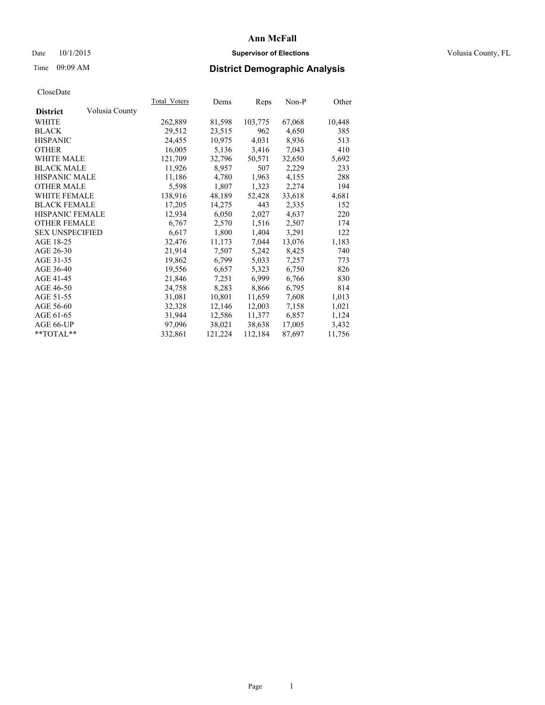# Date  $10/1/2015$  **Supervisor of Elections Supervisor of Elections** Volusia County, FL

# Time 09:09 AM **District Demographic Analysis**

| Total Voters | Dems    | <b>Reps</b> |        | Other   |
|--------------|---------|-------------|--------|---------|
|              |         |             |        |         |
| 262,889      | 81,598  | 103,775     | 67,068 | 10,448  |
| 29,512       | 23,515  | 962         | 4,650  | 385     |
| 24,455       | 10,975  | 4,031       | 8,936  | 513     |
| 16,005       | 5,136   | 3,416       | 7,043  | 410     |
| 121,709      | 32,796  | 50,571      | 32,650 | 5,692   |
| 11,926       | 8,957   | 507         | 2,229  | 233     |
| 11,186       | 4,780   | 1,963       | 4,155  | 288     |
| 5,598        | 1,807   | 1,323       | 2,274  | 194     |
| 138,916      | 48,189  | 52,428      | 33,618 | 4,681   |
| 17,205       | 14,275  | 443         | 2,335  | 152     |
| 12,934       | 6,050   | 2,027       | 4,637  | 220     |
| 6,767        | 2,570   | 1,516       | 2,507  | 174     |
| 6,617        | 1,800   | 1,404       | 3,291  | 122     |
| 32,476       | 11,173  | 7,044       | 13,076 | 1,183   |
| 21,914       | 7,507   | 5,242       | 8,425  | 740     |
| 19,862       | 6,799   | 5,033       | 7,257  | 773     |
| 19,556       | 6,657   | 5,323       | 6,750  | 826     |
| 21,846       | 7,251   | 6,999       | 6,766  | 830     |
| 24,758       | 8,283   | 8,866       | 6,795  | 814     |
| 31,081       | 10,801  | 11,659      | 7,608  | 1,013   |
| 32,328       | 12,146  | 12,003      | 7,158  | 1,021   |
| 31,944       | 12,586  | 11,377      | 6,857  | 1,124   |
| 97,096       | 38,021  | 38,638      | 17,005 | 3,432   |
| 332,861      | 121,224 | 112,184     | 87,697 | 11,756  |
|              |         |             |        | $Non-P$ |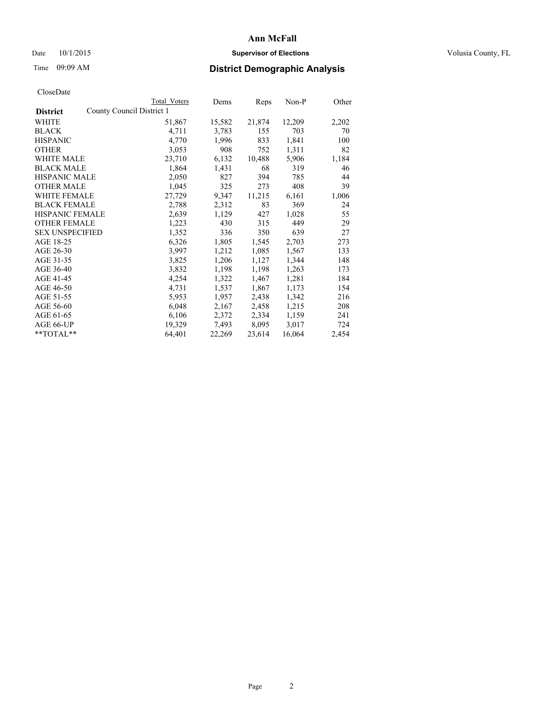# Date  $10/1/2015$  **Supervisor of Elections Supervisor of Elections** Volusia County, FL

|                        |                           | Total Voters | Dems   | Reps   | Non-P  | Other |
|------------------------|---------------------------|--------------|--------|--------|--------|-------|
| <b>District</b>        | County Council District 1 |              |        |        |        |       |
| WHITE                  |                           | 51,867       | 15,582 | 21,874 | 12,209 | 2,202 |
| <b>BLACK</b>           |                           | 4,711        | 3,783  | 155    | 703    | 70    |
| <b>HISPANIC</b>        |                           | 4,770        | 1,996  | 833    | 1,841  | 100   |
| <b>OTHER</b>           |                           | 3,053        | 908    | 752    | 1,311  | 82    |
| <b>WHITE MALE</b>      |                           | 23,710       | 6,132  | 10,488 | 5,906  | 1,184 |
| <b>BLACK MALE</b>      |                           | 1,864        | 1,431  | 68     | 319    | 46    |
| <b>HISPANIC MALE</b>   |                           | 2,050        | 827    | 394    | 785    | 44    |
| <b>OTHER MALE</b>      |                           | 1,045        | 325    | 273    | 408    | 39    |
| <b>WHITE FEMALE</b>    |                           | 27,729       | 9,347  | 11,215 | 6,161  | 1,006 |
| <b>BLACK FEMALE</b>    |                           | 2,788        | 2,312  | 83     | 369    | 24    |
| <b>HISPANIC FEMALE</b> |                           | 2,639        | 1,129  | 427    | 1,028  | 55    |
| <b>OTHER FEMALE</b>    |                           | 1,223        | 430    | 315    | 449    | 29    |
| <b>SEX UNSPECIFIED</b> |                           | 1,352        | 336    | 350    | 639    | 27    |
| AGE 18-25              |                           | 6,326        | 1,805  | 1,545  | 2,703  | 273   |
| AGE 26-30              |                           | 3,997        | 1,212  | 1,085  | 1,567  | 133   |
| AGE 31-35              |                           | 3,825        | 1,206  | 1,127  | 1,344  | 148   |
| AGE 36-40              |                           | 3,832        | 1,198  | 1,198  | 1,263  | 173   |
| AGE 41-45              |                           | 4,254        | 1,322  | 1,467  | 1,281  | 184   |
| AGE 46-50              |                           | 4,731        | 1,537  | 1,867  | 1,173  | 154   |
| AGE 51-55              |                           | 5,953        | 1,957  | 2,438  | 1,342  | 216   |
| AGE 56-60              |                           | 6,048        | 2,167  | 2,458  | 1,215  | 208   |
| AGE 61-65              |                           | 6,106        | 2,372  | 2,334  | 1,159  | 241   |
| AGE 66-UP              |                           | 19,329       | 7.493  | 8,095  | 3,017  | 724   |
| $*$ TOTAL $*$          |                           | 64,401       | 22,269 | 23,614 | 16,064 | 2,454 |
|                        |                           |              |        |        |        |       |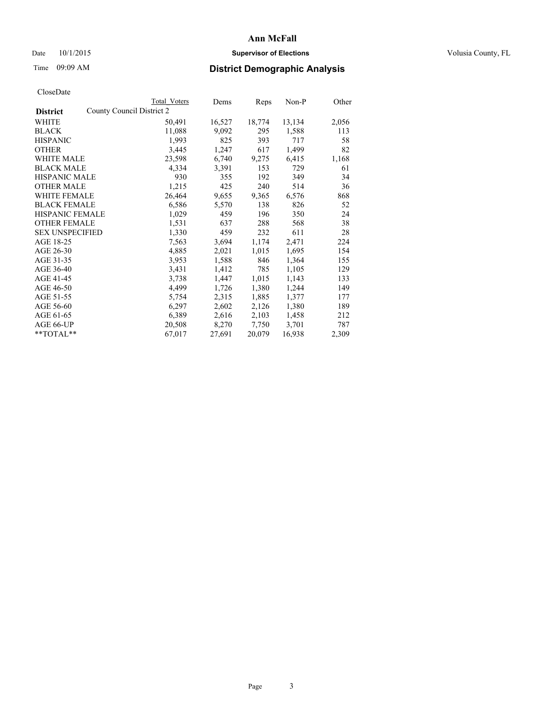# Date  $10/1/2015$  **Supervisor of Elections Supervisor of Elections** Volusia County, FL

|                                              | Total Voters | Dems   | Reps   | Non-P  | Other |
|----------------------------------------------|--------------|--------|--------|--------|-------|
| County Council District 2<br><b>District</b> |              |        |        |        |       |
| WHITE                                        | 50,491       | 16,527 | 18,774 | 13,134 | 2,056 |
| <b>BLACK</b>                                 | 11,088       | 9,092  | 295    | 1,588  | 113   |
| <b>HISPANIC</b>                              | 1,993        | 825    | 393    | 717    | 58    |
| <b>OTHER</b>                                 | 3,445        | 1,247  | 617    | 1,499  | 82    |
| WHITE MALE                                   | 23,598       | 6,740  | 9,275  | 6,415  | 1,168 |
| <b>BLACK MALE</b>                            | 4,334        | 3,391  | 153    | 729    | 61    |
| <b>HISPANIC MALE</b>                         | 930          | 355    | 192    | 349    | 34    |
| <b>OTHER MALE</b>                            | 1,215        | 425    | 240    | 514    | 36    |
| <b>WHITE FEMALE</b>                          | 26,464       | 9,655  | 9,365  | 6,576  | 868   |
| <b>BLACK FEMALE</b>                          | 6,586        | 5,570  | 138    | 826    | 52    |
| HISPANIC FEMALE                              | 1,029        | 459    | 196    | 350    | 24    |
| <b>OTHER FEMALE</b>                          | 1,531        | 637    | 288    | 568    | 38    |
| <b>SEX UNSPECIFIED</b>                       | 1,330        | 459    | 232    | 611    | 28    |
| AGE 18-25                                    | 7.563        | 3,694  | 1,174  | 2,471  | 224   |
| AGE 26-30                                    | 4,885        | 2,021  | 1,015  | 1,695  | 154   |
| AGE 31-35                                    | 3,953        | 1,588  | 846    | 1,364  | 155   |
| AGE 36-40                                    | 3,431        | 1,412  | 785    | 1,105  | 129   |
| AGE 41-45                                    | 3,738        | 1,447  | 1,015  | 1,143  | 133   |
| AGE 46-50                                    | 4,499        | 1,726  | 1,380  | 1,244  | 149   |
| AGE 51-55                                    | 5,754        | 2,315  | 1,885  | 1,377  | 177   |
| AGE 56-60                                    | 6,297        | 2,602  | 2,126  | 1,380  | 189   |
| AGE 61-65                                    | 6,389        | 2,616  | 2,103  | 1,458  | 212   |
| AGE 66-UP                                    | 20,508       | 8,270  | 7,750  | 3,701  | 787   |
| $*$ TOTAL $*$                                | 67,017       | 27,691 | 20,079 | 16,938 | 2,309 |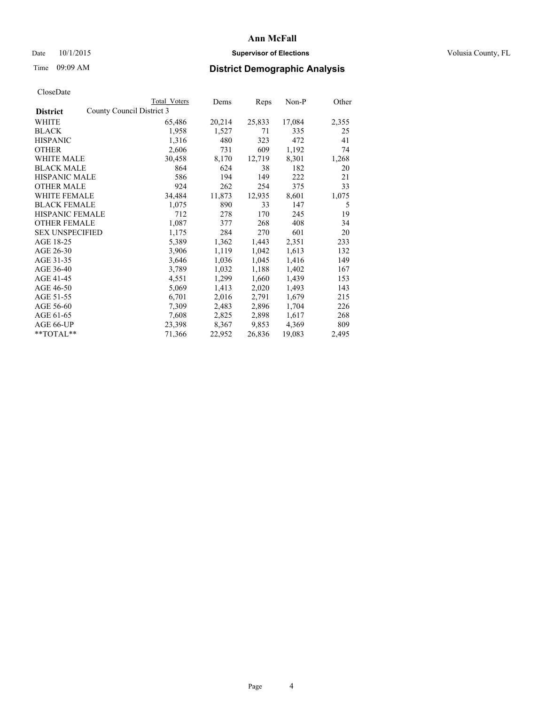# Date  $10/1/2015$  **Supervisor of Elections Supervisor of Elections** Volusia County, FL

| <b>Total Voters</b>       | Dems   | Reps   |        | Other   |
|---------------------------|--------|--------|--------|---------|
| County Council District 3 |        |        |        |         |
| 65,486                    | 20,214 | 25,833 | 17,084 | 2,355   |
| 1,958                     | 1,527  | 71     | 335    | 25      |
| 1,316                     | 480    | 323    | 472    | 41      |
| 2,606                     | 731    | 609    | 1,192  | 74      |
| 30,458                    | 8,170  | 12,719 | 8,301  | 1,268   |
| 864                       | 624    | 38     | 182    | 20      |
| 586                       | 194    | 149    | 222    | 21      |
| 924                       | 262    | 254    | 375    | 33      |
| 34,484                    | 11,873 | 12,935 | 8,601  | 1,075   |
| 1,075                     | 890    | 33     | 147    | 5       |
| 712                       | 278    | 170    | 245    | 19      |
| 1,087                     | 377    | 268    | 408    | 34      |
| 1,175                     | 284    | 270    | 601    | 20      |
| 5,389                     | 1,362  | 1,443  | 2,351  | 233     |
| 3,906                     | 1,119  | 1,042  | 1,613  | 132     |
| 3,646                     | 1,036  | 1,045  | 1,416  | 149     |
| 3,789                     | 1,032  | 1,188  | 1,402  | 167     |
| 4,551                     | 1,299  | 1,660  | 1,439  | 153     |
| 5,069                     | 1,413  | 2,020  | 1,493  | 143     |
| 6,701                     | 2,016  | 2,791  | 1,679  | 215     |
| 7,309                     | 2,483  | 2,896  | 1,704  | 226     |
| 7,608                     | 2,825  | 2,898  | 1,617  | 268     |
| 23,398                    | 8,367  | 9,853  | 4,369  | 809     |
| 71,366                    | 22,952 | 26,836 | 19,083 | 2,495   |
|                           |        |        |        | $Non-P$ |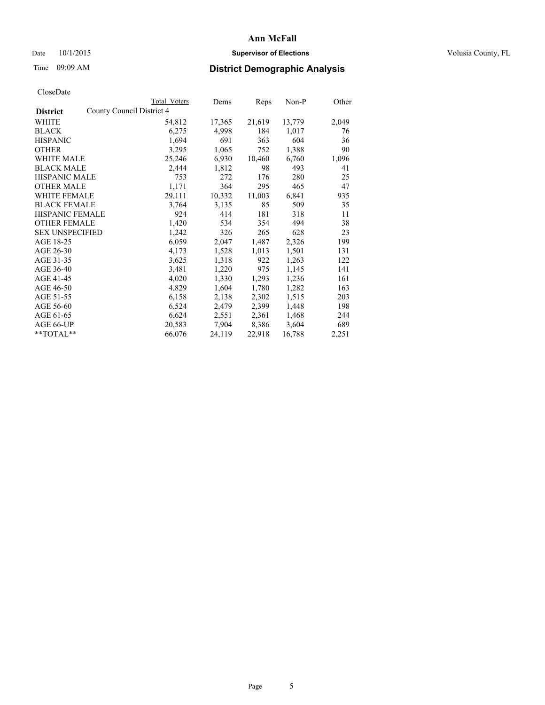# Date  $10/1/2015$  **Supervisor of Elections Supervisor of Elections** Volusia County, FL

|                                              | Total Voters | Dems   | Reps   | Non-P  | Other |
|----------------------------------------------|--------------|--------|--------|--------|-------|
| County Council District 4<br><b>District</b> |              |        |        |        |       |
| <b>WHITE</b>                                 | 54,812       | 17,365 | 21,619 | 13,779 | 2,049 |
| <b>BLACK</b>                                 | 6,275        | 4,998  | 184    | 1,017  | 76    |
| <b>HISPANIC</b>                              | 1,694        | 691    | 363    | 604    | 36    |
| <b>OTHER</b>                                 | 3,295        | 1,065  | 752    | 1,388  | 90    |
| <b>WHITE MALE</b>                            | 25,246       | 6,930  | 10,460 | 6,760  | 1,096 |
| <b>BLACK MALE</b>                            | 2,444        | 1,812  | 98     | 493    | 41    |
| <b>HISPANIC MALE</b>                         | 753          | 272    | 176    | 280    | 25    |
| <b>OTHER MALE</b>                            | 1,171        | 364    | 295    | 465    | 47    |
| <b>WHITE FEMALE</b>                          | 29,111       | 10,332 | 11,003 | 6,841  | 935   |
| <b>BLACK FEMALE</b>                          | 3,764        | 3,135  | 85     | 509    | 35    |
| <b>HISPANIC FEMALE</b>                       | 924          | 414    | 181    | 318    | 11    |
| <b>OTHER FEMALE</b>                          | 1,420        | 534    | 354    | 494    | 38    |
| <b>SEX UNSPECIFIED</b>                       | 1,242        | 326    | 265    | 628    | 23    |
| AGE 18-25                                    | 6,059        | 2,047  | 1,487  | 2,326  | 199   |
| AGE 26-30                                    | 4,173        | 1,528  | 1,013  | 1,501  | 131   |
| AGE 31-35                                    | 3,625        | 1,318  | 922    | 1,263  | 122   |
| AGE 36-40                                    | 3,481        | 1,220  | 975    | 1,145  | 141   |
| AGE 41-45                                    | 4,020        | 1,330  | 1,293  | 1,236  | 161   |
| AGE 46-50                                    | 4,829        | 1,604  | 1,780  | 1,282  | 163   |
| AGE 51-55                                    | 6,158        | 2,138  | 2,302  | 1,515  | 203   |
| AGE 56-60                                    | 6,524        | 2,479  | 2,399  | 1,448  | 198   |
| AGE 61-65                                    | 6,624        | 2,551  | 2,361  | 1,468  | 244   |
| AGE 66-UP                                    | 20,583       | 7,904  | 8,386  | 3,604  | 689   |
| $*$ TOTAL $*$                                | 66,076       | 24,119 | 22,918 | 16,788 | 2,251 |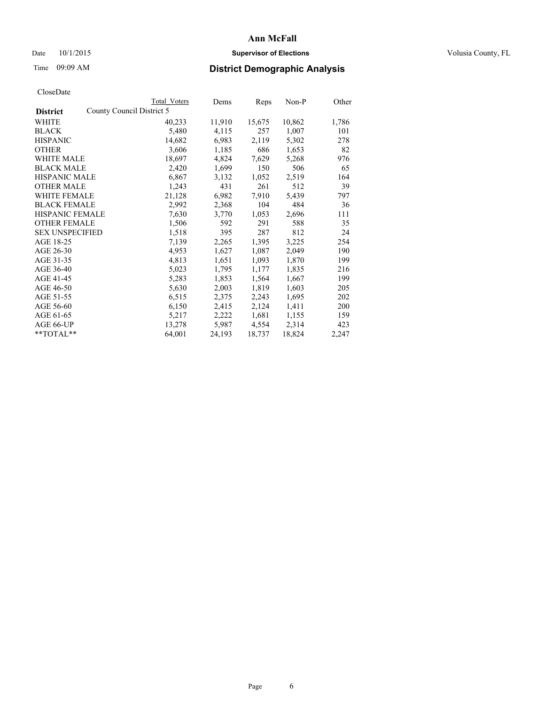# Date  $10/1/2015$  **Supervisor of Elections Supervisor of Elections** Volusia County, FL

|                        | Total Voters              | Dems   | Reps   | Non-P  | Other |
|------------------------|---------------------------|--------|--------|--------|-------|
| <b>District</b>        | County Council District 5 |        |        |        |       |
| WHITE                  | 40,233                    | 11,910 | 15,675 | 10,862 | 1,786 |
| <b>BLACK</b>           | 5,480                     | 4,115  | 257    | 1,007  | 101   |
| <b>HISPANIC</b>        | 14,682                    | 6,983  | 2,119  | 5,302  | 278   |
| <b>OTHER</b>           | 3,606                     | 1,185  | 686    | 1,653  | 82    |
| WHITE MALE             | 18,697                    | 4,824  | 7,629  | 5,268  | 976   |
| <b>BLACK MALE</b>      | 2,420                     | 1,699  | 150    | 506    | 65    |
| <b>HISPANIC MALE</b>   | 6,867                     | 3,132  | 1,052  | 2,519  | 164   |
| <b>OTHER MALE</b>      | 1,243                     | 431    | 261    | 512    | 39    |
| <b>WHITE FEMALE</b>    | 21,128                    | 6,982  | 7,910  | 5,439  | 797   |
| <b>BLACK FEMALE</b>    | 2,992                     | 2,368  | 104    | 484    | 36    |
| HISPANIC FEMALE        | 7,630                     | 3,770  | 1,053  | 2,696  | 111   |
| <b>OTHER FEMALE</b>    | 1,506                     | 592    | 291    | 588    | 35    |
| <b>SEX UNSPECIFIED</b> | 1,518                     | 395    | 287    | 812    | 24    |
| AGE 18-25              | 7,139                     | 2,265  | 1,395  | 3,225  | 254   |
| AGE 26-30              | 4,953                     | 1,627  | 1,087  | 2,049  | 190   |
| AGE 31-35              | 4,813                     | 1,651  | 1,093  | 1,870  | 199   |
| AGE 36-40              | 5,023                     | 1,795  | 1,177  | 1,835  | 216   |
| AGE 41-45              | 5,283                     | 1,853  | 1,564  | 1,667  | 199   |
| AGE 46-50              | 5,630                     | 2,003  | 1,819  | 1,603  | 205   |
| AGE 51-55              | 6,515                     | 2,375  | 2,243  | 1,695  | 202   |
| AGE 56-60              | 6,150                     | 2,415  | 2,124  | 1,411  | 200   |
| AGE 61-65              | 5,217                     | 2,222  | 1,681  | 1,155  | 159   |
| AGE 66-UP              | 13,278                    | 5,987  | 4,554  | 2,314  | 423   |
| $*$ TOTAL $*$          | 64,001                    | 24,193 | 18,737 | 18,824 | 2,247 |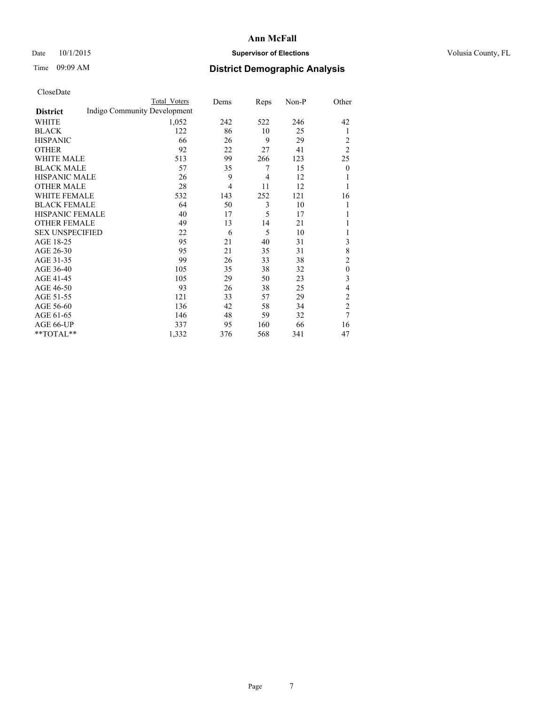# Date  $10/1/2015$  **Supervisor of Elections Supervisor of Elections** Volusia County, FL

# Time 09:09 AM **District Demographic Analysis**

|                        |                              | <b>Total Voters</b> | Dems           | Reps | Non-P | Other          |
|------------------------|------------------------------|---------------------|----------------|------|-------|----------------|
| <b>District</b>        | Indigo Community Development |                     |                |      |       |                |
| WHITE                  |                              | 1,052               | 242            | 522  | 246   | 42             |
| <b>BLACK</b>           |                              | 122                 | 86             | 10   | 25    | 1              |
| <b>HISPANIC</b>        |                              | 66                  | 26             | 9    | 29    | 2              |
| <b>OTHER</b>           |                              | 92                  | 22             | 27   | 41    | $\overline{2}$ |
| WHITE MALE             |                              | 513                 | 99             | 266  | 123   | 25             |
| <b>BLACK MALE</b>      |                              | 57                  | 35             | 7    | 15    | $\theta$       |
| <b>HISPANIC MALE</b>   |                              | 26                  | 9              | 4    | 12    | 1              |
| <b>OTHER MALE</b>      |                              | 28                  | $\overline{4}$ | 11   | 12    | 1              |
| WHITE FEMALE           |                              | 532                 | 143            | 252  | 121   | 16             |
| <b>BLACK FEMALE</b>    |                              | 64                  | 50             | 3    | 10    |                |
| <b>HISPANIC FEMALE</b> |                              | 40                  | 17             | 5    | 17    | 1              |
| <b>OTHER FEMALE</b>    |                              | 49                  | 13             | 14   | 21    |                |
| <b>SEX UNSPECIFIED</b> |                              | 22                  | 6              | 5    | 10    | 1              |
| AGE 18-25              |                              | 95                  | 21             | 40   | 31    | 3              |
| AGE 26-30              |                              | 95                  | 21             | 35   | 31    | 8              |
| AGE 31-35              |                              | 99                  | 26             | 33   | 38    | $\overline{c}$ |
| AGE 36-40              |                              | 105                 | 35             | 38   | 32    | $\mathbf{0}$   |
| AGE 41-45              |                              | 105                 | 29             | 50   | 23    | 3              |
| AGE 46-50              |                              | 93                  | 26             | 38   | 25    | 4              |
| AGE 51-55              |                              | 121                 | 33             | 57   | 29    | $\overline{c}$ |
| AGE 56-60              |                              | 136                 | 42             | 58   | 34    | $\overline{c}$ |
| AGE 61-65              |                              | 146                 | 48             | 59   | 32    | 7              |
| AGE 66-UP              |                              | 337                 | 95             | 160  | 66    | 16             |
| **TOTAL**              |                              | 1,332               | 376            | 568  | 341   | 47             |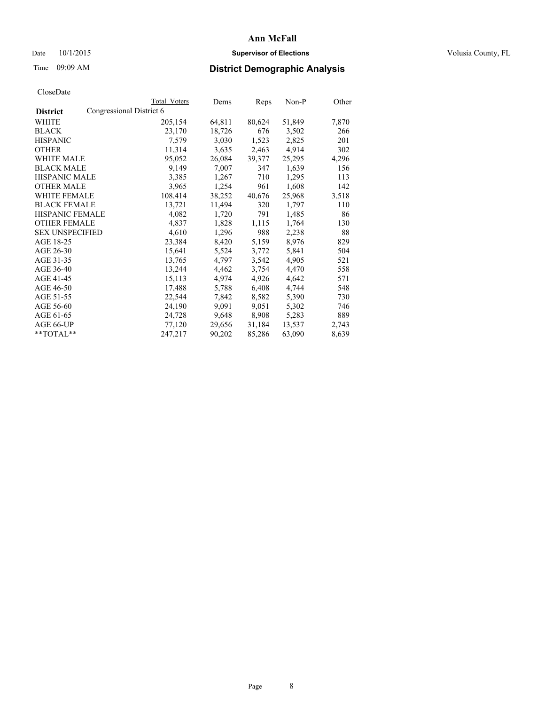# Date  $10/1/2015$  **Supervisor of Elections Supervisor of Elections** Volusia County, FL

# Time 09:09 AM **District Demographic Analysis**

|                        |                          | <b>Total Voters</b> | Dems   | Reps   | Non-P  | Other |
|------------------------|--------------------------|---------------------|--------|--------|--------|-------|
| <b>District</b>        | Congressional District 6 |                     |        |        |        |       |
| <b>WHITE</b>           |                          | 205,154             | 64,811 | 80,624 | 51,849 | 7,870 |
| <b>BLACK</b>           |                          | 23,170              | 18,726 | 676    | 3,502  | 266   |
| <b>HISPANIC</b>        |                          | 7,579               | 3,030  | 1,523  | 2,825  | 201   |
| <b>OTHER</b>           |                          | 11,314              | 3,635  | 2,463  | 4,914  | 302   |
| WHITE MALE             |                          | 95,052              | 26,084 | 39,377 | 25,295 | 4,296 |
| <b>BLACK MALE</b>      |                          | 9,149               | 7,007  | 347    | 1,639  | 156   |
| <b>HISPANIC MALE</b>   |                          | 3,385               | 1,267  | 710    | 1,295  | 113   |
| <b>OTHER MALE</b>      |                          | 3,965               | 1,254  | 961    | 1,608  | 142   |
| <b>WHITE FEMALE</b>    |                          | 108,414             | 38,252 | 40,676 | 25,968 | 3,518 |
| <b>BLACK FEMALE</b>    |                          | 13,721              | 11,494 | 320    | 1,797  | 110   |
| <b>HISPANIC FEMALE</b> |                          | 4,082               | 1,720  | 791    | 1,485  | 86    |
| <b>OTHER FEMALE</b>    |                          | 4,837               | 1,828  | 1,115  | 1,764  | 130   |
| <b>SEX UNSPECIFIED</b> |                          | 4,610               | 1,296  | 988    | 2,238  | 88    |
| AGE 18-25              |                          | 23,384              | 8,420  | 5,159  | 8,976  | 829   |
| AGE 26-30              |                          | 15,641              | 5,524  | 3,772  | 5,841  | 504   |
| AGE 31-35              |                          | 13,765              | 4,797  | 3,542  | 4,905  | 521   |
| AGE 36-40              |                          | 13,244              | 4,462  | 3,754  | 4,470  | 558   |
| AGE 41-45              |                          | 15,113              | 4,974  | 4,926  | 4,642  | 571   |
| AGE 46-50              |                          | 17,488              | 5,788  | 6,408  | 4,744  | 548   |
| AGE 51-55              |                          | 22,544              | 7,842  | 8,582  | 5,390  | 730   |
| AGE 56-60              |                          | 24,190              | 9,091  | 9,051  | 5,302  | 746   |
| AGE 61-65              |                          | 24,728              | 9,648  | 8,908  | 5,283  | 889   |
| AGE 66-UP              |                          | 77,120              | 29,656 | 31,184 | 13,537 | 2,743 |
| $*$ TOTAL $*$          |                          | 247,217             | 90,202 | 85,286 | 63,090 | 8,639 |
|                        |                          |                     |        |        |        |       |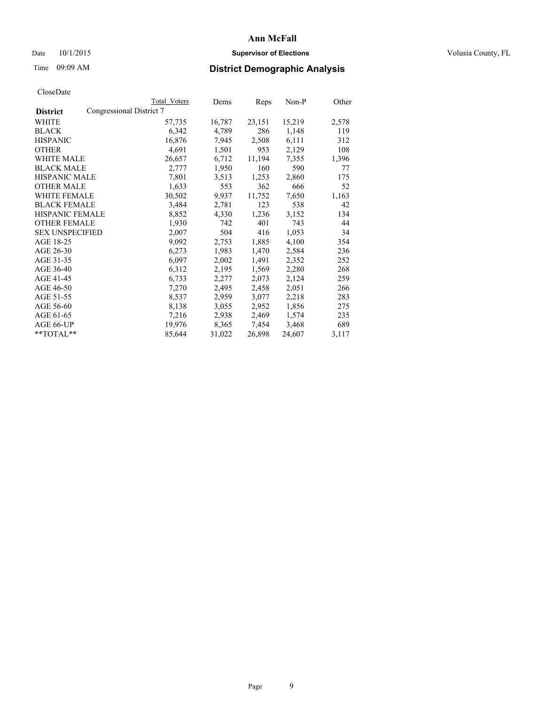# Date  $10/1/2015$  **Supervisor of Elections Supervisor of Elections** Volusia County, FL

# Time 09:09 AM **District Demographic Analysis**

|                                             | <b>Total Voters</b> | Dems   | Reps   | $Non-P$ | Other |
|---------------------------------------------|---------------------|--------|--------|---------|-------|
| Congressional District 7<br><b>District</b> |                     |        |        |         |       |
| WHITE                                       | 57,735              | 16,787 | 23,151 | 15,219  | 2,578 |
| <b>BLACK</b>                                | 6,342               | 4,789  | 286    | 1,148   | 119   |
| <b>HISPANIC</b>                             | 16,876              | 7,945  | 2,508  | 6,111   | 312   |
| <b>OTHER</b>                                | 4,691               | 1,501  | 953    | 2,129   | 108   |
| WHITE MALE                                  | 26,657              | 6,712  | 11,194 | 7,355   | 1,396 |
| <b>BLACK MALE</b>                           | 2,777               | 1,950  | 160    | 590     | 77    |
| <b>HISPANIC MALE</b>                        | 7,801               | 3,513  | 1,253  | 2,860   | 175   |
| <b>OTHER MALE</b>                           | 1,633               | 553    | 362    | 666     | 52    |
| <b>WHITE FEMALE</b>                         | 30,502              | 9,937  | 11,752 | 7,650   | 1,163 |
| <b>BLACK FEMALE</b>                         | 3,484               | 2,781  | 123    | 538     | 42    |
| HISPANIC FEMALE                             | 8,852               | 4,330  | 1,236  | 3,152   | 134   |
| <b>OTHER FEMALE</b>                         | 1,930               | 742    | 401    | 743     | 44    |
| <b>SEX UNSPECIFIED</b>                      | 2,007               | 504    | 416    | 1,053   | 34    |
| AGE 18-25                                   | 9,092               | 2,753  | 1,885  | 4,100   | 354   |
| AGE 26-30                                   | 6,273               | 1,983  | 1,470  | 2,584   | 236   |
| AGE 31-35                                   | 6,097               | 2,002  | 1,491  | 2,352   | 252   |
| AGE 36-40                                   | 6,312               | 2,195  | 1,569  | 2,280   | 268   |
| AGE 41-45                                   | 6,733               | 2,277  | 2,073  | 2,124   | 259   |
| AGE 46-50                                   | 7,270               | 2,495  | 2,458  | 2,051   | 266   |
| AGE 51-55                                   | 8,537               | 2,959  | 3,077  | 2,218   | 283   |
| AGE 56-60                                   | 8,138               | 3,055  | 2,952  | 1,856   | 275   |
| AGE 61-65                                   | 7,216               | 2,938  | 2,469  | 1,574   | 235   |
| AGE 66-UP                                   | 19,976              | 8,365  | 7,454  | 3,468   | 689   |
| $*$ TOTAL $*$                               | 85,644              | 31,022 | 26,898 | 24,607  | 3,117 |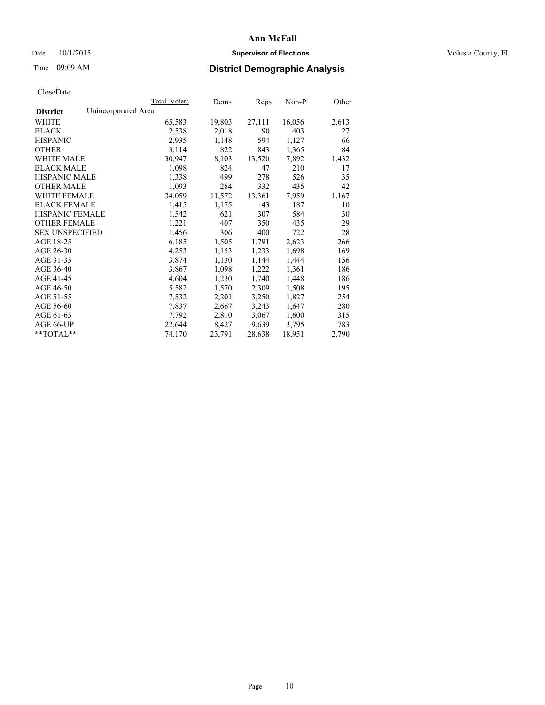# Date  $10/1/2015$  **Supervisor of Elections Supervisor of Elections** Volusia County, FL

# Time 09:09 AM **District Demographic Analysis**

|                                        | <b>Total Voters</b> | Dems   | Reps   | Non-P  | Other |
|----------------------------------------|---------------------|--------|--------|--------|-------|
| Unincorporated Area<br><b>District</b> |                     |        |        |        |       |
| WHITE                                  | 65,583              | 19,803 | 27,111 | 16,056 | 2,613 |
| <b>BLACK</b>                           | 2,538               | 2,018  | 90     | 403    | 27    |
| <b>HISPANIC</b>                        | 2,935               | 1,148  | 594    | 1,127  | 66    |
| <b>OTHER</b>                           | 3,114               | 822    | 843    | 1,365  | 84    |
| WHITE MALE                             | 30,947              | 8,103  | 13,520 | 7,892  | 1,432 |
| <b>BLACK MALE</b>                      | 1,098               | 824    | 47     | 210    | 17    |
| <b>HISPANIC MALE</b>                   | 1,338               | 499    | 278    | 526    | 35    |
| <b>OTHER MALE</b>                      | 1,093               | 284    | 332    | 435    | 42    |
| WHITE FEMALE                           | 34,059              | 11,572 | 13,361 | 7,959  | 1,167 |
| <b>BLACK FEMALE</b>                    | 1,415               | 1,175  | 43     | 187    | 10    |
| <b>HISPANIC FEMALE</b>                 | 1,542               | 621    | 307    | 584    | 30    |
| <b>OTHER FEMALE</b>                    | 1,221               | 407    | 350    | 435    | 29    |
| <b>SEX UNSPECIFIED</b>                 | 1,456               | 306    | 400    | 722    | 28    |
| AGE 18-25                              | 6,185               | 1,505  | 1,791  | 2,623  | 266   |
| AGE 26-30                              | 4,253               | 1,153  | 1,233  | 1,698  | 169   |
| AGE 31-35                              | 3,874               | 1,130  | 1,144  | 1,444  | 156   |
| AGE 36-40                              | 3,867               | 1,098  | 1,222  | 1,361  | 186   |
| AGE 41-45                              | 4,604               | 1,230  | 1,740  | 1,448  | 186   |
| AGE 46-50                              | 5,582               | 1,570  | 2,309  | 1,508  | 195   |
| AGE 51-55                              | 7,532               | 2,201  | 3,250  | 1,827  | 254   |
| AGE 56-60                              | 7,837               | 2,667  | 3,243  | 1,647  | 280   |
| AGE 61-65                              | 7,792               | 2,810  | 3,067  | 1,600  | 315   |
| AGE 66-UP                              | 22,644              | 8,427  | 9,639  | 3,795  | 783   |
| $*$ TOTAL $*$                          | 74,170              | 23,791 | 28,638 | 18,951 | 2,790 |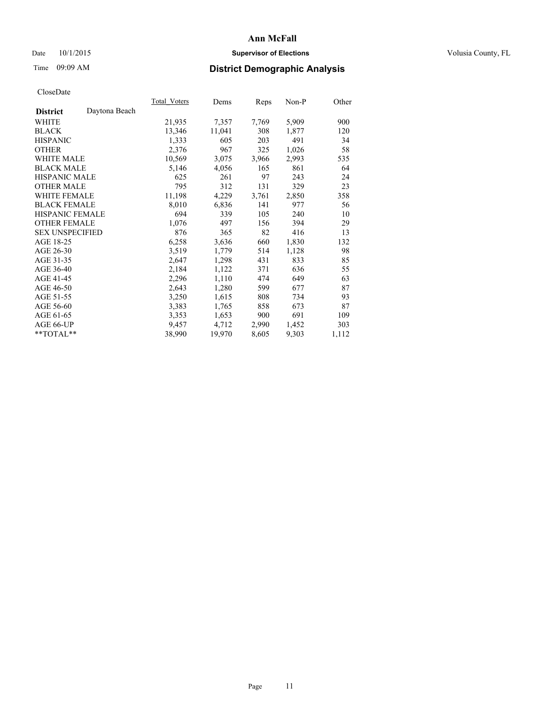# Date  $10/1/2015$  **Supervisor of Elections Supervisor of Elections** Volusia County, FL

# Time 09:09 AM **District Demographic Analysis**

|                        |               | Total Voters | Dems   | Reps  | $Non-P$ | Other |
|------------------------|---------------|--------------|--------|-------|---------|-------|
| <b>District</b>        | Daytona Beach |              |        |       |         |       |
| <b>WHITE</b>           |               | 21,935       | 7,357  | 7.769 | 5,909   | 900   |
| <b>BLACK</b>           |               | 13,346       | 11,041 | 308   | 1,877   | 120   |
| <b>HISPANIC</b>        |               | 1,333        | 605    | 203   | 491     | 34    |
| <b>OTHER</b>           |               | 2,376        | 967    | 325   | 1,026   | 58    |
| <b>WHITE MALE</b>      |               | 10,569       | 3,075  | 3,966 | 2,993   | 535   |
| <b>BLACK MALE</b>      |               | 5,146        | 4,056  | 165   | 861     | 64    |
| <b>HISPANIC MALE</b>   |               | 625          | 261    | 97    | 243     | 24    |
| <b>OTHER MALE</b>      |               | 795          | 312    | 131   | 329     | 23    |
| <b>WHITE FEMALE</b>    |               | 11,198       | 4,229  | 3,761 | 2,850   | 358   |
| <b>BLACK FEMALE</b>    |               | 8,010        | 6,836  | 141   | 977     | 56    |
| HISPANIC FEMALE        |               | 694          | 339    | 105   | 240     | 10    |
| <b>OTHER FEMALE</b>    |               | 1,076        | 497    | 156   | 394     | 29    |
| <b>SEX UNSPECIFIED</b> |               | 876          | 365    | 82    | 416     | 13    |
| AGE 18-25              |               | 6,258        | 3,636  | 660   | 1,830   | 132   |
| AGE 26-30              |               | 3,519        | 1,779  | 514   | 1,128   | 98    |
| AGE 31-35              |               | 2,647        | 1,298  | 431   | 833     | 85    |
| AGE 36-40              |               | 2,184        | 1,122  | 371   | 636     | 55    |
| AGE 41-45              |               | 2,296        | 1,110  | 474   | 649     | 63    |
| AGE 46-50              |               | 2,643        | 1,280  | 599   | 677     | 87    |
| AGE 51-55              |               | 3,250        | 1,615  | 808   | 734     | 93    |
| AGE 56-60              |               | 3,383        | 1,765  | 858   | 673     | 87    |
| AGE 61-65              |               | 3,353        | 1,653  | 900   | 691     | 109   |
| AGE 66-UP              |               | 9,457        | 4,712  | 2,990 | 1,452   | 303   |
| **TOTAL**              |               | 38,990       | 19,970 | 8,605 | 9,303   | 1,112 |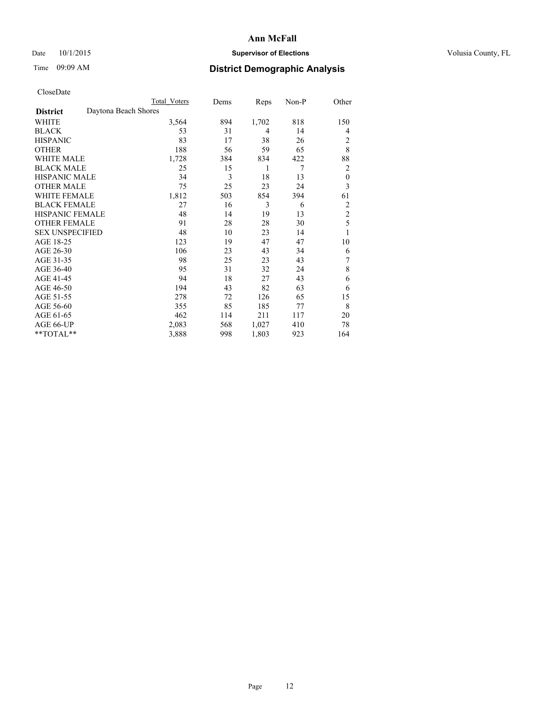# Date  $10/1/2015$  **Supervisor of Elections Supervisor of Elections** Volusia County, FL

# Time 09:09 AM **District Demographic Analysis**

|                                         | Total Voters | Dems | Reps  | Non-P | Other            |
|-----------------------------------------|--------------|------|-------|-------|------------------|
| Daytona Beach Shores<br><b>District</b> |              |      |       |       |                  |
| WHITE                                   | 3,564        | 894  | 1,702 | 818   | 150              |
| <b>BLACK</b>                            | 53           | 31   | 4     | 14    | 4                |
| <b>HISPANIC</b>                         | 83           | 17   | 38    | 26    | 2                |
| <b>OTHER</b>                            | 188          | 56   | 59    | 65    | 8                |
| WHITE MALE                              | 1,728        | 384  | 834   | 422   | 88               |
| <b>BLACK MALE</b>                       | 25           | 15   | 1     | 7     | 2                |
| <b>HISPANIC MALE</b>                    | 34           | 3    | 18    | 13    | $\boldsymbol{0}$ |
| <b>OTHER MALE</b>                       | 75           | 25   | 23    | 24    | 3                |
| <b>WHITE FEMALE</b>                     | 1,812        | 503  | 854   | 394   | 61               |
| <b>BLACK FEMALE</b>                     | 27           | 16   | 3     | 6     | 2                |
| <b>HISPANIC FEMALE</b>                  | 48           | 14   | 19    | 13    | $\overline{2}$   |
| <b>OTHER FEMALE</b>                     | 91           | 28   | 28    | 30    | 5                |
| <b>SEX UNSPECIFIED</b>                  | 48           | 10   | 23    | 14    | 1                |
| AGE 18-25                               | 123          | 19   | 47    | 47    | 10               |
| AGE 26-30                               | 106          | 23   | 43    | 34    | 6                |
| AGE 31-35                               | 98           | 25   | 23    | 43    | 7                |
| AGE 36-40                               | 95           | 31   | 32    | 24    | 8                |
| AGE 41-45                               | 94           | 18   | 27    | 43    | 6                |
| AGE 46-50                               | 194          | 43   | 82    | 63    | 6                |
| AGE 51-55                               | 278          | 72   | 126   | 65    | 15               |
| AGE 56-60                               | 355          | 85   | 185   | 77    | 8                |
| AGE 61-65                               | 462          | 114  | 211   | 117   | 20               |
| AGE 66-UP                               | 2,083        | 568  | 1,027 | 410   | 78               |
| **TOTAL**                               | 3,888        | 998  | 1,803 | 923   | 164              |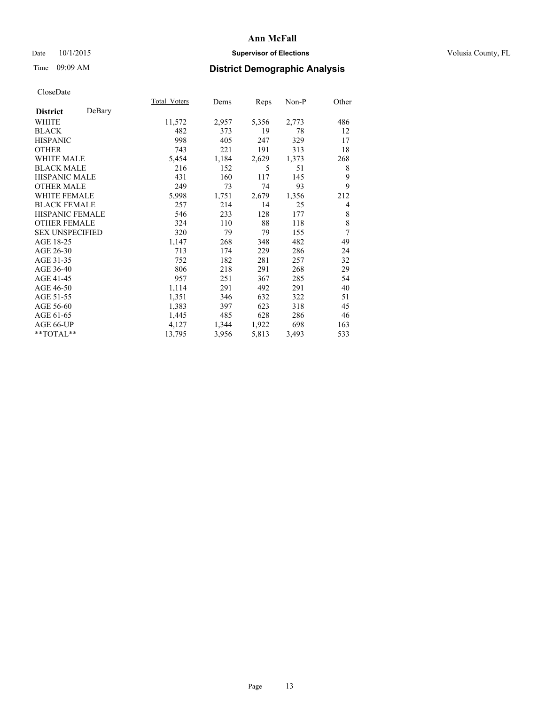# Date  $10/1/2015$  **Supervisor of Elections Supervisor of Elections** Volusia County, FL

| CloseDate |
|-----------|
|-----------|

|                        |        | Total Voters | Dems  | Reps  | Non-P | Other       |
|------------------------|--------|--------------|-------|-------|-------|-------------|
| <b>District</b>        | DeBary |              |       |       |       |             |
| WHITE                  |        | 11,572       | 2,957 | 5,356 | 2,773 | 486         |
| <b>BLACK</b>           |        | 482          | 373   | 19    | 78    | 12          |
| <b>HISPANIC</b>        |        | 998          | 405   | 247   | 329   | 17          |
| <b>OTHER</b>           |        | 743          | 221   | 191   | 313   | 18          |
| <b>WHITE MALE</b>      |        | 5,454        | 1,184 | 2,629 | 1,373 | 268         |
| <b>BLACK MALE</b>      |        | 216          | 152   | 5     | 51    | 8           |
| <b>HISPANIC MALE</b>   |        | 431          | 160   | 117   | 145   | 9           |
| <b>OTHER MALE</b>      |        | 249          | 73    | 74    | 93    | 9           |
| <b>WHITE FEMALE</b>    |        | 5,998        | 1,751 | 2,679 | 1,356 | 212         |
| <b>BLACK FEMALE</b>    |        | 257          | 214   | 14    | 25    | 4           |
| HISPANIC FEMALE        |        | 546          | 233   | 128   | 177   | 8           |
| <b>OTHER FEMALE</b>    |        | 324          | 110   | 88    | 118   | $\,$ 8 $\,$ |
| <b>SEX UNSPECIFIED</b> |        | 320          | 79    | 79    | 155   | 7           |
| AGE 18-25              |        | 1,147        | 268   | 348   | 482   | 49          |
| AGE 26-30              |        | 713          | 174   | 229   | 286   | 24          |
| AGE 31-35              |        | 752          | 182   | 281   | 257   | 32          |
| AGE 36-40              |        | 806          | 218   | 291   | 268   | 29          |
| AGE 41-45              |        | 957          | 251   | 367   | 285   | 54          |
| AGE 46-50              |        | 1,114        | 291   | 492   | 291   | 40          |
| AGE 51-55              |        | 1,351        | 346   | 632   | 322   | 51          |
| AGE 56-60              |        | 1,383        | 397   | 623   | 318   | 45          |
| AGE 61-65              |        | 1,445        | 485   | 628   | 286   | 46          |
| AGE 66-UP              |        | 4,127        | 1,344 | 1,922 | 698   | 163         |
| **TOTAL**              |        | 13,795       | 3,956 | 5,813 | 3,493 | 533         |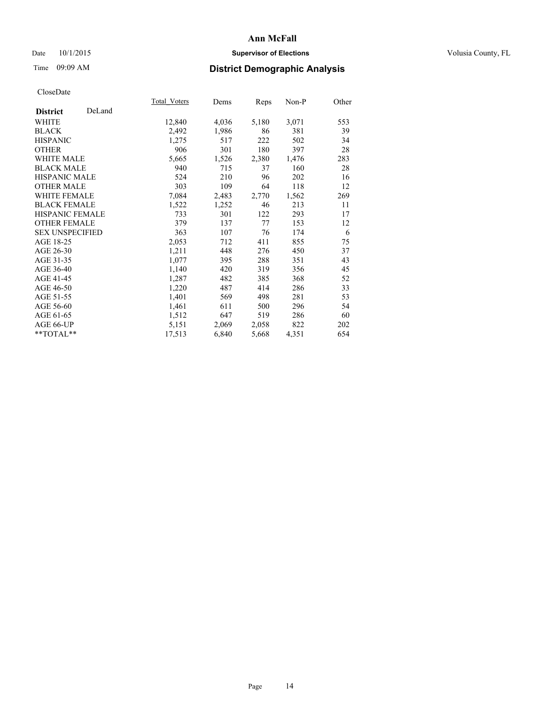# Date  $10/1/2015$  **Supervisor of Elections Supervisor of Elections** Volusia County, FL

# Time 09:09 AM **District Demographic Analysis**

|                           | Total Voters | Dems  | <u>Reps</u> | Non-P | Other |
|---------------------------|--------------|-------|-------------|-------|-------|
| DeLand<br><b>District</b> |              |       |             |       |       |
| WHITE                     | 12,840       | 4,036 | 5,180       | 3,071 | 553   |
| <b>BLACK</b>              | 2,492        | 1,986 | 86          | 381   | 39    |
| <b>HISPANIC</b>           | 1,275        | 517   | 222         | 502   | 34    |
| <b>OTHER</b>              | 906          | 301   | 180         | 397   | 28    |
| <b>WHITE MALE</b>         | 5,665        | 1,526 | 2,380       | 1,476 | 283   |
| <b>BLACK MALE</b>         | 940          | 715   | 37          | 160   | 28    |
| <b>HISPANIC MALE</b>      | 524          | 210   | 96          | 202   | 16    |
| <b>OTHER MALE</b>         | 303          | 109   | 64          | 118   | 12    |
| <b>WHITE FEMALE</b>       | 7,084        | 2,483 | 2,770       | 1,562 | 269   |
| <b>BLACK FEMALE</b>       | 1,522        | 1,252 | 46          | 213   | 11    |
| HISPANIC FEMALE           | 733          | 301   | 122         | 293   | 17    |
| <b>OTHER FEMALE</b>       | 379          | 137   | 77          | 153   | 12    |
| <b>SEX UNSPECIFIED</b>    | 363          | 107   | 76          | 174   | 6     |
| AGE 18-25                 | 2,053        | 712   | 411         | 855   | 75    |
| AGE 26-30                 | 1,211        | 448   | 276         | 450   | 37    |
| AGE 31-35                 | 1,077        | 395   | 288         | 351   | 43    |
| AGE 36-40                 | 1,140        | 420   | 319         | 356   | 45    |
| AGE 41-45                 | 1,287        | 482   | 385         | 368   | 52    |
| AGE 46-50                 | 1,220        | 487   | 414         | 286   | 33    |
| AGE 51-55                 | 1,401        | 569   | 498         | 281   | 53    |
| AGE 56-60                 | 1,461        | 611   | 500         | 296   | 54    |
| AGE 61-65                 | 1,512        | 647   | 519         | 286   | 60    |
| AGE 66-UP                 | 5,151        | 2,069 | 2,058       | 822   | 202   |
| $*$ TOTAL $*$             | 17,513       | 6,840 | 5,668       | 4,351 | 654   |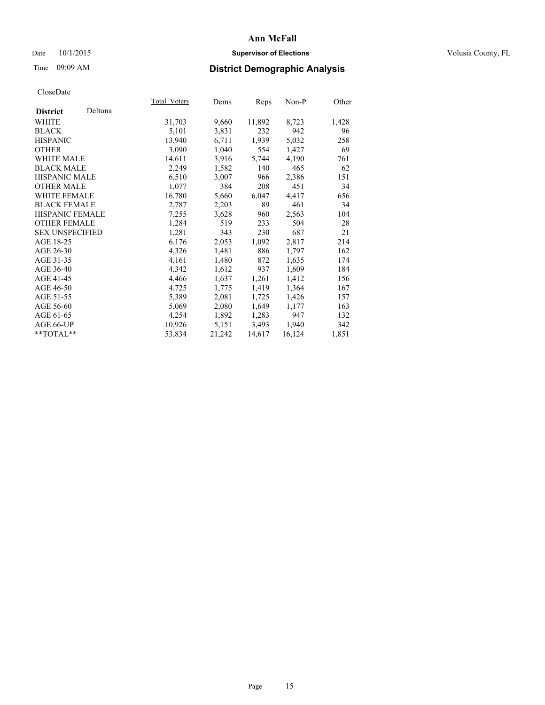# Date  $10/1/2015$  **Supervisor of Elections Supervisor of Elections** Volusia County, FL

# Time 09:09 AM **District Demographic Analysis**

|                        |         | <b>Total Voters</b> | Dems   | Reps   | Non-P  | Other |
|------------------------|---------|---------------------|--------|--------|--------|-------|
| <b>District</b>        | Deltona |                     |        |        |        |       |
| WHITE                  |         | 31,703              | 9,660  | 11,892 | 8,723  | 1,428 |
| <b>BLACK</b>           |         | 5,101               | 3,831  | 232    | 942    | 96    |
| <b>HISPANIC</b>        |         | 13,940              | 6,711  | 1,939  | 5,032  | 258   |
| <b>OTHER</b>           |         | 3,090               | 1,040  | 554    | 1,427  | 69    |
| WHITE MALE             |         | 14,611              | 3,916  | 5,744  | 4,190  | 761   |
| <b>BLACK MALE</b>      |         | 2,249               | 1,582  | 140    | 465    | 62    |
| <b>HISPANIC MALE</b>   |         | 6,510               | 3,007  | 966    | 2,386  | 151   |
| <b>OTHER MALE</b>      |         | 1,077               | 384    | 208    | 451    | 34    |
| <b>WHITE FEMALE</b>    |         | 16,780              | 5,660  | 6,047  | 4,417  | 656   |
| <b>BLACK FEMALE</b>    |         | 2,787               | 2,203  | 89     | 461    | 34    |
| HISPANIC FEMALE        |         | 7,255               | 3,628  | 960    | 2,563  | 104   |
| <b>OTHER FEMALE</b>    |         | 1,284               | 519    | 233    | 504    | 28    |
| <b>SEX UNSPECIFIED</b> |         | 1,281               | 343    | 230    | 687    | 21    |
| AGE 18-25              |         | 6,176               | 2,053  | 1,092  | 2,817  | 214   |
| AGE 26-30              |         | 4,326               | 1,481  | 886    | 1,797  | 162   |
| AGE 31-35              |         | 4,161               | 1,480  | 872    | 1,635  | 174   |
| AGE 36-40              |         | 4,342               | 1,612  | 937    | 1,609  | 184   |
| AGE 41-45              |         | 4,466               | 1,637  | 1,261  | 1,412  | 156   |
| AGE 46-50              |         | 4,725               | 1,775  | 1,419  | 1,364  | 167   |
| AGE 51-55              |         | 5,389               | 2,081  | 1,725  | 1,426  | 157   |
| AGE 56-60              |         | 5,069               | 2,080  | 1,649  | 1,177  | 163   |
| AGE 61-65              |         | 4,254               | 1,892  | 1,283  | 947    | 132   |
| AGE 66-UP              |         | 10,926              | 5,151  | 3,493  | 1,940  | 342   |
| $*$ $TOTAI.**$         |         | 53,834              | 21,242 | 14,617 | 16,124 | 1,851 |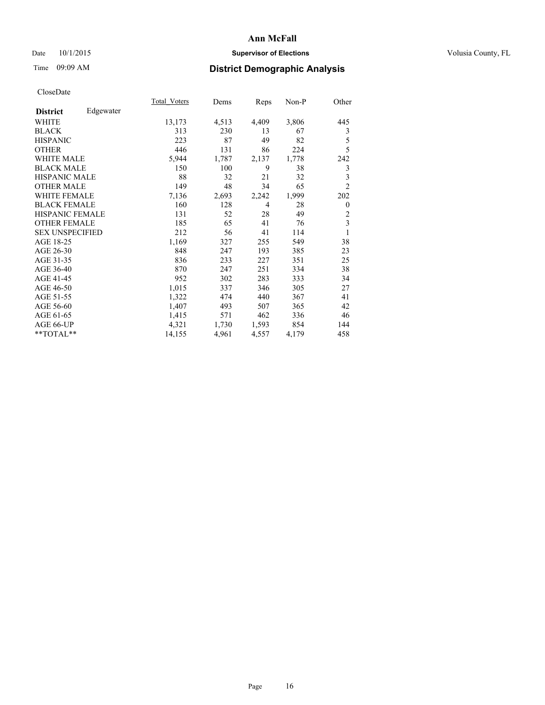# Date  $10/1/2015$  **Supervisor of Elections Supervisor of Elections** Volusia County, FL

# Time 09:09 AM **District Demographic Analysis**

|                              | Total Voters | Dems  | Reps  | Non-P | Other                   |
|------------------------------|--------------|-------|-------|-------|-------------------------|
| Edgewater<br><b>District</b> |              |       |       |       |                         |
| WHITE                        | 13,173       | 4,513 | 4,409 | 3,806 | 445                     |
| <b>BLACK</b>                 | 313          | 230   | 13    | 67    | 3                       |
| <b>HISPANIC</b>              | 223          | 87    | 49    | 82    | 5                       |
| <b>OTHER</b>                 | 446          | 131   | 86    | 224   | 5                       |
| <b>WHITE MALE</b>            | 5,944        | 1,787 | 2,137 | 1,778 | 242                     |
| <b>BLACK MALE</b>            | 150          | 100   | 9     | 38    | 3                       |
| <b>HISPANIC MALE</b>         | 88           | 32    | 21    | 32    | 3                       |
| <b>OTHER MALE</b>            | 149          | 48    | 34    | 65    | $\overline{c}$          |
| <b>WHITE FEMALE</b>          | 7,136        | 2,693 | 2,242 | 1,999 | 202                     |
| <b>BLACK FEMALE</b>          | 160          | 128   | 4     | 28    | $\theta$                |
| <b>HISPANIC FEMALE</b>       | 131          | 52    | 28    | 49    | $\overline{2}$          |
| <b>OTHER FEMALE</b>          | 185          | 65    | 41    | 76    | $\overline{\mathbf{3}}$ |
| <b>SEX UNSPECIFIED</b>       | 212          | 56    | 41    | 114   | 1                       |
| AGE 18-25                    | 1,169        | 327   | 255   | 549   | 38                      |
| AGE 26-30                    | 848          | 247   | 193   | 385   | 23                      |
| AGE 31-35                    | 836          | 233   | 227   | 351   | 25                      |
| AGE 36-40                    | 870          | 247   | 251   | 334   | 38                      |
| AGE 41-45                    | 952          | 302   | 283   | 333   | 34                      |
| AGE 46-50                    | 1,015        | 337   | 346   | 305   | 27                      |
| AGE 51-55                    | 1,322        | 474   | 440   | 367   | 41                      |
| AGE 56-60                    | 1,407        | 493   | 507   | 365   | 42                      |
| AGE 61-65                    | 1,415        | 571   | 462   | 336   | 46                      |
| AGE 66-UP                    | 4,321        | 1,730 | 1,593 | 854   | 144                     |
| **TOTAL**                    | 14,155       | 4,961 | 4,557 | 4,179 | 458                     |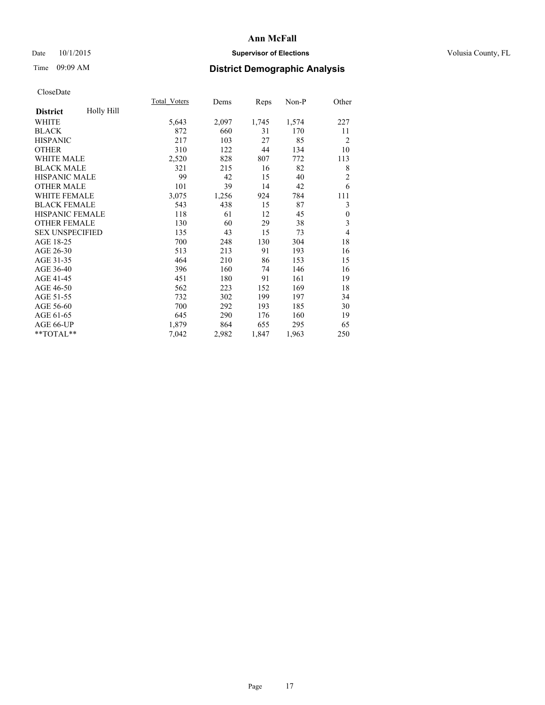# Date  $10/1/2015$  **Supervisor of Elections Supervisor of Elections** Volusia County, FL

# Time 09:09 AM **District Demographic Analysis**

|                               | Total Voters | Dems  | Reps  | Non-P | Other            |
|-------------------------------|--------------|-------|-------|-------|------------------|
| Holly Hill<br><b>District</b> |              |       |       |       |                  |
| <b>WHITE</b>                  | 5,643        | 2,097 | 1,745 | 1,574 | 227              |
| <b>BLACK</b>                  | 872          | 660   | 31    | 170   | 11               |
| <b>HISPANIC</b>               | 217          | 103   | 27    | 85    | $\overline{2}$   |
| <b>OTHER</b>                  | 310          | 122   | 44    | 134   | 10               |
| <b>WHITE MALE</b>             | 2,520        | 828   | 807   | 772   | 113              |
| <b>BLACK MALE</b>             | 321          | 215   | 16    | 82    | 8                |
| HISPANIC MALE                 | 99           | 42    | 15    | 40    | $\overline{2}$   |
| <b>OTHER MALE</b>             | 101          | 39    | 14    | 42    | 6                |
| <b>WHITE FEMALE</b>           | 3,075        | 1,256 | 924   | 784   | 111              |
| <b>BLACK FEMALE</b>           | 543          | 438   | 15    | 87    | 3                |
| <b>HISPANIC FEMALE</b>        | 118          | 61    | 12    | 45    | $\boldsymbol{0}$ |
| <b>OTHER FEMALE</b>           | 130          | 60    | 29    | 38    | 3                |
| <b>SEX UNSPECIFIED</b>        | 135          | 43    | 15    | 73    | 4                |
| AGE 18-25                     | 700          | 248   | 130   | 304   | 18               |
| AGE 26-30                     | 513          | 213   | 91    | 193   | 16               |
| AGE 31-35                     | 464          | 210   | 86    | 153   | 15               |
| AGE 36-40                     | 396          | 160   | 74    | 146   | 16               |
| AGE 41-45                     | 451          | 180   | 91    | 161   | 19               |
| AGE 46-50                     | 562          | 223   | 152   | 169   | 18               |
| AGE 51-55                     | 732          | 302   | 199   | 197   | 34               |
| AGE 56-60                     | 700          | 292   | 193   | 185   | 30               |
| AGE 61-65                     | 645          | 290   | 176   | 160   | 19               |
| AGE 66-UP                     | 1,879        | 864   | 655   | 295   | 65               |
| **TOTAL**                     | 7,042        | 2,982 | 1,847 | 1,963 | 250              |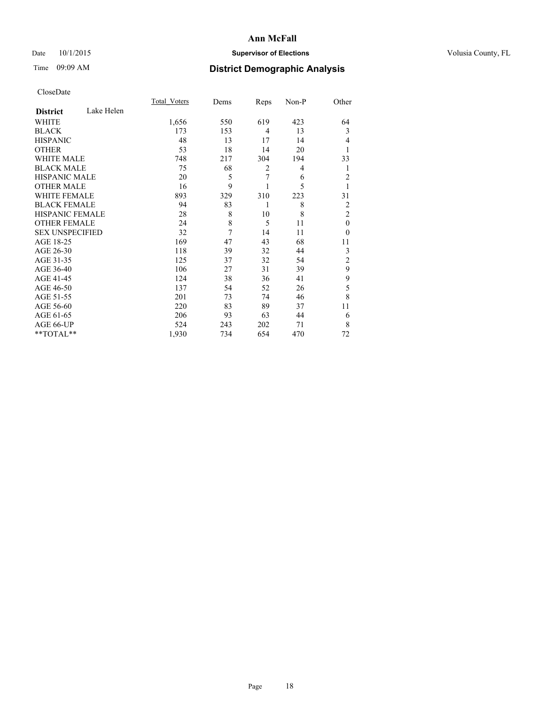# Date  $10/1/2015$  **Supervisor of Elections Supervisor of Elections** Volusia County, FL

# Time 09:09 AM **District Demographic Analysis**

|                        |            | Total Voters | Dems | Reps           | Non-P | Other          |
|------------------------|------------|--------------|------|----------------|-------|----------------|
| <b>District</b>        | Lake Helen |              |      |                |       |                |
| WHITE                  |            | 1,656        | 550  | 619            | 423   | 64             |
| <b>BLACK</b>           |            | 173          | 153  | $\overline{4}$ | 13    | 3              |
| <b>HISPANIC</b>        |            | 48           | 13   | 17             | 14    | 4              |
| <b>OTHER</b>           |            | 53           | 18   | 14             | 20    | 1              |
| WHITE MALE             |            | 748          | 217  | 304            | 194   | 33             |
| <b>BLACK MALE</b>      |            | 75           | 68   | $\overline{2}$ | 4     | 1              |
| <b>HISPANIC MALE</b>   |            | 20           | 5    | 7              | 6     | $\overline{2}$ |
| <b>OTHER MALE</b>      |            | 16           | 9    |                | 5     | 1              |
| WHITE FEMALE           |            | 893          | 329  | 310            | 223   | 31             |
| <b>BLACK FEMALE</b>    |            | 94           | 83   | 1              | 8     | 2              |
| <b>HISPANIC FEMALE</b> |            | 28           | 8    | 10             | 8     | $\overline{2}$ |
| <b>OTHER FEMALE</b>    |            | 24           | 8    | 5              | 11    | $\theta$       |
| <b>SEX UNSPECIFIED</b> |            | 32           | 7    | 14             | 11    | $\theta$       |
| AGE 18-25              |            | 169          | 47   | 43             | 68    | 11             |
| AGE 26-30              |            | 118          | 39   | 32             | 44    | 3              |
| AGE 31-35              |            | 125          | 37   | 32             | 54    | $\overline{c}$ |
| AGE 36-40              |            | 106          | 27   | 31             | 39    | 9              |
| AGE 41-45              |            | 124          | 38   | 36             | 41    | 9              |
| AGE 46-50              |            | 137          | 54   | 52             | 26    | 5              |
| AGE 51-55              |            | 201          | 73   | 74             | 46    | 8              |
| AGE 56-60              |            | 220          | 83   | 89             | 37    | 11             |
| AGE 61-65              |            | 206          | 93   | 63             | 44    | 6              |
| AGE 66-UP              |            | 524          | 243  | 202            | 71    | 8              |
| **TOTAL**              |            | 1,930        | 734  | 654            | 470   | 72             |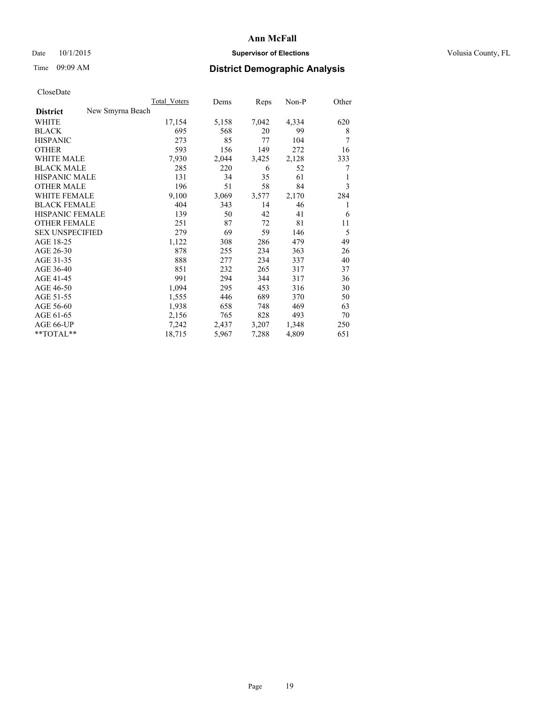# Date  $10/1/2015$  **Supervisor of Elections Supervisor of Elections** Volusia County, FL

|                                     | Total Voters | Dems  | Reps  | Non-P | Other |
|-------------------------------------|--------------|-------|-------|-------|-------|
| New Smyrna Beach<br><b>District</b> |              |       |       |       |       |
| WHITE                               | 17,154       | 5,158 | 7,042 | 4,334 | 620   |
| <b>BLACK</b>                        | 695          | 568   | 20    | 99    | 8     |
| <b>HISPANIC</b>                     | 273          | 85    | 77    | 104   | 7     |
| <b>OTHER</b>                        | 593          | 156   | 149   | 272   | 16    |
| <b>WHITE MALE</b>                   | 7,930        | 2,044 | 3,425 | 2,128 | 333   |
| <b>BLACK MALE</b>                   | 285          | 220   | 6     | 52    | 7     |
| <b>HISPANIC MALE</b>                | 131          | 34    | 35    | 61    | 1     |
| <b>OTHER MALE</b>                   | 196          | 51    | 58    | 84    | 3     |
| WHITE FEMALE                        | 9,100        | 3,069 | 3,577 | 2,170 | 284   |
| <b>BLACK FEMALE</b>                 | 404          | 343   | 14    | 46    | 1     |
| HISPANIC FEMALE                     | 139          | 50    | 42    | 41    | 6     |
| <b>OTHER FEMALE</b>                 | 251          | 87    | 72    | 81    | 11    |
| <b>SEX UNSPECIFIED</b>              | 279          | 69    | 59    | 146   | 5     |
| AGE 18-25                           | 1,122        | 308   | 286   | 479   | 49    |
| AGE 26-30                           | 878          | 255   | 234   | 363   | 26    |
| AGE 31-35                           | 888          | 277   | 234   | 337   | 40    |
| AGE 36-40                           | 851          | 232   | 265   | 317   | 37    |
| AGE 41-45                           | 991          | 294   | 344   | 317   | 36    |
| AGE 46-50                           | 1,094        | 295   | 453   | 316   | 30    |
| AGE 51-55                           | 1,555        | 446   | 689   | 370   | 50    |
| AGE 56-60                           | 1,938        | 658   | 748   | 469   | 63    |
| AGE 61-65                           | 2,156        | 765   | 828   | 493   | 70    |
| AGE 66-UP                           | 7,242        | 2,437 | 3,207 | 1,348 | 250   |
| $*$ $TOTAL**$                       | 18,715       | 5,967 | 7,288 | 4,809 | 651   |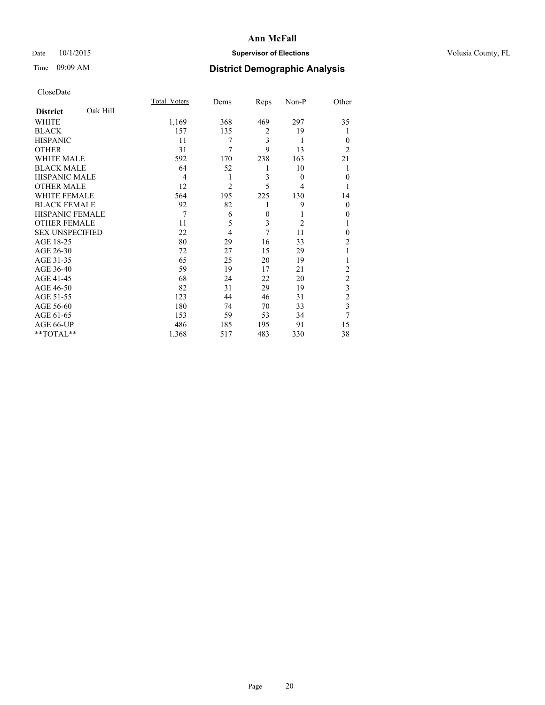# Date  $10/1/2015$  **Supervisor of Elections Supervisor of Elections** Volusia County, FL

# Time 09:09 AM **District Demographic Analysis**

|                        |          | <b>Total Voters</b> | Dems           | Reps           | Non-P          | Other          |
|------------------------|----------|---------------------|----------------|----------------|----------------|----------------|
| <b>District</b>        | Oak Hill |                     |                |                |                |                |
| WHITE                  |          | 1,169               | 368            | 469            | 297            | 35             |
| <b>BLACK</b>           |          | 157                 | 135            | $\overline{2}$ | 19             |                |
| <b>HISPANIC</b>        |          | 11                  | 7              | 3              | 1              | $\Omega$       |
| <b>OTHER</b>           |          | 31                  | 7              | 9              | 13             | $\overline{c}$ |
| <b>WHITE MALE</b>      |          | 592                 | 170            | 238            | 163            | 21             |
| <b>BLACK MALE</b>      |          | 64                  | 52             | 1              | 10             |                |
| <b>HISPANIC MALE</b>   |          | 4                   | 1              | 3              | $\theta$       | $\Omega$       |
| <b>OTHER MALE</b>      |          | 12                  | $\overline{c}$ | 5              | 4              |                |
| <b>WHITE FEMALE</b>    |          | 564                 | 195            | 225            | 130            | 14             |
| <b>BLACK FEMALE</b>    |          | 92                  | 82             | 1              | 9              | $\Omega$       |
| <b>HISPANIC FEMALE</b> |          | 7                   | 6              | $\theta$       | 1              | $\theta$       |
| <b>OTHER FEMALE</b>    |          | 11                  | 5              | 3              | $\overline{2}$ |                |
| <b>SEX UNSPECIFIED</b> |          | 22                  | $\overline{4}$ | 7              | 11             | $\Omega$       |
| AGE 18-25              |          | 80                  | 29             | 16             | 33             | $\overline{c}$ |
| AGE 26-30              |          | 72                  | 27             | 15             | 29             |                |
| AGE 31-35              |          | 65                  | 25             | 20             | 19             |                |
| AGE 36-40              |          | 59                  | 19             | 17             | 21             | $\overline{2}$ |
| AGE 41-45              |          | 68                  | 24             | 22             | 20             | $\overline{c}$ |
| AGE 46-50              |          | 82                  | 31             | 29             | 19             | 3              |
| AGE 51-55              |          | 123                 | 44             | 46             | 31             | $\overline{c}$ |
| AGE 56-60              |          | 180                 | 74             | 70             | 33             | 3              |
| AGE 61-65              |          | 153                 | 59             | 53             | 34             | 7              |
| AGE 66-UP              |          | 486                 | 185            | 195            | 91             | 15             |
| **TOTAL**              |          | 1,368               | 517            | 483            | 330            | 38             |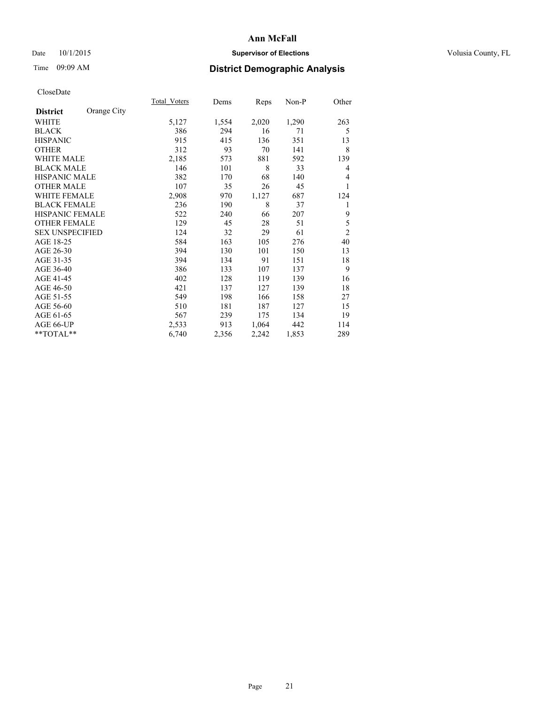# Date  $10/1/2015$  **Supervisor of Elections Supervisor of Elections** Volusia County, FL

# Time 09:09 AM **District Demographic Analysis**

|                        |             | <b>Total Voters</b> | Dems  | Reps  | Non-P | Other          |
|------------------------|-------------|---------------------|-------|-------|-------|----------------|
| <b>District</b>        | Orange City |                     |       |       |       |                |
| WHITE                  |             | 5,127               | 1,554 | 2,020 | 1,290 | 263            |
| <b>BLACK</b>           |             | 386                 | 294   | 16    | 71    | 5              |
| <b>HISPANIC</b>        |             | 915                 | 415   | 136   | 351   | 13             |
| <b>OTHER</b>           |             | 312                 | 93    | 70    | 141   | 8              |
| WHITE MALE             |             | 2,185               | 573   | 881   | 592   | 139            |
| <b>BLACK MALE</b>      |             | 146                 | 101   | 8     | 33    | 4              |
| HISPANIC MALE          |             | 382                 | 170   | 68    | 140   | 4              |
| <b>OTHER MALE</b>      |             | 107                 | 35    | 26    | 45    |                |
| <b>WHITE FEMALE</b>    |             | 2,908               | 970   | 1,127 | 687   | 124            |
| <b>BLACK FEMALE</b>    |             | 236                 | 190   | 8     | 37    | 1              |
| <b>HISPANIC FEMALE</b> |             | 522                 | 240   | 66    | 207   | 9              |
| <b>OTHER FEMALE</b>    |             | 129                 | 45    | 28    | 51    | 5              |
| <b>SEX UNSPECIFIED</b> |             | 124                 | 32    | 29    | 61    | $\overline{c}$ |
| AGE 18-25              |             | 584                 | 163   | 105   | 276   | 40             |
| AGE 26-30              |             | 394                 | 130   | 101   | 150   | 13             |
| AGE 31-35              |             | 394                 | 134   | 91    | 151   | 18             |
| AGE 36-40              |             | 386                 | 133   | 107   | 137   | 9              |
| AGE 41-45              |             | 402                 | 128   | 119   | 139   | 16             |
| AGE 46-50              |             | 421                 | 137   | 127   | 139   | 18             |
| AGE 51-55              |             | 549                 | 198   | 166   | 158   | 27             |
| AGE 56-60              |             | 510                 | 181   | 187   | 127   | 15             |
| AGE 61-65              |             | 567                 | 239   | 175   | 134   | 19             |
| AGE 66-UP              |             | 2,533               | 913   | 1,064 | 442   | 114            |
| **TOTAL**              |             | 6,740               | 2,356 | 2,242 | 1,853 | 289            |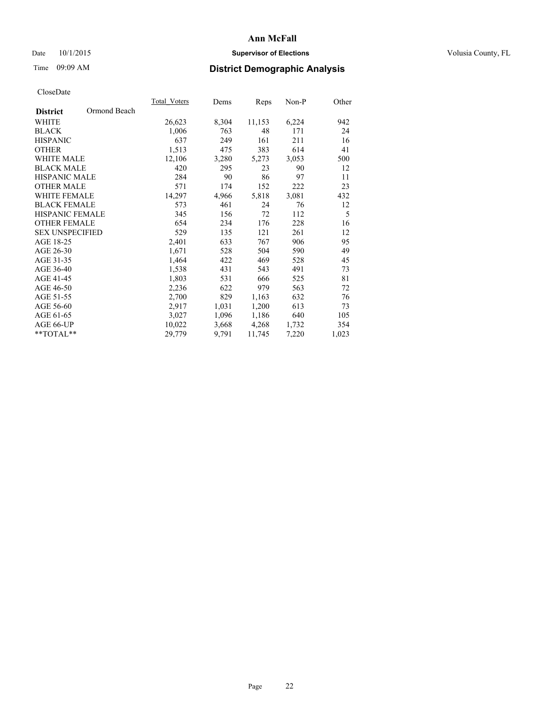# Date  $10/1/2015$  **Supervisor of Elections Supervisor of Elections** Volusia County, FL

# Time 09:09 AM **District Demographic Analysis**

|                                 | <b>Total Voters</b> | Dems  | Reps   | $Non-P$ | Other |
|---------------------------------|---------------------|-------|--------|---------|-------|
| Ormond Beach<br><b>District</b> |                     |       |        |         |       |
| WHITE                           | 26,623              | 8,304 | 11,153 | 6,224   | 942   |
| <b>BLACK</b>                    | 1,006               | 763   | 48     | 171     | 24    |
| <b>HISPANIC</b>                 | 637                 | 249   | 161    | 211     | 16    |
| <b>OTHER</b>                    | 1,513               | 475   | 383    | 614     | 41    |
| WHITE MALE                      | 12,106              | 3,280 | 5,273  | 3,053   | 500   |
| <b>BLACK MALE</b>               | 420                 | 295   | 23     | 90      | 12    |
| <b>HISPANIC MALE</b>            | 284                 | 90    | 86     | 97      | 11    |
| <b>OTHER MALE</b>               | 571                 | 174   | 152    | 222     | 23    |
| <b>WHITE FEMALE</b>             | 14,297              | 4,966 | 5,818  | 3,081   | 432   |
| <b>BLACK FEMALE</b>             | 573                 | 461   | 24     | 76      | 12    |
| HISPANIC FEMALE                 | 345                 | 156   | 72     | 112     | 5     |
| <b>OTHER FEMALE</b>             | 654                 | 234   | 176    | 228     | 16    |
| <b>SEX UNSPECIFIED</b>          | 529                 | 135   | 121    | 261     | 12    |
| AGE 18-25                       | 2,401               | 633   | 767    | 906     | 95    |
| AGE 26-30                       | 1,671               | 528   | 504    | 590     | 49    |
| AGE 31-35                       | 1,464               | 422   | 469    | 528     | 45    |
| AGE 36-40                       | 1,538               | 431   | 543    | 491     | 73    |
| AGE 41-45                       | 1,803               | 531   | 666    | 525     | 81    |
| AGE 46-50                       | 2,236               | 622   | 979    | 563     | 72    |
| AGE 51-55                       | 2,700               | 829   | 1,163  | 632     | 76    |
| AGE 56-60                       | 2,917               | 1,031 | 1,200  | 613     | 73    |
| AGE 61-65                       | 3,027               | 1,096 | 1,186  | 640     | 105   |
| AGE 66-UP                       | 10,022              | 3,668 | 4,268  | 1,732   | 354   |
| $*$ $TOTAL**$                   | 29,779              | 9,791 | 11,745 | 7,220   | 1,023 |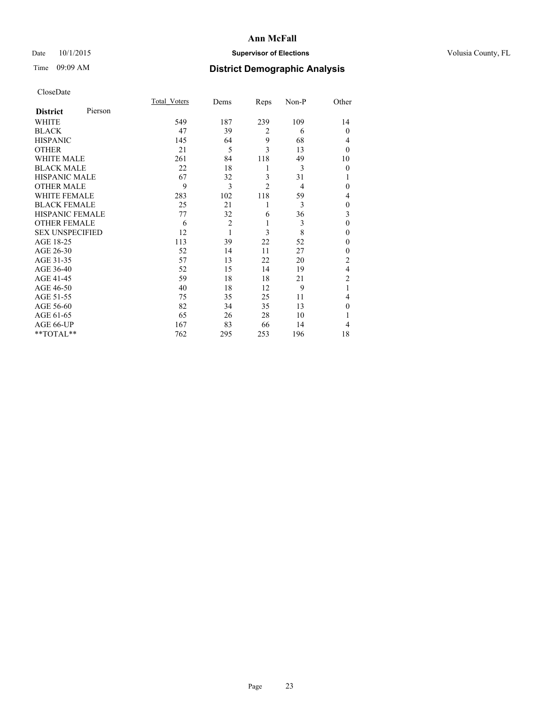# Date  $10/1/2015$  **Supervisor of Elections Supervisor of Elections** Volusia County, FL

| CloseDate |
|-----------|
|-----------|

|                        |         | <b>Total Voters</b> | Dems           | Reps           | Non-P          | Other          |
|------------------------|---------|---------------------|----------------|----------------|----------------|----------------|
| <b>District</b>        | Pierson |                     |                |                |                |                |
| WHITE                  |         | 549                 | 187            | 239            | 109            | 14             |
| <b>BLACK</b>           |         | 47                  | 39             | $\overline{2}$ | 6              | $\Omega$       |
| <b>HISPANIC</b>        |         | 145                 | 64             | 9              | 68             | 4              |
| <b>OTHER</b>           |         | 21                  | 5              | 3              | 13             | $\theta$       |
| WHITE MALE             |         | 261                 | 84             | 118            | 49             | 10             |
| <b>BLACK MALE</b>      |         | 22                  | 18             | 1              | 3              | $\theta$       |
| <b>HISPANIC MALE</b>   |         | 67                  | 32             | 3              | 31             |                |
| <b>OTHER MALE</b>      |         | 9                   | 3              | $\overline{2}$ | $\overline{4}$ | 0              |
| WHITE FEMALE           |         | 283                 | 102            | 118            | 59             | 4              |
| <b>BLACK FEMALE</b>    |         | 25                  | 21             | 1              | 3              | $\theta$       |
| <b>HISPANIC FEMALE</b> |         | 77                  | 32             | 6              | 36             | 3              |
| <b>OTHER FEMALE</b>    |         | 6                   | $\overline{2}$ | 1              | 3              | $\theta$       |
| <b>SEX UNSPECIFIED</b> |         | 12                  | 1              | 3              | 8              | $\mathbf{0}$   |
| AGE 18-25              |         | 113                 | 39             | 22             | 52             | $\theta$       |
| AGE 26-30              |         | 52                  | 14             | 11             | 27             | $\mathbf{0}$   |
| AGE 31-35              |         | 57                  | 13             | 22             | 20             | $\overline{c}$ |
| AGE 36-40              |         | 52                  | 15             | 14             | 19             | 4              |
| AGE 41-45              |         | 59                  | 18             | 18             | 21             | $\overline{c}$ |
| AGE 46-50              |         | 40                  | 18             | 12             | 9              | 1              |
| AGE 51-55              |         | 75                  | 35             | 25             | 11             | 4              |
| AGE 56-60              |         | 82                  | 34             | 35             | 13             | $\theta$       |
| AGE 61-65              |         | 65                  | 26             | 28             | 10             |                |
| AGE 66-UP              |         | 167                 | 83             | 66             | 14             | 4              |
| **TOTAL**              |         | 762                 | 295            | 253            | 196            | 18             |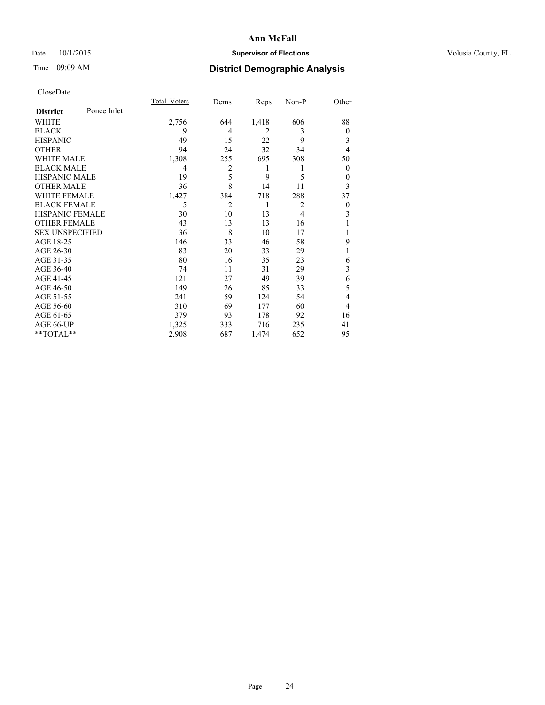# Date  $10/1/2015$  **Supervisor of Elections Supervisor of Elections** Volusia County, FL

# Time 09:09 AM **District Demographic Analysis**

|                        |             | <b>Total Voters</b> | Dems           | Reps  | Non-P          | Other        |
|------------------------|-------------|---------------------|----------------|-------|----------------|--------------|
| <b>District</b>        | Ponce Inlet |                     |                |       |                |              |
| WHITE                  |             | 2,756               | 644            | 1,418 | 606            | 88           |
| <b>BLACK</b>           |             | 9                   | 4              | 2     | 3              | $\mathbf{0}$ |
| <b>HISPANIC</b>        |             | 49                  | 15             | 22    | 9              | 3            |
| <b>OTHER</b>           |             | 94                  | 24             | 32    | 34             | 4            |
| WHITE MALE             |             | 1,308               | 255            | 695   | 308            | 50           |
| <b>BLACK MALE</b>      |             | 4                   | 2              | 1     | 1              | $\mathbf{0}$ |
| <b>HISPANIC MALE</b>   |             | 19                  | 5              | 9     | 5              | $\theta$     |
| <b>OTHER MALE</b>      |             | 36                  | 8              | 14    | 11             | 3            |
| WHITE FEMALE           |             | 1,427               | 384            | 718   | 288            | 37           |
| <b>BLACK FEMALE</b>    |             | 5                   | $\overline{2}$ | 1     | $\overline{2}$ | $\theta$     |
| <b>HISPANIC FEMALE</b> |             | 30                  | 10             | 13    | 4              | 3            |
| <b>OTHER FEMALE</b>    |             | 43                  | 13             | 13    | 16             |              |
| <b>SEX UNSPECIFIED</b> |             | 36                  | 8              | 10    | 17             |              |
| AGE 18-25              |             | 146                 | 33             | 46    | 58             | 9            |
| AGE 26-30              |             | 83                  | 20             | 33    | 29             |              |
| AGE 31-35              |             | 80                  | 16             | 35    | 23             | 6            |
| AGE 36-40              |             | 74                  | 11             | 31    | 29             | 3            |
| AGE 41-45              |             | 121                 | 27             | 49    | 39             | 6            |
| AGE 46-50              |             | 149                 | 26             | 85    | 33             | 5            |
| AGE 51-55              |             | 241                 | 59             | 124   | 54             | 4            |
| AGE 56-60              |             | 310                 | 69             | 177   | 60             | 4            |
| AGE 61-65              |             | 379                 | 93             | 178   | 92             | 16           |
| AGE 66-UP              |             | 1,325               | 333            | 716   | 235            | 41           |
| $*$ TOTAL $**$         |             | 2,908               | 687            | 1,474 | 652            | 95           |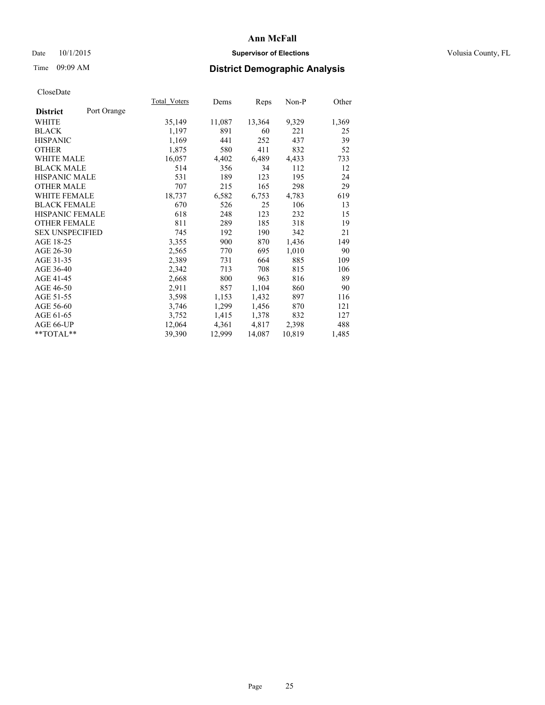# Date  $10/1/2015$  **Supervisor of Elections Supervisor of Elections** Volusia County, FL

# Time 09:09 AM **District Demographic Analysis**

|                        |             | Total Voters | Dems   | <b>Reps</b> | Non-P  | Other |
|------------------------|-------------|--------------|--------|-------------|--------|-------|
| <b>District</b>        | Port Orange |              |        |             |        |       |
| WHITE                  |             | 35,149       | 11,087 | 13,364      | 9,329  | 1,369 |
| <b>BLACK</b>           |             | 1,197        | 891    | 60          | 221    | 25    |
| <b>HISPANIC</b>        |             | 1,169        | 441    | 252         | 437    | 39    |
| <b>OTHER</b>           |             | 1,875        | 580    | 411         | 832    | 52    |
| WHITE MALE             |             | 16,057       | 4,402  | 6,489       | 4,433  | 733   |
| <b>BLACK MALE</b>      |             | 514          | 356    | 34          | 112    | 12    |
| <b>HISPANIC MALE</b>   |             | 531          | 189    | 123         | 195    | 24    |
| <b>OTHER MALE</b>      |             | 707          | 215    | 165         | 298    | 29    |
| <b>WHITE FEMALE</b>    |             | 18,737       | 6,582  | 6,753       | 4,783  | 619   |
| <b>BLACK FEMALE</b>    |             | 670          | 526    | 25          | 106    | 13    |
| <b>HISPANIC FEMALE</b> |             | 618          | 248    | 123         | 232    | 15    |
| <b>OTHER FEMALE</b>    |             | 811          | 289    | 185         | 318    | 19    |
| <b>SEX UNSPECIFIED</b> |             | 745          | 192    | 190         | 342    | 21    |
| AGE 18-25              |             | 3,355        | 900    | 870         | 1,436  | 149   |
| AGE 26-30              |             | 2,565        | 770    | 695         | 1,010  | 90    |
| AGE 31-35              |             | 2,389        | 731    | 664         | 885    | 109   |
| AGE 36-40              |             | 2,342        | 713    | 708         | 815    | 106   |
| AGE 41-45              |             | 2,668        | 800    | 963         | 816    | 89    |
| AGE 46-50              |             | 2,911        | 857    | 1,104       | 860    | 90    |
| AGE 51-55              |             | 3,598        | 1,153  | 1,432       | 897    | 116   |
| AGE 56-60              |             | 3,746        | 1,299  | 1,456       | 870    | 121   |
| AGE 61-65              |             | 3,752        | 1,415  | 1,378       | 832    | 127   |
| AGE 66-UP              |             | 12,064       | 4,361  | 4,817       | 2,398  | 488   |
| $*$ TOTAL $*$          |             | 39,390       | 12,999 | 14,087      | 10,819 | 1,485 |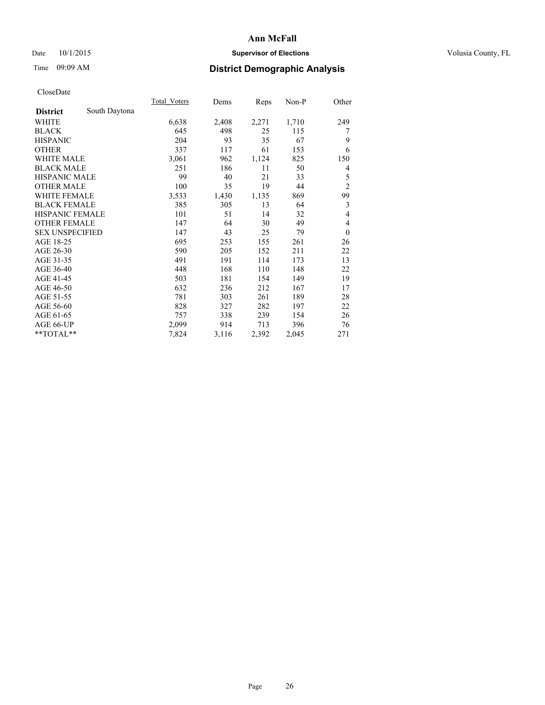# Date  $10/1/2015$  **Supervisor of Elections Supervisor of Elections** Volusia County, FL

# Time 09:09 AM **District Demographic Analysis**

|                        |               | Total Voters | Dems  | Reps  | Non-P | Other            |
|------------------------|---------------|--------------|-------|-------|-------|------------------|
| <b>District</b>        | South Daytona |              |       |       |       |                  |
| WHITE                  |               | 6,638        | 2,408 | 2,271 | 1,710 | 249              |
| <b>BLACK</b>           |               | 645          | 498   | 25    | 115   | 7                |
| <b>HISPANIC</b>        |               | 204          | 93    | 35    | 67    | 9                |
| <b>OTHER</b>           |               | 337          | 117   | 61    | 153   | 6                |
| <b>WHITE MALE</b>      |               | 3,061        | 962   | 1,124 | 825   | 150              |
| <b>BLACK MALE</b>      |               | 251          | 186   | 11    | 50    | 4                |
| <b>HISPANIC MALE</b>   |               | 99           | 40    | 21    | 33    | 5                |
| <b>OTHER MALE</b>      |               | 100          | 35    | 19    | 44    | $\overline{2}$   |
| <b>WHITE FEMALE</b>    |               | 3,533        | 1,430 | 1,135 | 869   | 99               |
| <b>BLACK FEMALE</b>    |               | 385          | 305   | 13    | 64    | 3                |
| <b>HISPANIC FEMALE</b> |               | 101          | 51    | 14    | 32    | 4                |
| <b>OTHER FEMALE</b>    |               | 147          | 64    | 30    | 49    | 4                |
| <b>SEX UNSPECIFIED</b> |               | 147          | 43    | 25    | 79    | $\boldsymbol{0}$ |
| AGE 18-25              |               | 695          | 253   | 155   | 261   | 26               |
| AGE 26-30              |               | 590          | 205   | 152   | 211   | 22               |
| AGE 31-35              |               | 491          | 191   | 114   | 173   | 13               |
| AGE 36-40              |               | 448          | 168   | 110   | 148   | 22               |
| AGE 41-45              |               | 503          | 181   | 154   | 149   | 19               |
| AGE 46-50              |               | 632          | 236   | 212   | 167   | 17               |
| AGE 51-55              |               | 781          | 303   | 261   | 189   | 28               |
| AGE 56-60              |               | 828          | 327   | 282   | 197   | 22               |
| AGE 61-65              |               | 757          | 338   | 239   | 154   | 26               |
| AGE 66-UP              |               | 2,099        | 914   | 713   | 396   | 76               |
| **TOTAL**              |               | 7,824        | 3,116 | 2,392 | 2,045 | 271              |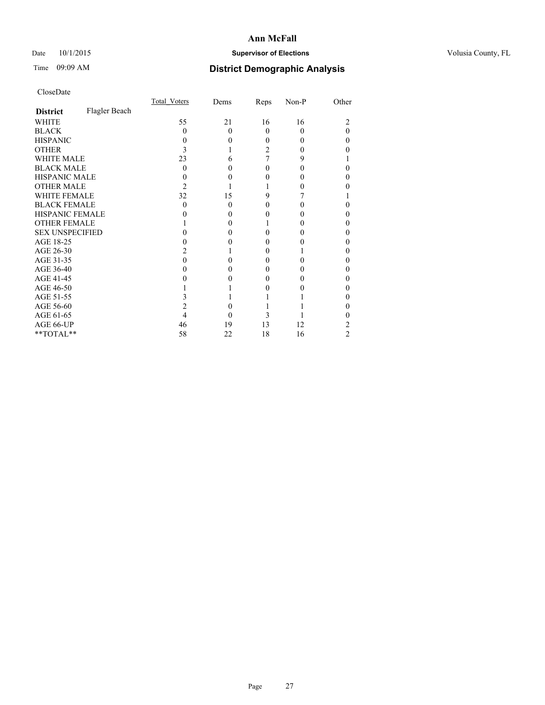# Date  $10/1/2015$  **Supervisor of Elections Supervisor of Elections** Volusia County, FL

# Time 09:09 AM **District Demographic Analysis**

|                        |               | Total Voters | Dems     | Reps     | Non-P | Other |
|------------------------|---------------|--------------|----------|----------|-------|-------|
| <b>District</b>        | Flagler Beach |              |          |          |       |       |
| WHITE                  |               | 55           | 21       | 16       | 16    |       |
| <b>BLACK</b>           |               | 0            | $\Omega$ | $\Omega$ | 0     | 0     |
| <b>HISPANIC</b>        |               | 0            | $\theta$ | 0        | 0     | 0     |
| <b>OTHER</b>           |               | 3            |          | 2        |       |       |
| WHITE MALE             |               | 23           | 6        | 7        | 9     |       |
| <b>BLACK MALE</b>      |               | 0            | 0        | 0        |       | 0     |
| <b>HISPANIC MALE</b>   |               |              |          | 0        |       | 0     |
| <b>OTHER MALE</b>      |               | 2            |          |          |       |       |
| <b>WHITE FEMALE</b>    |               | 32           | 15       | 9        |       |       |
| <b>BLACK FEMALE</b>    |               | 0            | $\theta$ | 0        |       | 0     |
| <b>HISPANIC FEMALE</b> |               |              | 0        | 0        |       |       |
| <b>OTHER FEMALE</b>    |               |              | $\Omega$ |          |       | 0     |
| <b>SEX UNSPECIFIED</b> |               |              | 0        | 0        |       | 0     |
| AGE 18-25              |               |              |          | 0        |       | 0     |
| AGE 26-30              |               |              |          | $\theta$ |       | 0     |
| AGE 31-35              |               |              |          | 0        |       | 0     |
| AGE 36-40              |               |              | 0        | 0        |       | 0     |
| AGE 41-45              |               |              |          | 0        |       | 0     |
| AGE 46-50              |               |              |          | 0        |       | 0     |
| AGE 51-55              |               |              |          |          |       |       |
| AGE 56-60              |               |              | 0        |          |       | 0     |
| AGE 61-65              |               |              | 0        | 3        |       |       |
| AGE 66-UP              |               | 46           | 19       | 13       | 12    | 2     |
| **TOTAL**              |               | 58           | 22       | 18       | 16    | 2     |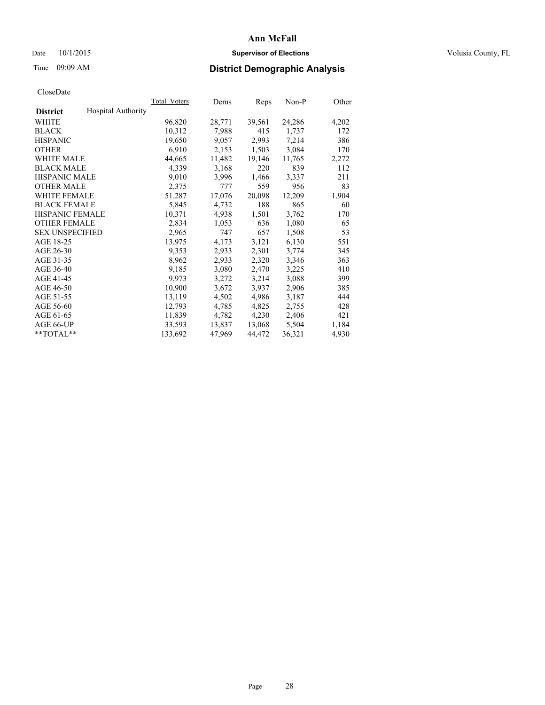# Date  $10/1/2015$  **Supervisor of Elections Supervisor of Elections** Volusia County, FL

# Time 09:09 AM **District Demographic Analysis**

|                                              | <b>Total Voters</b> | Dems   | Reps   | $Non-P$ | Other |
|----------------------------------------------|---------------------|--------|--------|---------|-------|
| <b>Hospital Authority</b><br><b>District</b> |                     |        |        |         |       |
| WHITE                                        | 96,820              | 28,771 | 39,561 | 24,286  | 4,202 |
| <b>BLACK</b>                                 | 10,312              | 7,988  | 415    | 1,737   | 172   |
| <b>HISPANIC</b>                              | 19,650              | 9,057  | 2,993  | 7,214   | 386   |
| <b>OTHER</b>                                 | 6,910               | 2,153  | 1,503  | 3,084   | 170   |
| WHITE MALE                                   | 44,665              | 11,482 | 19,146 | 11,765  | 2,272 |
| <b>BLACK MALE</b>                            | 4,339               | 3,168  | 220    | 839     | 112   |
| <b>HISPANIC MALE</b>                         | 9,010               | 3,996  | 1,466  | 3,337   | 211   |
| <b>OTHER MALE</b>                            | 2,375               | 777    | 559    | 956     | 83    |
| <b>WHITE FEMALE</b>                          | 51,287              | 17,076 | 20,098 | 12,209  | 1,904 |
| <b>BLACK FEMALE</b>                          | 5,845               | 4,732  | 188    | 865     | 60    |
| HISPANIC FEMALE                              | 10,371              | 4,938  | 1,501  | 3,762   | 170   |
| <b>OTHER FEMALE</b>                          | 2,834               | 1,053  | 636    | 1,080   | 65    |
| <b>SEX UNSPECIFIED</b>                       | 2,965               | 747    | 657    | 1,508   | 53    |
| AGE 18-25                                    | 13,975              | 4,173  | 3,121  | 6,130   | 551   |
| AGE 26-30                                    | 9,353               | 2,933  | 2,301  | 3,774   | 345   |
| AGE 31-35                                    | 8,962               | 2,933  | 2,320  | 3,346   | 363   |
| AGE 36-40                                    | 9,185               | 3,080  | 2,470  | 3,225   | 410   |
| AGE 41-45                                    | 9,973               | 3,272  | 3,214  | 3,088   | 399   |
| AGE 46-50                                    | 10,900              | 3,672  | 3,937  | 2,906   | 385   |
| AGE 51-55                                    | 13,119              | 4,502  | 4,986  | 3,187   | 444   |
| AGE 56-60                                    | 12,793              | 4,785  | 4,825  | 2,755   | 428   |
| AGE 61-65                                    | 11,839              | 4,782  | 4,230  | 2,406   | 421   |
| AGE 66-UP                                    | 33,593              | 13,837 | 13,068 | 5,504   | 1,184 |
| $*$ $TOTAL**$                                | 133,692             | 47,969 | 44,472 | 36,321  | 4,930 |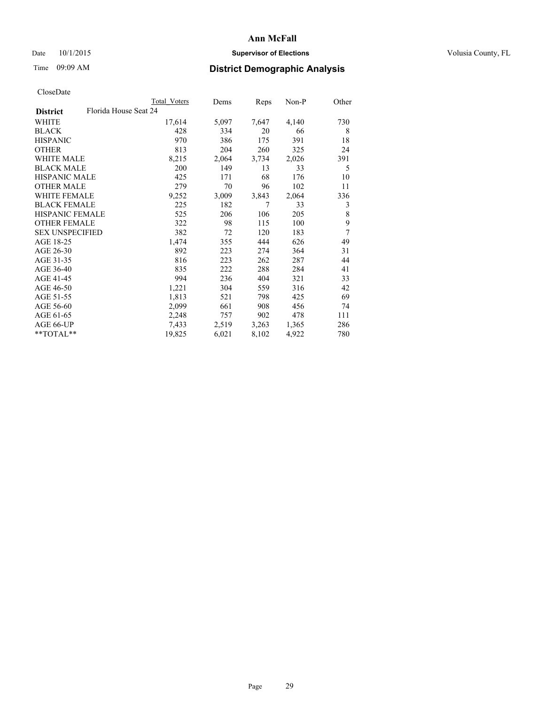# Date  $10/1/2015$  **Supervisor of Elections Supervisor of Elections** Volusia County, FL

| CloseDate |
|-----------|
|-----------|

|                                          | <b>Total Voters</b> | Dems  | Reps  | Non-P | Other |
|------------------------------------------|---------------------|-------|-------|-------|-------|
| Florida House Seat 24<br><b>District</b> |                     |       |       |       |       |
| WHITE                                    | 17,614              | 5,097 | 7,647 | 4,140 | 730   |
| <b>BLACK</b>                             | 428                 | 334   | 20    | 66    | 8     |
| <b>HISPANIC</b>                          | 970                 | 386   | 175   | 391   | 18    |
| <b>OTHER</b>                             | 813                 | 204   | 260   | 325   | 24    |
| WHITE MALE                               | 8,215               | 2,064 | 3,734 | 2,026 | 391   |
| <b>BLACK MALE</b>                        | 200                 | 149   | 13    | 33    | 5     |
| <b>HISPANIC MALE</b>                     | 425                 | 171   | 68    | 176   | 10    |
| <b>OTHER MALE</b>                        | 279                 | 70    | 96    | 102   | 11    |
| <b>WHITE FEMALE</b>                      | 9,252               | 3,009 | 3,843 | 2,064 | 336   |
| <b>BLACK FEMALE</b>                      | 225                 | 182   | 7     | 33    | 3     |
| HISPANIC FEMALE                          | 525                 | 206   | 106   | 205   | 8     |
| <b>OTHER FEMALE</b>                      | 322                 | 98    | 115   | 100   | 9     |
| <b>SEX UNSPECIFIED</b>                   | 382                 | 72    | 120   | 183   | 7     |
| AGE 18-25                                | 1,474               | 355   | 444   | 626   | 49    |
| AGE 26-30                                | 892                 | 223   | 274   | 364   | 31    |
| AGE 31-35                                | 816                 | 223   | 262   | 287   | 44    |
| AGE 36-40                                | 835                 | 222   | 288   | 284   | 41    |
| AGE 41-45                                | 994                 | 236   | 404   | 321   | 33    |
| AGE 46-50                                | 1,221               | 304   | 559   | 316   | 42    |
| AGE 51-55                                | 1,813               | 521   | 798   | 425   | 69    |
| AGE 56-60                                | 2,099               | 661   | 908   | 456   | 74    |
| AGE 61-65                                | 2,248               | 757   | 902   | 478   | 111   |
| AGE 66-UP                                | 7.433               | 2,519 | 3,263 | 1,365 | 286   |
| $*$ $TOTAL**$                            | 19,825              | 6,021 | 8,102 | 4,922 | 780   |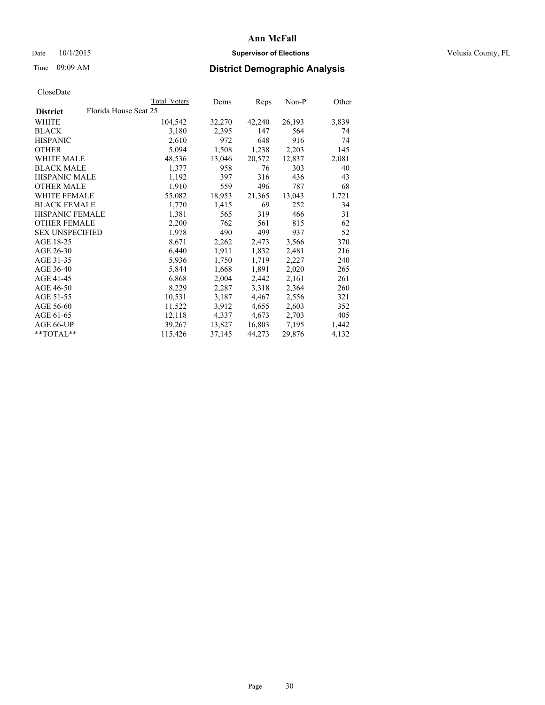# Date  $10/1/2015$  **Supervisor of Elections Supervisor of Elections** Volusia County, FL

# Time 09:09 AM **District Demographic Analysis**

|                                          | Total Voters | Dems   | Reps   | $Non-P$ | Other |
|------------------------------------------|--------------|--------|--------|---------|-------|
| Florida House Seat 25<br><b>District</b> |              |        |        |         |       |
| WHITE                                    | 104,542      | 32,270 | 42,240 | 26,193  | 3,839 |
| <b>BLACK</b>                             | 3,180        | 2,395  | 147    | 564     | 74    |
| <b>HISPANIC</b>                          | 2,610        | 972    | 648    | 916     | 74    |
| <b>OTHER</b>                             | 5,094        | 1,508  | 1,238  | 2,203   | 145   |
| <b>WHITE MALE</b>                        | 48,536       | 13,046 | 20,572 | 12,837  | 2,081 |
| <b>BLACK MALE</b>                        | 1,377        | 958    | 76     | 303     | 40    |
| <b>HISPANIC MALE</b>                     | 1,192        | 397    | 316    | 436     | 43    |
| <b>OTHER MALE</b>                        | 1,910        | 559    | 496    | 787     | 68    |
| <b>WHITE FEMALE</b>                      | 55,082       | 18,953 | 21,365 | 13,043  | 1,721 |
| <b>BLACK FEMALE</b>                      | 1,770        | 1,415  | 69     | 252     | 34    |
| HISPANIC FEMALE                          | 1,381        | 565    | 319    | 466     | 31    |
| <b>OTHER FEMALE</b>                      | 2,200        | 762    | 561    | 815     | 62    |
| <b>SEX UNSPECIFIED</b>                   | 1,978        | 490    | 499    | 937     | 52    |
| AGE 18-25                                | 8,671        | 2,262  | 2,473  | 3,566   | 370   |
| AGE 26-30                                | 6,440        | 1,911  | 1,832  | 2,481   | 216   |
| AGE 31-35                                | 5,936        | 1,750  | 1,719  | 2,227   | 240   |
| AGE 36-40                                | 5,844        | 1,668  | 1,891  | 2,020   | 265   |
| AGE 41-45                                | 6,868        | 2,004  | 2,442  | 2,161   | 261   |
| AGE 46-50                                | 8,229        | 2,287  | 3,318  | 2,364   | 260   |
| AGE 51-55                                | 10,531       | 3,187  | 4,467  | 2,556   | 321   |
| AGE 56-60                                | 11,522       | 3,912  | 4,655  | 2,603   | 352   |
| AGE 61-65                                | 12,118       | 4,337  | 4,673  | 2,703   | 405   |
| AGE 66-UP                                | 39,267       | 13,827 | 16,803 | 7,195   | 1,442 |
| $*$ $TOTAL**$                            | 115,426      | 37,145 | 44,273 | 29,876  | 4,132 |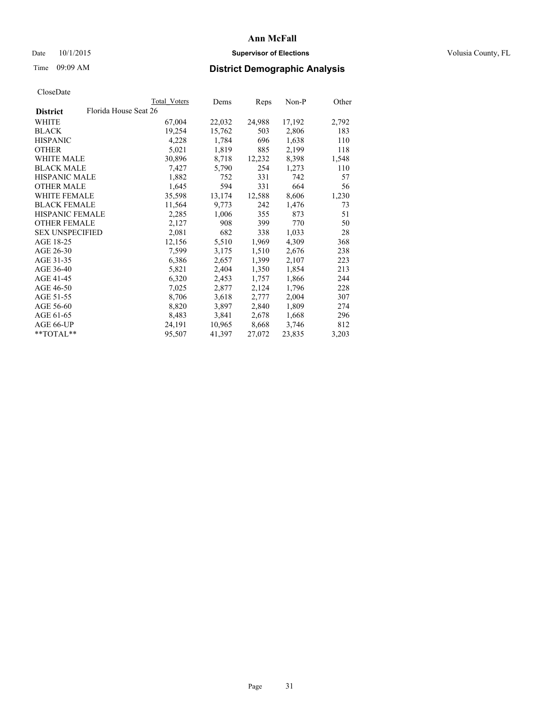# Date  $10/1/2015$  **Supervisor of Elections Supervisor of Elections** Volusia County, FL

# Time 09:09 AM **District Demographic Analysis**

|                                          | Total Voters | Dems   | <b>Reps</b> | Non-P  | Other |
|------------------------------------------|--------------|--------|-------------|--------|-------|
| Florida House Seat 26<br><b>District</b> |              |        |             |        |       |
| WHITE                                    | 67,004       | 22,032 | 24,988      | 17,192 | 2,792 |
| <b>BLACK</b>                             | 19,254       | 15,762 | 503         | 2,806  | 183   |
| <b>HISPANIC</b>                          | 4,228        | 1,784  | 696         | 1,638  | 110   |
| <b>OTHER</b>                             | 5,021        | 1,819  | 885         | 2,199  | 118   |
| <b>WHITE MALE</b>                        | 30,896       | 8,718  | 12,232      | 8,398  | 1,548 |
| <b>BLACK MALE</b>                        | 7,427        | 5,790  | 254         | 1,273  | 110   |
| <b>HISPANIC MALE</b>                     | 1,882        | 752    | 331         | 742    | 57    |
| <b>OTHER MALE</b>                        | 1,645        | 594    | 331         | 664    | 56    |
| <b>WHITE FEMALE</b>                      | 35,598       | 13,174 | 12,588      | 8,606  | 1,230 |
| <b>BLACK FEMALE</b>                      | 11,564       | 9,773  | 242         | 1,476  | 73    |
| HISPANIC FEMALE                          | 2,285        | 1,006  | 355         | 873    | 51    |
| <b>OTHER FEMALE</b>                      | 2,127        | 908    | 399         | 770    | 50    |
| <b>SEX UNSPECIFIED</b>                   | 2,081        | 682    | 338         | 1,033  | 28    |
| AGE 18-25                                | 12,156       | 5,510  | 1,969       | 4,309  | 368   |
| AGE 26-30                                | 7.599        | 3,175  | 1,510       | 2,676  | 238   |
| AGE 31-35                                | 6,386        | 2,657  | 1,399       | 2,107  | 223   |
| AGE 36-40                                | 5,821        | 2,404  | 1,350       | 1,854  | 213   |
| AGE 41-45                                | 6,320        | 2,453  | 1,757       | 1,866  | 244   |
| AGE 46-50                                | 7,025        | 2,877  | 2,124       | 1,796  | 228   |
| AGE 51-55                                | 8,706        | 3,618  | 2,777       | 2,004  | 307   |
| AGE 56-60                                | 8,820        | 3,897  | 2,840       | 1,809  | 274   |
| AGE 61-65                                | 8,483        | 3,841  | 2,678       | 1,668  | 296   |
| AGE 66-UP                                | 24,191       | 10,965 | 8,668       | 3,746  | 812   |
| $*$ TOTAL $*$                            | 95,507       | 41,397 | 27,072      | 23,835 | 3,203 |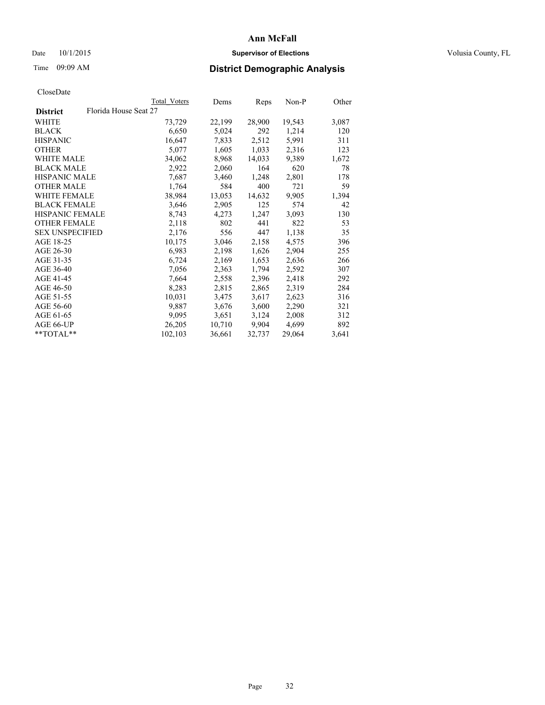# Date  $10/1/2015$  **Supervisor of Elections Supervisor of Elections** Volusia County, FL

# Time 09:09 AM **District Demographic Analysis**

|                                          | Total Voters | Dems   | <b>Reps</b> | Non-P  | Other |
|------------------------------------------|--------------|--------|-------------|--------|-------|
| Florida House Seat 27<br><b>District</b> |              |        |             |        |       |
| WHITE                                    | 73,729       | 22,199 | 28,900      | 19,543 | 3,087 |
| <b>BLACK</b>                             | 6,650        | 5,024  | 292         | 1,214  | 120   |
| <b>HISPANIC</b>                          | 16,647       | 7,833  | 2,512       | 5,991  | 311   |
| <b>OTHER</b>                             | 5,077        | 1,605  | 1,033       | 2,316  | 123   |
| <b>WHITE MALE</b>                        | 34,062       | 8,968  | 14,033      | 9,389  | 1,672 |
| <b>BLACK MALE</b>                        | 2,922        | 2,060  | 164         | 620    | 78    |
| <b>HISPANIC MALE</b>                     | 7,687        | 3,460  | 1,248       | 2,801  | 178   |
| <b>OTHER MALE</b>                        | 1,764        | 584    | 400         | 721    | 59    |
| <b>WHITE FEMALE</b>                      | 38,984       | 13,053 | 14,632      | 9,905  | 1,394 |
| <b>BLACK FEMALE</b>                      | 3,646        | 2,905  | 125         | 574    | 42    |
| HISPANIC FEMALE                          | 8,743        | 4,273  | 1,247       | 3,093  | 130   |
| <b>OTHER FEMALE</b>                      | 2,118        | 802    | 441         | 822    | 53    |
| <b>SEX UNSPECIFIED</b>                   | 2,176        | 556    | 447         | 1,138  | 35    |
| AGE 18-25                                | 10,175       | 3,046  | 2,158       | 4,575  | 396   |
| AGE 26-30                                | 6,983        | 2,198  | 1,626       | 2,904  | 255   |
| AGE 31-35                                | 6,724        | 2,169  | 1,653       | 2,636  | 266   |
| AGE 36-40                                | 7,056        | 2,363  | 1,794       | 2,592  | 307   |
| AGE 41-45                                | 7,664        | 2,558  | 2,396       | 2,418  | 292   |
| AGE 46-50                                | 8,283        | 2,815  | 2,865       | 2,319  | 284   |
| AGE 51-55                                | 10,031       | 3,475  | 3,617       | 2,623  | 316   |
| AGE 56-60                                | 9,887        | 3,676  | 3,600       | 2,290  | 321   |
| AGE 61-65                                | 9,095        | 3,651  | 3,124       | 2,008  | 312   |
| AGE 66-UP                                | 26,205       | 10,710 | 9,904       | 4,699  | 892   |
| $*$ TOTAL $*$                            | 102,103      | 36,661 | 32,737      | 29,064 | 3,641 |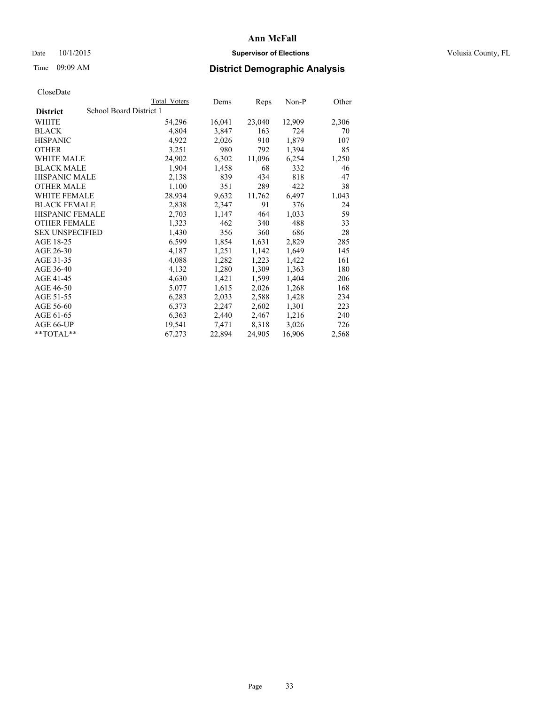# Date  $10/1/2015$  **Supervisor of Elections Supervisor of Elections** Volusia County, FL

# Time 09:09 AM **District Demographic Analysis**

|                                            | <b>Total Voters</b> | Dems   | Reps   | Non-P  | Other |
|--------------------------------------------|---------------------|--------|--------|--------|-------|
| School Board District 1<br><b>District</b> |                     |        |        |        |       |
| WHITE                                      | 54,296              | 16,041 | 23,040 | 12,909 | 2,306 |
| <b>BLACK</b>                               | 4,804               | 3,847  | 163    | 724    | 70    |
| <b>HISPANIC</b>                            | 4,922               | 2,026  | 910    | 1,879  | 107   |
| <b>OTHER</b>                               | 3,251               | 980    | 792    | 1,394  | 85    |
| <b>WHITE MALE</b>                          | 24,902              | 6,302  | 11,096 | 6,254  | 1,250 |
| <b>BLACK MALE</b>                          | 1,904               | 1,458  | 68     | 332    | 46    |
| <b>HISPANIC MALE</b>                       | 2,138               | 839    | 434    | 818    | 47    |
| <b>OTHER MALE</b>                          | 1,100               | 351    | 289    | 422    | 38    |
| WHITE FEMALE                               | 28,934              | 9,632  | 11,762 | 6,497  | 1,043 |
| <b>BLACK FEMALE</b>                        | 2,838               | 2,347  | 91     | 376    | 24    |
| HISPANIC FEMALE                            | 2,703               | 1,147  | 464    | 1,033  | 59    |
| <b>OTHER FEMALE</b>                        | 1,323               | 462    | 340    | 488    | 33    |
| <b>SEX UNSPECIFIED</b>                     | 1,430               | 356    | 360    | 686    | 28    |
| AGE 18-25                                  | 6,599               | 1,854  | 1,631  | 2,829  | 285   |
| AGE 26-30                                  | 4,187               | 1,251  | 1,142  | 1,649  | 145   |
| AGE 31-35                                  | 4,088               | 1,282  | 1,223  | 1,422  | 161   |
| AGE 36-40                                  | 4,132               | 1,280  | 1,309  | 1,363  | 180   |
| AGE 41-45                                  | 4,630               | 1,421  | 1,599  | 1,404  | 206   |
| AGE 46-50                                  | 5,077               | 1,615  | 2,026  | 1,268  | 168   |
| AGE 51-55                                  | 6,283               | 2,033  | 2,588  | 1,428  | 234   |
| AGE 56-60                                  | 6,373               | 2,247  | 2,602  | 1,301  | 223   |
| AGE 61-65                                  | 6,363               | 2,440  | 2,467  | 1,216  | 240   |
| AGE 66-UP                                  | 19,541              | 7,471  | 8,318  | 3,026  | 726   |
| $*$ TOTAL $*$                              | 67,273              | 22,894 | 24,905 | 16,906 | 2,568 |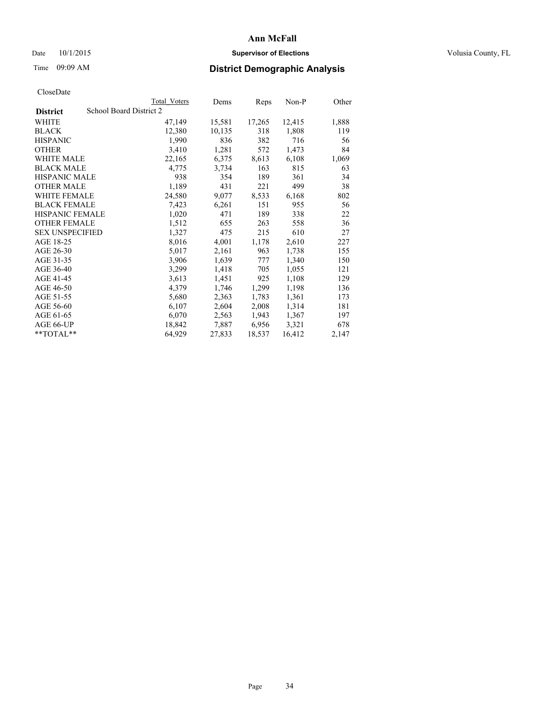# Date  $10/1/2015$  **Supervisor of Elections Supervisor of Elections** Volusia County, FL

# Time 09:09 AM **District Demographic Analysis**

|                                            | Total Voters | Dems   | Reps   | $Non-P$ | Other |
|--------------------------------------------|--------------|--------|--------|---------|-------|
| School Board District 2<br><b>District</b> |              |        |        |         |       |
| WHITE                                      | 47,149       | 15,581 | 17,265 | 12,415  | 1,888 |
| <b>BLACK</b>                               | 12,380       | 10,135 | 318    | 1,808   | 119   |
| <b>HISPANIC</b>                            | 1,990        | 836    | 382    | 716     | 56    |
| <b>OTHER</b>                               | 3,410        | 1,281  | 572    | 1,473   | 84    |
| WHITE MALE                                 | 22,165       | 6,375  | 8,613  | 6,108   | 1,069 |
| <b>BLACK MALE</b>                          | 4,775        | 3,734  | 163    | 815     | 63    |
| <b>HISPANIC MALE</b>                       | 938          | 354    | 189    | 361     | 34    |
| <b>OTHER MALE</b>                          | 1,189        | 431    | 221    | 499     | 38    |
| <b>WHITE FEMALE</b>                        | 24,580       | 9,077  | 8,533  | 6,168   | 802   |
| <b>BLACK FEMALE</b>                        | 7,423        | 6,261  | 151    | 955     | 56    |
| <b>HISPANIC FEMALE</b>                     | 1,020        | 471    | 189    | 338     | 22    |
| <b>OTHER FEMALE</b>                        | 1,512        | 655    | 263    | 558     | 36    |
| <b>SEX UNSPECIFIED</b>                     | 1,327        | 475    | 215    | 610     | 27    |
| AGE 18-25                                  | 8,016        | 4,001  | 1,178  | 2,610   | 227   |
| AGE 26-30                                  | 5,017        | 2,161  | 963    | 1,738   | 155   |
| AGE 31-35                                  | 3,906        | 1,639  | 777    | 1,340   | 150   |
| AGE 36-40                                  | 3,299        | 1,418  | 705    | 1,055   | 121   |
| AGE 41-45                                  | 3,613        | 1,451  | 925    | 1,108   | 129   |
| AGE 46-50                                  | 4,379        | 1,746  | 1,299  | 1,198   | 136   |
| AGE 51-55                                  | 5,680        | 2,363  | 1,783  | 1,361   | 173   |
| AGE 56-60                                  | 6,107        | 2,604  | 2,008  | 1,314   | 181   |
| AGE 61-65                                  | 6,070        | 2,563  | 1,943  | 1,367   | 197   |
| AGE 66-UP                                  | 18,842       | 7,887  | 6,956  | 3,321   | 678   |
| **TOTAL**                                  | 64,929       | 27,833 | 18,537 | 16,412  | 2,147 |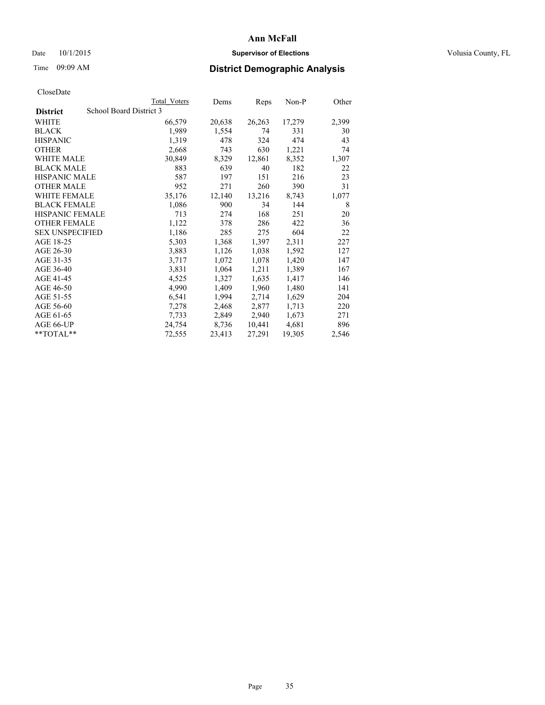# Date  $10/1/2015$  **Supervisor of Elections Supervisor of Elections** Volusia County, FL

# Time 09:09 AM **District Demographic Analysis**

|                        | Total Voters            | Dems   | <b>Reps</b> | Non-P  | Other |
|------------------------|-------------------------|--------|-------------|--------|-------|
| <b>District</b>        | School Board District 3 |        |             |        |       |
| WHITE                  | 66,579                  | 20,638 | 26,263      | 17,279 | 2,399 |
| <b>BLACK</b>           | 1,989                   | 1,554  | 74          | 331    | 30    |
| <b>HISPANIC</b>        | 1,319                   | 478    | 324         | 474    | 43    |
| <b>OTHER</b>           | 2,668                   | 743    | 630         | 1,221  | 74    |
| <b>WHITE MALE</b>      | 30,849                  | 8,329  | 12,861      | 8,352  | 1,307 |
| <b>BLACK MALE</b>      | 883                     | 639    | 40          | 182    | 22    |
| <b>HISPANIC MALE</b>   | 587                     | 197    | 151         | 216    | 23    |
| <b>OTHER MALE</b>      | 952                     | 271    | 260         | 390    | 31    |
| WHITE FEMALE           | 35,176                  | 12,140 | 13,216      | 8,743  | 1,077 |
| <b>BLACK FEMALE</b>    | 1,086                   | 900    | 34          | 144    | 8     |
| <b>HISPANIC FEMALE</b> | 713                     | 274    | 168         | 251    | 20    |
| <b>OTHER FEMALE</b>    | 1,122                   | 378    | 286         | 422    | 36    |
| <b>SEX UNSPECIFIED</b> | 1,186                   | 285    | 275         | 604    | 22    |
| AGE 18-25              | 5,303                   | 1,368  | 1,397       | 2,311  | 227   |
| AGE 26-30              | 3,883                   | 1,126  | 1,038       | 1,592  | 127   |
| AGE 31-35              | 3,717                   | 1,072  | 1,078       | 1,420  | 147   |
| AGE 36-40              | 3,831                   | 1,064  | 1,211       | 1,389  | 167   |
| AGE 41-45              | 4,525                   | 1,327  | 1,635       | 1,417  | 146   |
| AGE 46-50              | 4,990                   | 1,409  | 1,960       | 1,480  | 141   |
| AGE 51-55              | 6,541                   | 1,994  | 2,714       | 1,629  | 204   |
| AGE 56-60              | 7,278                   | 2,468  | 2,877       | 1,713  | 220   |
| AGE 61-65              | 7.733                   | 2,849  | 2,940       | 1,673  | 271   |
| AGE 66-UP              | 24,754                  | 8,736  | 10,441      | 4,681  | 896   |
| $*$ $TOTAI.**$         | 72.555                  | 23,413 | 27,291      | 19,305 | 2,546 |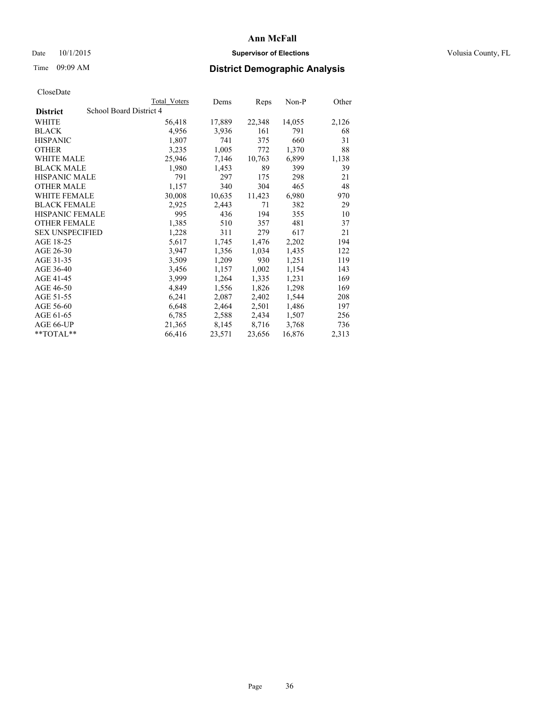# Date  $10/1/2015$  **Supervisor of Elections Supervisor of Elections** Volusia County, FL

# Time 09:09 AM **District Demographic Analysis**

|                                            | Total Voters | Dems   | Reps   | $Non-P$ | Other |
|--------------------------------------------|--------------|--------|--------|---------|-------|
| School Board District 4<br><b>District</b> |              |        |        |         |       |
| WHITE                                      | 56,418       | 17,889 | 22,348 | 14,055  | 2,126 |
| <b>BLACK</b>                               | 4,956        | 3,936  | 161    | 791     | 68    |
| <b>HISPANIC</b>                            | 1,807        | 741    | 375    | 660     | 31    |
| <b>OTHER</b>                               | 3,235        | 1,005  | 772    | 1,370   | 88    |
| WHITE MALE                                 | 25,946       | 7,146  | 10,763 | 6,899   | 1,138 |
| <b>BLACK MALE</b>                          | 1,980        | 1,453  | 89     | 399     | 39    |
| <b>HISPANIC MALE</b>                       | 791          | 297    | 175    | 298     | 21    |
| <b>OTHER MALE</b>                          | 1,157        | 340    | 304    | 465     | 48    |
| WHITE FEMALE                               | 30,008       | 10,635 | 11,423 | 6,980   | 970   |
| <b>BLACK FEMALE</b>                        | 2,925        | 2,443  | 71     | 382     | 29    |
| HISPANIC FEMALE                            | 995          | 436    | 194    | 355     | 10    |
| <b>OTHER FEMALE</b>                        | 1,385        | 510    | 357    | 481     | 37    |
| <b>SEX UNSPECIFIED</b>                     | 1,228        | 311    | 279    | 617     | 21    |
| AGE 18-25                                  | 5,617        | 1,745  | 1,476  | 2,202   | 194   |
| AGE 26-30                                  | 3,947        | 1,356  | 1,034  | 1,435   | 122   |
| AGE 31-35                                  | 3,509        | 1,209  | 930    | 1,251   | 119   |
| AGE 36-40                                  | 3,456        | 1,157  | 1,002  | 1,154   | 143   |
| AGE 41-45                                  | 3,999        | 1,264  | 1,335  | 1,231   | 169   |
| AGE 46-50                                  | 4,849        | 1,556  | 1,826  | 1,298   | 169   |
| AGE 51-55                                  | 6,241        | 2,087  | 2,402  | 1,544   | 208   |
| AGE 56-60                                  | 6,648        | 2,464  | 2,501  | 1,486   | 197   |
| AGE 61-65                                  | 6,785        | 2,588  | 2,434  | 1,507   | 256   |
| AGE 66-UP                                  | 21,365       | 8,145  | 8,716  | 3,768   | 736   |
| **TOTAL**                                  | 66,416       | 23,571 | 23,656 | 16,876  | 2,313 |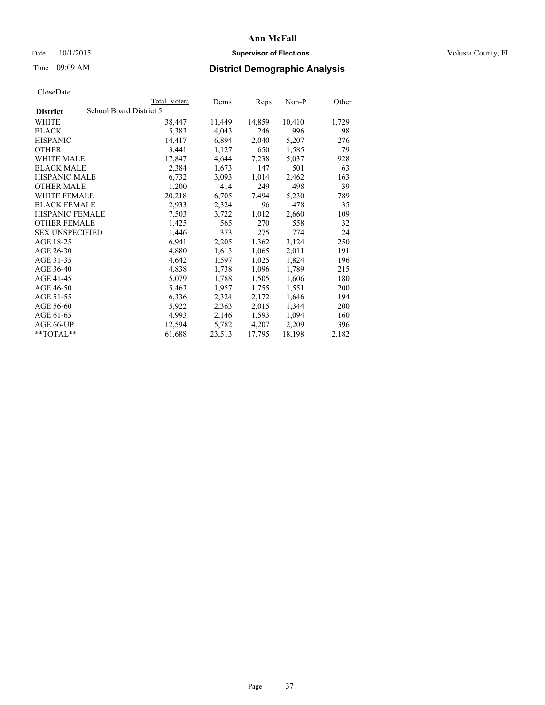## Date  $10/1/2015$  **Supervisor of Elections Supervisor of Elections** Volusia County, FL

## Time 09:09 AM **District Demographic Analysis**

|                                            | Total Voters | Dems   | Reps   | $Non-P$ | Other |
|--------------------------------------------|--------------|--------|--------|---------|-------|
| School Board District 5<br><b>District</b> |              |        |        |         |       |
| WHITE                                      | 38,447       | 11,449 | 14,859 | 10,410  | 1,729 |
| <b>BLACK</b>                               | 5,383        | 4,043  | 246    | 996     | 98    |
| <b>HISPANIC</b>                            | 14,417       | 6,894  | 2,040  | 5,207   | 276   |
| <b>OTHER</b>                               | 3,441        | 1,127  | 650    | 1,585   | 79    |
| <b>WHITE MALE</b>                          | 17,847       | 4,644  | 7,238  | 5,037   | 928   |
| <b>BLACK MALE</b>                          | 2,384        | 1,673  | 147    | 501     | 63    |
| <b>HISPANIC MALE</b>                       | 6,732        | 3,093  | 1,014  | 2,462   | 163   |
| <b>OTHER MALE</b>                          | 1,200        | 414    | 249    | 498     | 39    |
| <b>WHITE FEMALE</b>                        | 20,218       | 6,705  | 7.494  | 5,230   | 789   |
| <b>BLACK FEMALE</b>                        | 2,933        | 2,324  | 96     | 478     | 35    |
| HISPANIC FEMALE                            | 7,503        | 3,722  | 1,012  | 2,660   | 109   |
| <b>OTHER FEMALE</b>                        | 1,425        | 565    | 270    | 558     | 32    |
| <b>SEX UNSPECIFIED</b>                     | 1,446        | 373    | 275    | 774     | 24    |
| AGE 18-25                                  | 6,941        | 2,205  | 1,362  | 3,124   | 250   |
| AGE 26-30                                  | 4,880        | 1,613  | 1,065  | 2,011   | 191   |
| AGE 31-35                                  | 4,642        | 1,597  | 1,025  | 1,824   | 196   |
| AGE 36-40                                  | 4,838        | 1,738  | 1,096  | 1,789   | 215   |
| AGE 41-45                                  | 5,079        | 1,788  | 1,505  | 1,606   | 180   |
| AGE 46-50                                  | 5,463        | 1,957  | 1,755  | 1,551   | 200   |
| AGE 51-55                                  | 6,336        | 2,324  | 2,172  | 1,646   | 194   |
| AGE 56-60                                  | 5,922        | 2,363  | 2,015  | 1,344   | 200   |
| AGE 61-65                                  | 4,993        | 2,146  | 1,593  | 1,094   | 160   |
| AGE 66-UP                                  | 12,594       | 5,782  | 4,207  | 2,209   | 396   |
| **TOTAL**                                  | 61,688       | 23,513 | 17,795 | 18,198  | 2,182 |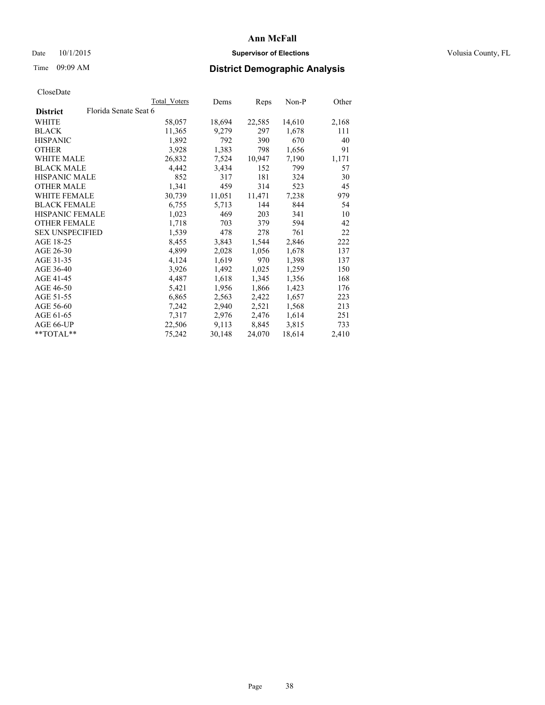## Date  $10/1/2015$  **Supervisor of Elections Supervisor of Elections** Volusia County, FL

# Time 09:09 AM **District Demographic Analysis**

|                        |                       | Total Voters | Dems   | <b>Reps</b> | $Non-P$ | Other |
|------------------------|-----------------------|--------------|--------|-------------|---------|-------|
| <b>District</b>        | Florida Senate Seat 6 |              |        |             |         |       |
| WHITE                  |                       | 58,057       | 18,694 | 22,585      | 14,610  | 2,168 |
| <b>BLACK</b>           |                       | 11,365       | 9,279  | 297         | 1,678   | 111   |
| <b>HISPANIC</b>        |                       | 1,892        | 792    | 390         | 670     | 40    |
| <b>OTHER</b>           |                       | 3,928        | 1,383  | 798         | 1,656   | 91    |
| <b>WHITE MALE</b>      |                       | 26,832       | 7,524  | 10,947      | 7,190   | 1,171 |
| <b>BLACK MALE</b>      |                       | 4,442        | 3,434  | 152         | 799     | 57    |
| <b>HISPANIC MALE</b>   |                       | 852          | 317    | 181         | 324     | 30    |
| <b>OTHER MALE</b>      |                       | 1,341        | 459    | 314         | 523     | 45    |
| WHITE FEMALE           |                       | 30,739       | 11,051 | 11,471      | 7,238   | 979   |
| <b>BLACK FEMALE</b>    |                       | 6,755        | 5,713  | 144         | 844     | 54    |
| <b>HISPANIC FEMALE</b> |                       | 1,023        | 469    | 203         | 341     | 10    |
| <b>OTHER FEMALE</b>    |                       | 1,718        | 703    | 379         | 594     | 42    |
| <b>SEX UNSPECIFIED</b> |                       | 1,539        | 478    | 278         | 761     | 22    |
| AGE 18-25              |                       | 8,455        | 3,843  | 1,544       | 2,846   | 222   |
| AGE 26-30              |                       | 4,899        | 2,028  | 1,056       | 1,678   | 137   |
| AGE 31-35              |                       | 4,124        | 1,619  | 970         | 1,398   | 137   |
| AGE 36-40              |                       | 3,926        | 1,492  | 1,025       | 1,259   | 150   |
| AGE 41-45              |                       | 4,487        | 1,618  | 1,345       | 1,356   | 168   |
| AGE 46-50              |                       | 5,421        | 1,956  | 1,866       | 1,423   | 176   |
| AGE 51-55              |                       | 6,865        | 2,563  | 2,422       | 1,657   | 223   |
| AGE 56-60              |                       | 7,242        | 2,940  | 2,521       | 1,568   | 213   |
| AGE 61-65              |                       | 7,317        | 2,976  | 2,476       | 1,614   | 251   |
| AGE 66-UP              |                       | 22,506       | 9,113  | 8,845       | 3,815   | 733   |
| $*$ $TOTAI.**$         |                       | 75,242       | 30,148 | 24,070      | 18,614  | 2,410 |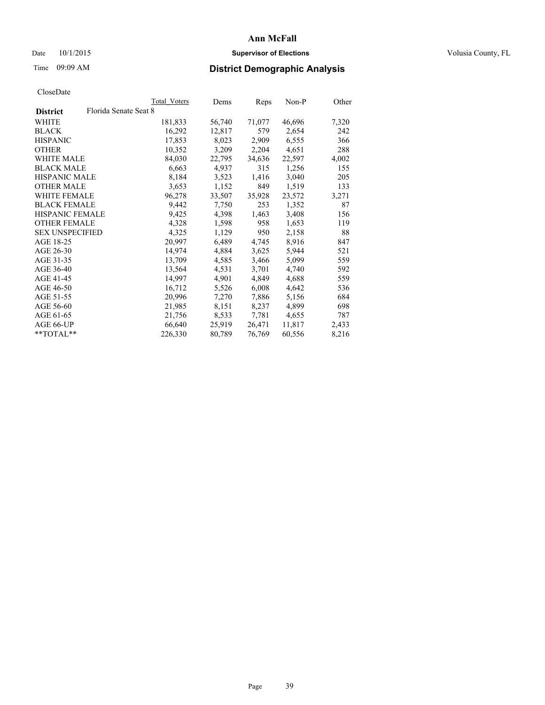## Date  $10/1/2015$  **Supervisor of Elections Supervisor of Elections** Volusia County, FL

## Time 09:09 AM **District Demographic Analysis**

|                        |                       | <b>Total Voters</b> | Dems   | Reps   | $Non-P$ | Other |
|------------------------|-----------------------|---------------------|--------|--------|---------|-------|
| <b>District</b>        | Florida Senate Seat 8 |                     |        |        |         |       |
| WHITE                  |                       | 181,833             | 56,740 | 71,077 | 46,696  | 7,320 |
| <b>BLACK</b>           |                       | 16,292              | 12,817 | 579    | 2,654   | 242   |
| <b>HISPANIC</b>        |                       | 17,853              | 8,023  | 2,909  | 6,555   | 366   |
| <b>OTHER</b>           |                       | 10,352              | 3,209  | 2,204  | 4,651   | 288   |
| WHITE MALE             |                       | 84,030              | 22,795 | 34,636 | 22,597  | 4,002 |
| <b>BLACK MALE</b>      |                       | 6,663               | 4,937  | 315    | 1,256   | 155   |
| <b>HISPANIC MALE</b>   |                       | 8,184               | 3,523  | 1,416  | 3,040   | 205   |
| <b>OTHER MALE</b>      |                       | 3,653               | 1,152  | 849    | 1,519   | 133   |
| <b>WHITE FEMALE</b>    |                       | 96,278              | 33,507 | 35,928 | 23,572  | 3,271 |
| <b>BLACK FEMALE</b>    |                       | 9,442               | 7,750  | 253    | 1,352   | 87    |
| HISPANIC FEMALE        |                       | 9,425               | 4,398  | 1,463  | 3,408   | 156   |
| <b>OTHER FEMALE</b>    |                       | 4,328               | 1,598  | 958    | 1,653   | 119   |
| <b>SEX UNSPECIFIED</b> |                       | 4,325               | 1,129  | 950    | 2,158   | 88    |
| AGE 18-25              |                       | 20,997              | 6,489  | 4,745  | 8,916   | 847   |
| AGE 26-30              |                       | 14,974              | 4,884  | 3,625  | 5,944   | 521   |
| AGE 31-35              |                       | 13,709              | 4,585  | 3,466  | 5,099   | 559   |
| AGE 36-40              |                       | 13,564              | 4,531  | 3,701  | 4,740   | 592   |
| AGE 41-45              |                       | 14,997              | 4,901  | 4,849  | 4,688   | 559   |
| AGE 46-50              |                       | 16,712              | 5,526  | 6,008  | 4,642   | 536   |
| AGE 51-55              |                       | 20,996              | 7,270  | 7,886  | 5,156   | 684   |
| AGE 56-60              |                       | 21,985              | 8,151  | 8,237  | 4,899   | 698   |
| AGE 61-65              |                       | 21,756              | 8,533  | 7.781  | 4,655   | 787   |
| AGE 66-UP              |                       | 66,640              | 25,919 | 26,471 | 11,817  | 2,433 |
| $*$ $TOTAL**$          |                       | 226,330             | 80,789 | 76,769 | 60,556  | 8,216 |
|                        |                       |                     |        |        |         |       |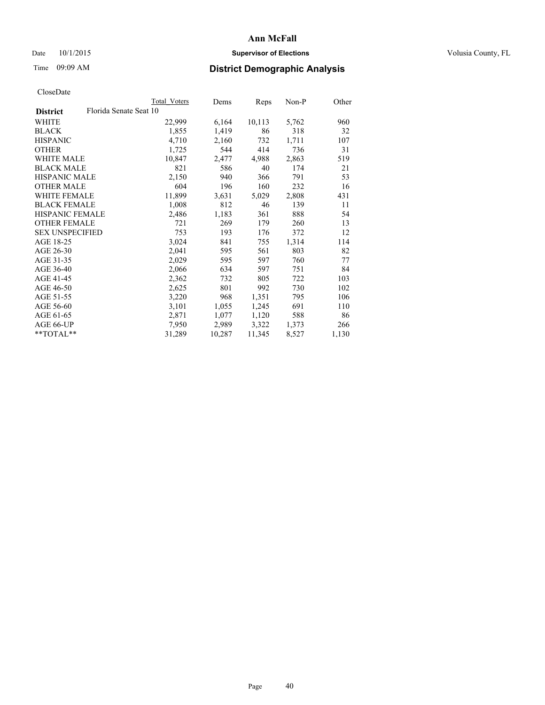## Date  $10/1/2015$  **Supervisor of Elections Supervisor of Elections** Volusia County, FL

# Time 09:09 AM **District Demographic Analysis**

|                        |                        | Total Voters | Dems   | Reps   | Non-P | Other |
|------------------------|------------------------|--------------|--------|--------|-------|-------|
| <b>District</b>        | Florida Senate Seat 10 |              |        |        |       |       |
| WHITE                  |                        | 22,999       | 6,164  | 10,113 | 5,762 | 960   |
| <b>BLACK</b>           |                        | 1,855        | 1,419  | 86     | 318   | 32    |
| <b>HISPANIC</b>        |                        | 4,710        | 2,160  | 732    | 1,711 | 107   |
| <b>OTHER</b>           |                        | 1,725        | 544    | 414    | 736   | 31    |
| WHITE MALE             |                        | 10,847       | 2,477  | 4,988  | 2,863 | 519   |
| <b>BLACK MALE</b>      |                        | 821          | 586    | 40     | 174   | 21    |
| <b>HISPANIC MALE</b>   |                        | 2,150        | 940    | 366    | 791   | 53    |
| <b>OTHER MALE</b>      |                        | 604          | 196    | 160    | 232   | 16    |
| <b>WHITE FEMALE</b>    |                        | 11,899       | 3,631  | 5,029  | 2,808 | 431   |
| <b>BLACK FEMALE</b>    |                        | 1,008        | 812    | 46     | 139   | 11    |
| <b>HISPANIC FEMALE</b> |                        | 2,486        | 1,183  | 361    | 888   | 54    |
| <b>OTHER FEMALE</b>    |                        | 721          | 269    | 179    | 260   | 13    |
| <b>SEX UNSPECIFIED</b> |                        | 753          | 193    | 176    | 372   | 12    |
| AGE 18-25              |                        | 3,024        | 841    | 755    | 1,314 | 114   |
| AGE 26-30              |                        | 2,041        | 595    | 561    | 803   | 82    |
| AGE 31-35              |                        | 2,029        | 595    | 597    | 760   | 77    |
| AGE 36-40              |                        | 2,066        | 634    | 597    | 751   | 84    |
| AGE 41-45              |                        | 2,362        | 732    | 805    | 722   | 103   |
| AGE 46-50              |                        | 2,625        | 801    | 992    | 730   | 102   |
| AGE 51-55              |                        | 3,220        | 968    | 1,351  | 795   | 106   |
| AGE 56-60              |                        | 3,101        | 1,055  | 1,245  | 691   | 110   |
| AGE 61-65              |                        | 2,871        | 1,077  | 1,120  | 588   | 86    |
| AGE 66-UP              |                        | 7,950        | 2,989  | 3,322  | 1,373 | 266   |
| **TOTAL**              |                        | 31,289       | 10,287 | 11,345 | 8,527 | 1,130 |
|                        |                        |              |        |        |       |       |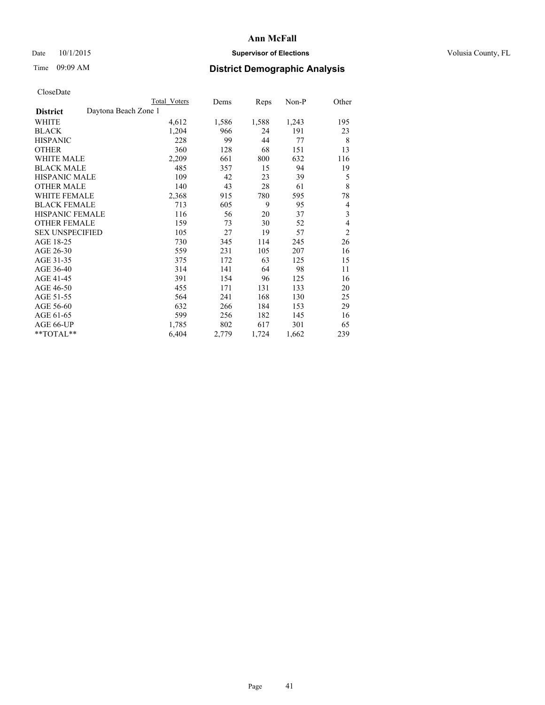## Date  $10/1/2015$  **Supervisor of Elections Supervisor of Elections** Volusia County, FL

# Time 09:09 AM **District Demographic Analysis**

|                                         | Total Voters | Dems  | <b>Reps</b> | Non-P | Other          |
|-----------------------------------------|--------------|-------|-------------|-------|----------------|
| Daytona Beach Zone 1<br><b>District</b> |              |       |             |       |                |
| WHITE                                   | 4,612        | 1,586 | 1,588       | 1,243 | 195            |
| <b>BLACK</b>                            | 1,204        | 966   | 24          | 191   | 23             |
| <b>HISPANIC</b>                         | 228          | 99    | 44          | 77    | 8              |
| <b>OTHER</b>                            | 360          | 128   | 68          | 151   | 13             |
| <b>WHITE MALE</b>                       | 2,209        | 661   | 800         | 632   | 116            |
| <b>BLACK MALE</b>                       | 485          | 357   | 15          | 94    | 19             |
| <b>HISPANIC MALE</b>                    | 109          | 42    | 23          | 39    | 5              |
| <b>OTHER MALE</b>                       | 140          | 43    | 28          | 61    | 8              |
| WHITE FEMALE                            | 2,368        | 915   | 780         | 595   | 78             |
| <b>BLACK FEMALE</b>                     | 713          | 605   | 9           | 95    | 4              |
| <b>HISPANIC FEMALE</b>                  | 116          | 56    | 20          | 37    | 3              |
| <b>OTHER FEMALE</b>                     | 159          | 73    | 30          | 52    | $\overline{4}$ |
| <b>SEX UNSPECIFIED</b>                  | 105          | 27    | 19          | 57    | $\overline{2}$ |
| AGE 18-25                               | 730          | 345   | 114         | 245   | 26             |
| AGE 26-30                               | 559          | 231   | 105         | 207   | 16             |
| AGE 31-35                               | 375          | 172   | 63          | 125   | 15             |
| AGE 36-40                               | 314          | 141   | 64          | 98    | 11             |
| AGE 41-45                               | 391          | 154   | 96          | 125   | 16             |
| AGE 46-50                               | 455          | 171   | 131         | 133   | 20             |
| AGE 51-55                               | 564          | 241   | 168         | 130   | 25             |
| AGE 56-60                               | 632          | 266   | 184         | 153   | 29             |
| AGE 61-65                               | 599          | 256   | 182         | 145   | 16             |
| AGE 66-UP                               | 1,785        | 802   | 617         | 301   | 65             |
| **TOTAL**                               | 6,404        | 2,779 | 1,724       | 1,662 | 239            |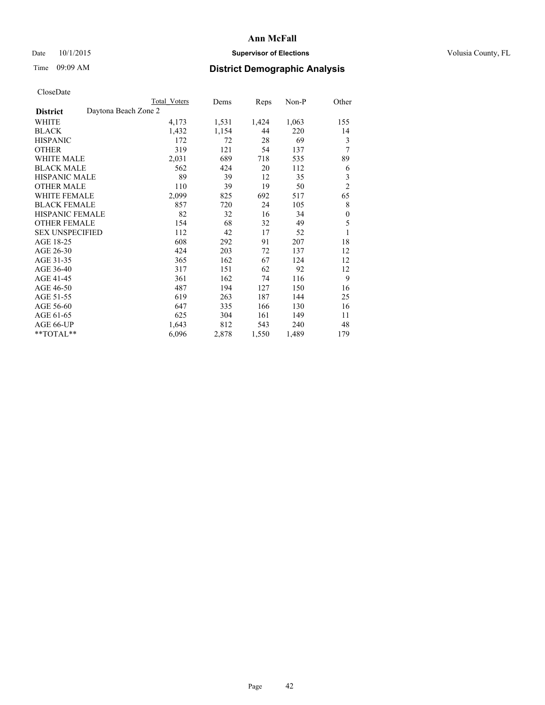## Date  $10/1/2015$  **Supervisor of Elections Supervisor of Elections** Volusia County, FL

|                                         | <b>Total Voters</b> | Dems  | Reps  | Non-P | Other            |
|-----------------------------------------|---------------------|-------|-------|-------|------------------|
| Daytona Beach Zone 2<br><b>District</b> |                     |       |       |       |                  |
| WHITE                                   | 4,173               | 1,531 | 1,424 | 1,063 | 155              |
| <b>BLACK</b>                            | 1,432               | 1,154 | 44    | 220   | 14               |
| <b>HISPANIC</b>                         | 172                 | 72    | 28    | 69    | 3                |
| <b>OTHER</b>                            | 319                 | 121   | 54    | 137   | 7                |
| <b>WHITE MALE</b>                       | 2,031               | 689   | 718   | 535   | 89               |
| <b>BLACK MALE</b>                       | 562                 | 424   | 20    | 112   | 6                |
| HISPANIC MALE                           | 89                  | 39    | 12    | 35    | 3                |
| <b>OTHER MALE</b>                       | 110                 | 39    | 19    | 50    | $\overline{c}$   |
| <b>WHITE FEMALE</b>                     | 2,099               | 825   | 692   | 517   | 65               |
| <b>BLACK FEMALE</b>                     | 857                 | 720   | 24    | 105   | 8                |
| <b>HISPANIC FEMALE</b>                  | 82                  | 32    | 16    | 34    | $\boldsymbol{0}$ |
| <b>OTHER FEMALE</b>                     | 154                 | 68    | 32    | 49    | 5                |
| <b>SEX UNSPECIFIED</b>                  | 112                 | 42    | 17    | 52    | $\mathbf{1}$     |
| AGE 18-25                               | 608                 | 292   | 91    | 207   | 18               |
| AGE 26-30                               | 424                 | 203   | 72    | 137   | 12               |
| AGE 31-35                               | 365                 | 162   | 67    | 124   | 12               |
| AGE 36-40                               | 317                 | 151   | 62    | 92    | 12               |
| AGE 41-45                               | 361                 | 162   | 74    | 116   | 9                |
| AGE 46-50                               | 487                 | 194   | 127   | 150   | 16               |
| AGE 51-55                               | 619                 | 263   | 187   | 144   | 25               |
| AGE 56-60                               | 647                 | 335   | 166   | 130   | 16               |
| AGE 61-65                               | 625                 | 304   | 161   | 149   | 11               |
| AGE 66-UP                               | 1,643               | 812   | 543   | 240   | 48               |
| **TOTAL**                               | 6,096               | 2,878 | 1,550 | 1,489 | 179              |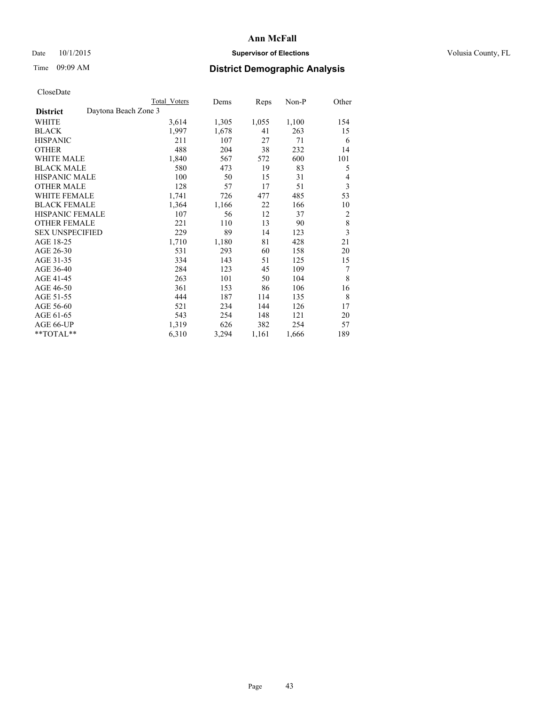## Date  $10/1/2015$  **Supervisor of Elections Supervisor of Elections** Volusia County, FL

# Time 09:09 AM **District Demographic Analysis**

|                                         | Total Voters | Dems  | Reps  | Non-P | Other                   |
|-----------------------------------------|--------------|-------|-------|-------|-------------------------|
| Daytona Beach Zone 3<br><b>District</b> |              |       |       |       |                         |
| <b>WHITE</b>                            | 3,614        | 1,305 | 1,055 | 1,100 | 154                     |
| <b>BLACK</b>                            | 1,997        | 1,678 | 41    | 263   | 15                      |
| <b>HISPANIC</b>                         | 211          | 107   | 27    | 71    | 6                       |
| <b>OTHER</b>                            | 488          | 204   | 38    | 232   | 14                      |
| <b>WHITE MALE</b>                       | 1,840        | 567   | 572   | 600   | 101                     |
| <b>BLACK MALE</b>                       | 580          | 473   | 19    | 83    | 5                       |
| HISPANIC MALE                           | 100          | 50    | 15    | 31    | $\overline{4}$          |
| <b>OTHER MALE</b>                       | 128          | 57    | 17    | 51    | 3                       |
| <b>WHITE FEMALE</b>                     | 1,741        | 726   | 477   | 485   | 53                      |
| <b>BLACK FEMALE</b>                     | 1,364        | 1,166 | 22    | 166   | 10                      |
| <b>HISPANIC FEMALE</b>                  | 107          | 56    | 12    | 37    | $\overline{2}$          |
| <b>OTHER FEMALE</b>                     | 221          | 110   | 13    | 90    | $\,$ 8 $\,$             |
| <b>SEX UNSPECIFIED</b>                  | 229          | 89    | 14    | 123   | $\overline{\mathbf{3}}$ |
| AGE 18-25                               | 1,710        | 1,180 | 81    | 428   | 21                      |
| AGE 26-30                               | 531          | 293   | 60    | 158   | 20                      |
| AGE 31-35                               | 334          | 143   | 51    | 125   | 15                      |
| AGE 36-40                               | 284          | 123   | 45    | 109   | 7                       |
| AGE 41-45                               | 263          | 101   | 50    | 104   | 8                       |
| AGE 46-50                               | 361          | 153   | 86    | 106   | 16                      |
| AGE 51-55                               | 444          | 187   | 114   | 135   | 8                       |
| AGE 56-60                               | 521          | 234   | 144   | 126   | 17                      |
| AGE 61-65                               | 543          | 254   | 148   | 121   | 20                      |
| AGE 66-UP                               | 1,319        | 626   | 382   | 254   | 57                      |
| **TOTAL**                               | 6,310        | 3,294 | 1,161 | 1,666 | 189                     |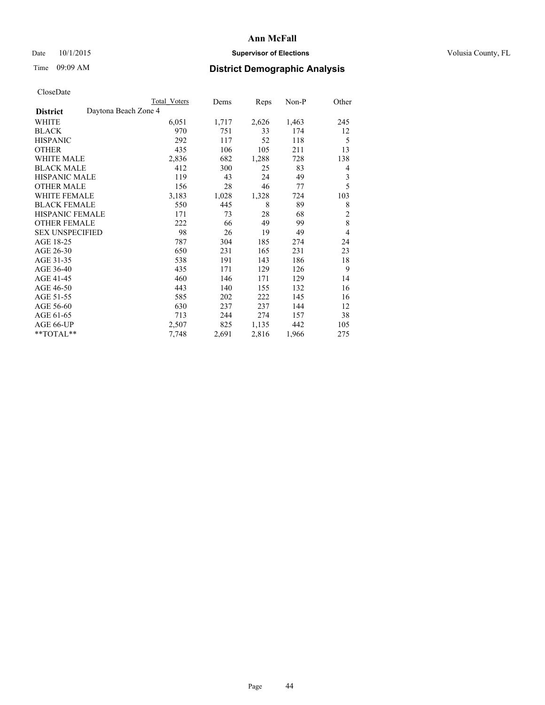## Date  $10/1/2015$  **Supervisor of Elections Supervisor of Elections** Volusia County, FL

# Time 09:09 AM **District Demographic Analysis**

|                        |                      | Total Voters | Dems  | Reps  | Non-P | Other          |
|------------------------|----------------------|--------------|-------|-------|-------|----------------|
| <b>District</b>        | Daytona Beach Zone 4 |              |       |       |       |                |
| WHITE                  |                      | 6,051        | 1,717 | 2,626 | 1,463 | 245            |
| <b>BLACK</b>           |                      | 970          | 751   | 33    | 174   | 12             |
| <b>HISPANIC</b>        |                      | 292          | 117   | 52    | 118   | 5              |
| <b>OTHER</b>           |                      | 435          | 106   | 105   | 211   | 13             |
| <b>WHITE MALE</b>      |                      | 2,836        | 682   | 1,288 | 728   | 138            |
| <b>BLACK MALE</b>      |                      | 412          | 300   | 25    | 83    | 4              |
| <b>HISPANIC MALE</b>   |                      | 119          | 43    | 24    | 49    | 3              |
| <b>OTHER MALE</b>      |                      | 156          | 28    | 46    | 77    | 5              |
| <b>WHITE FEMALE</b>    |                      | 3,183        | 1,028 | 1,328 | 724   | 103            |
| <b>BLACK FEMALE</b>    |                      | 550          | 445   | 8     | 89    | 8              |
| <b>HISPANIC FEMALE</b> |                      | 171          | 73    | 28    | 68    | $\overline{c}$ |
| <b>OTHER FEMALE</b>    |                      | 222          | 66    | 49    | 99    | 8              |
| <b>SEX UNSPECIFIED</b> |                      | 98           | 26    | 19    | 49    | $\overline{4}$ |
| AGE 18-25              |                      | 787          | 304   | 185   | 274   | 24             |
| AGE 26-30              |                      | 650          | 231   | 165   | 231   | 23             |
| AGE 31-35              |                      | 538          | 191   | 143   | 186   | 18             |
| AGE 36-40              |                      | 435          | 171   | 129   | 126   | 9              |
| AGE 41-45              |                      | 460          | 146   | 171   | 129   | 14             |
| AGE 46-50              |                      | 443          | 140   | 155   | 132   | 16             |
| AGE 51-55              |                      | 585          | 202   | 222   | 145   | 16             |
| AGE 56-60              |                      | 630          | 237   | 237   | 144   | 12             |
| AGE 61-65              |                      | 713          | 244   | 274   | 157   | 38             |
| AGE 66-UP              |                      | 2,507        | 825   | 1,135 | 442   | 105            |
| **TOTAL**              |                      | 7,748        | 2,691 | 2,816 | 1,966 | 275            |
|                        |                      |              |       |       |       |                |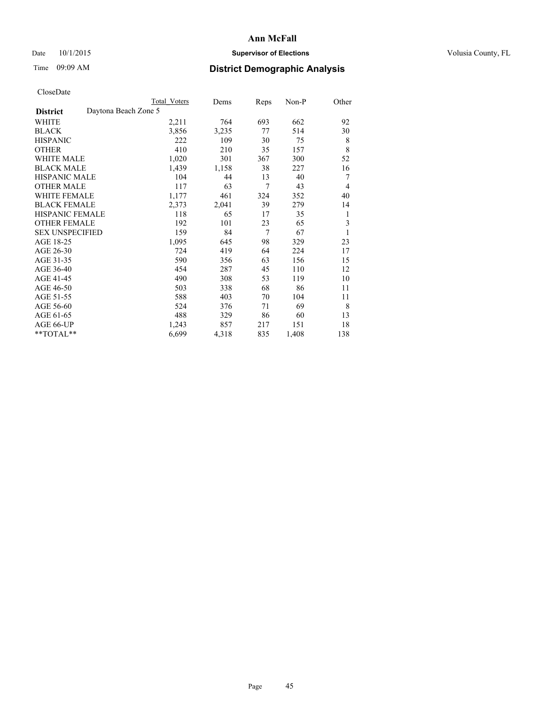## Date 10/1/2015 **Supervisor of Elections Supervisor of Elections** Volusia County, FL

|                        |                      | Total Voters | Dems  | Reps           | Non-P | Other |
|------------------------|----------------------|--------------|-------|----------------|-------|-------|
| <b>District</b>        | Daytona Beach Zone 5 |              |       |                |       |       |
| WHITE                  |                      | 2,211        | 764   | 693            | 662   | 92    |
| <b>BLACK</b>           |                      | 3,856        | 3,235 | 77             | 514   | 30    |
| <b>HISPANIC</b>        |                      | 222          | 109   | 30             | 75    | 8     |
| <b>OTHER</b>           |                      | 410          | 210   | 35             | 157   | 8     |
| <b>WHITE MALE</b>      |                      | 1,020        | 301   | 367            | 300   | 52    |
| <b>BLACK MALE</b>      |                      | 1,439        | 1,158 | 38             | 227   | 16    |
| <b>HISPANIC MALE</b>   |                      | 104          | 44    | 13             | 40    | 7     |
| <b>OTHER MALE</b>      |                      | 117          | 63    | $\overline{7}$ | 43    | 4     |
| WHITE FEMALE           |                      | 1,177        | 461   | 324            | 352   | 40    |
| <b>BLACK FEMALE</b>    |                      | 2,373        | 2,041 | 39             | 279   | 14    |
| <b>HISPANIC FEMALE</b> |                      | 118          | 65    | 17             | 35    | 1     |
| <b>OTHER FEMALE</b>    |                      | 192          | 101   | 23             | 65    | 3     |
| <b>SEX UNSPECIFIED</b> |                      | 159          | 84    | 7              | 67    | 1     |
| AGE 18-25              |                      | 1,095        | 645   | 98             | 329   | 23    |
| AGE 26-30              |                      | 724          | 419   | 64             | 224   | 17    |
| AGE 31-35              |                      | 590          | 356   | 63             | 156   | 15    |
| AGE 36-40              |                      | 454          | 287   | 45             | 110   | 12    |
| AGE 41-45              |                      | 490          | 308   | 53             | 119   | 10    |
| AGE 46-50              |                      | 503          | 338   | 68             | 86    | 11    |
| AGE 51-55              |                      | 588          | 403   | 70             | 104   | 11    |
| AGE 56-60              |                      | 524          | 376   | 71             | 69    | 8     |
| AGE 61-65              |                      | 488          | 329   | 86             | 60    | 13    |
| AGE 66-UP              |                      | 1,243        | 857   | 217            | 151   | 18    |
| **TOTAL**              |                      | 6,699        | 4,318 | 835            | 1,408 | 138   |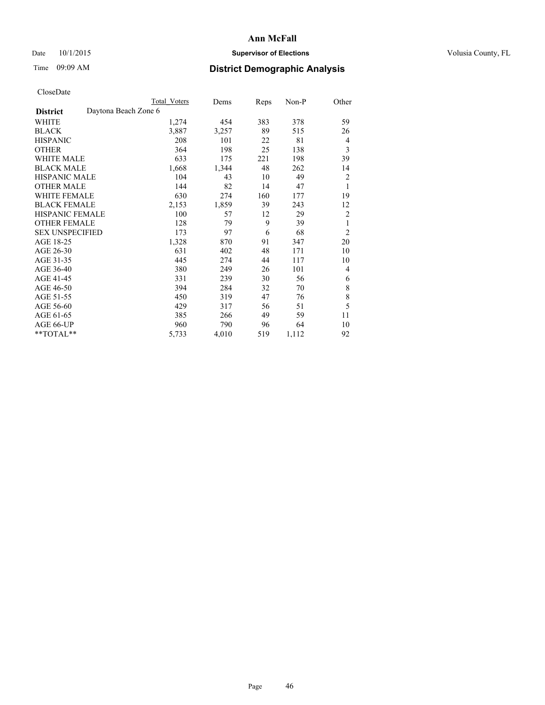## Date  $10/1/2015$  **Supervisor of Elections Supervisor of Elections** Volusia County, FL

|                        |                      | <b>Total Voters</b> | Dems  | Reps | Non-P | Other          |
|------------------------|----------------------|---------------------|-------|------|-------|----------------|
| <b>District</b>        | Daytona Beach Zone 6 |                     |       |      |       |                |
| WHITE                  |                      | 1,274               | 454   | 383  | 378   | 59             |
| <b>BLACK</b>           |                      | 3,887               | 3,257 | 89   | 515   | 26             |
| <b>HISPANIC</b>        |                      | 208                 | 101   | 22   | 81    | 4              |
| <b>OTHER</b>           |                      | 364                 | 198   | 25   | 138   | 3              |
| WHITE MALE             |                      | 633                 | 175   | 221  | 198   | 39             |
| <b>BLACK MALE</b>      |                      | 1,668               | 1,344 | 48   | 262   | 14             |
| <b>HISPANIC MALE</b>   |                      | 104                 | 43    | 10   | 49    | 2              |
| <b>OTHER MALE</b>      |                      | 144                 | 82    | 14   | 47    | 1              |
| <b>WHITE FEMALE</b>    |                      | 630                 | 274   | 160  | 177   | 19             |
| <b>BLACK FEMALE</b>    |                      | 2,153               | 1,859 | 39   | 243   | 12             |
| <b>HISPANIC FEMALE</b> |                      | 100                 | 57    | 12   | 29    | $\overline{c}$ |
| <b>OTHER FEMALE</b>    |                      | 128                 | 79    | 9    | 39    | 1              |
| <b>SEX UNSPECIFIED</b> |                      | 173                 | 97    | 6    | 68    | $\overline{2}$ |
| AGE 18-25              |                      | 1,328               | 870   | 91   | 347   | 20             |
| AGE 26-30              |                      | 631                 | 402   | 48   | 171   | 10             |
| AGE 31-35              |                      | 445                 | 274   | 44   | 117   | 10             |
| AGE 36-40              |                      | 380                 | 249   | 26   | 101   | 4              |
| AGE 41-45              |                      | 331                 | 239   | 30   | 56    | 6              |
| AGE 46-50              |                      | 394                 | 284   | 32   | 70    | 8              |
| AGE 51-55              |                      | 450                 | 319   | 47   | 76    | 8              |
| AGE 56-60              |                      | 429                 | 317   | 56   | 51    | 5              |
| AGE 61-65              |                      | 385                 | 266   | 49   | 59    | 11             |
| AGE 66-UP              |                      | 960                 | 790   | 96   | 64    | 10             |
| **TOTAL**              |                      | 5,733               | 4,010 | 519  | 1,112 | 92             |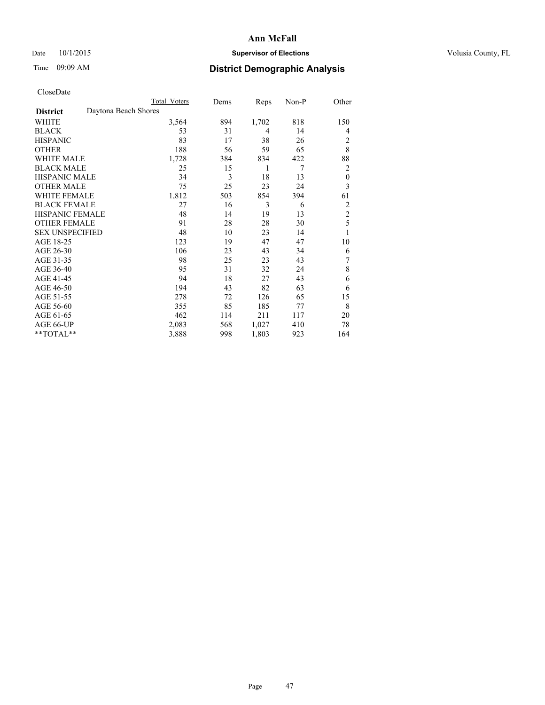## Date  $10/1/2015$  **Supervisor of Elections Supervisor of Elections** Volusia County, FL

# Time 09:09 AM **District Demographic Analysis**

|                                         | Total Voters | Dems | Reps  | Non-P | Other            |
|-----------------------------------------|--------------|------|-------|-------|------------------|
| Daytona Beach Shores<br><b>District</b> |              |      |       |       |                  |
| WHITE                                   | 3,564        | 894  | 1,702 | 818   | 150              |
| <b>BLACK</b>                            | 53           | 31   | 4     | 14    | 4                |
| <b>HISPANIC</b>                         | 83           | 17   | 38    | 26    | 2                |
| <b>OTHER</b>                            | 188          | 56   | 59    | 65    | 8                |
| WHITE MALE                              | 1,728        | 384  | 834   | 422   | 88               |
| <b>BLACK MALE</b>                       | 25           | 15   | 1     | 7     | 2                |
| <b>HISPANIC MALE</b>                    | 34           | 3    | 18    | 13    | $\boldsymbol{0}$ |
| <b>OTHER MALE</b>                       | 75           | 25   | 23    | 24    | 3                |
| <b>WHITE FEMALE</b>                     | 1,812        | 503  | 854   | 394   | 61               |
| <b>BLACK FEMALE</b>                     | 27           | 16   | 3     | 6     | 2                |
| <b>HISPANIC FEMALE</b>                  | 48           | 14   | 19    | 13    | $\overline{2}$   |
| <b>OTHER FEMALE</b>                     | 91           | 28   | 28    | 30    | 5                |
| <b>SEX UNSPECIFIED</b>                  | 48           | 10   | 23    | 14    | 1                |
| AGE 18-25                               | 123          | 19   | 47    | 47    | 10               |
| AGE 26-30                               | 106          | 23   | 43    | 34    | 6                |
| AGE 31-35                               | 98           | 25   | 23    | 43    | 7                |
| AGE 36-40                               | 95           | 31   | 32    | 24    | 8                |
| AGE 41-45                               | 94           | 18   | 27    | 43    | 6                |
| AGE 46-50                               | 194          | 43   | 82    | 63    | 6                |
| AGE 51-55                               | 278          | 72   | 126   | 65    | 15               |
| AGE 56-60                               | 355          | 85   | 185   | 77    | 8                |
| AGE 61-65                               | 462          | 114  | 211   | 117   | 20               |
| AGE 66-UP                               | 2,083        | 568  | 1,027 | 410   | 78               |
| **TOTAL**                               | 3,888        | 998  | 1,803 | 923   | 164              |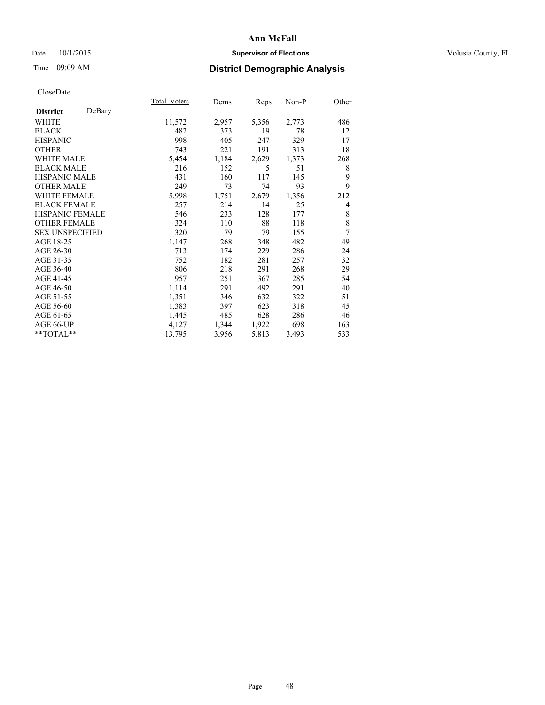## Date  $10/1/2015$  **Supervisor of Elections Supervisor of Elections** Volusia County, FL

|                        |        | Total Voters | Dems  | Reps  | Non-P | Other |
|------------------------|--------|--------------|-------|-------|-------|-------|
| <b>District</b>        | DeBary |              |       |       |       |       |
| WHITE                  |        | 11,572       | 2,957 | 5,356 | 2,773 | 486   |
| <b>BLACK</b>           |        | 482          | 373   | 19    | 78    | 12    |
| <b>HISPANIC</b>        |        | 998          | 405   | 247   | 329   | 17    |
| <b>OTHER</b>           |        | 743          | 221   | 191   | 313   | 18    |
| <b>WHITE MALE</b>      |        | 5,454        | 1,184 | 2,629 | 1,373 | 268   |
| <b>BLACK MALE</b>      |        | 216          | 152   | 5     | 51    | 8     |
| <b>HISPANIC MALE</b>   |        | 431          | 160   | 117   | 145   | 9     |
| <b>OTHER MALE</b>      |        | 249          | 73    | 74    | 93    | 9     |
| <b>WHITE FEMALE</b>    |        | 5,998        | 1,751 | 2,679 | 1,356 | 212   |
| <b>BLACK FEMALE</b>    |        | 257          | 214   | 14    | 25    | 4     |
| HISPANIC FEMALE        |        | 546          | 233   | 128   | 177   | 8     |
| <b>OTHER FEMALE</b>    |        | 324          | 110   | 88    | 118   | 8     |
| <b>SEX UNSPECIFIED</b> |        | 320          | 79    | 79    | 155   | 7     |
| AGE 18-25              |        | 1,147        | 268   | 348   | 482   | 49    |
| AGE 26-30              |        | 713          | 174   | 229   | 286   | 24    |
| AGE 31-35              |        | 752          | 182   | 281   | 257   | 32    |
| AGE 36-40              |        | 806          | 218   | 291   | 268   | 29    |
| AGE 41-45              |        | 957          | 251   | 367   | 285   | 54    |
| AGE 46-50              |        | 1,114        | 291   | 492   | 291   | 40    |
| AGE 51-55              |        | 1,351        | 346   | 632   | 322   | 51    |
| AGE 56-60              |        | 1,383        | 397   | 623   | 318   | 45    |
| AGE 61-65              |        | 1,445        | 485   | 628   | 286   | 46    |
| AGE 66-UP              |        | 4,127        | 1,344 | 1,922 | 698   | 163   |
| **TOTAL**              |        | 13,795       | 3,956 | 5,813 | 3,493 | 533   |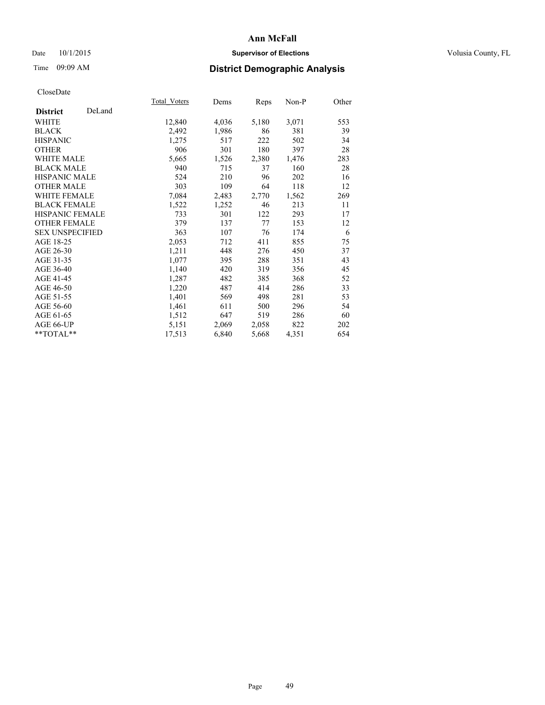## Date  $10/1/2015$  **Supervisor of Elections Supervisor of Elections** Volusia County, FL

## Time 09:09 AM **District Demographic Analysis**

| Total Voters | Dems  | Reps  | Non-P | Other |
|--------------|-------|-------|-------|-------|
|              |       |       |       |       |
| 12,840       | 4,036 | 5,180 | 3,071 | 553   |
| 2,492        | 1,986 | 86    | 381   | 39    |
| 1,275        | 517   | 222   | 502   | 34    |
| 906          | 301   | 180   | 397   | 28    |
| 5,665        | 1,526 | 2,380 | 1,476 | 283   |
| 940          | 715   | 37    | 160   | 28    |
| 524          | 210   | 96    | 202   | 16    |
| 303          | 109   | 64    | 118   | 12    |
| 7,084        | 2,483 | 2,770 | 1,562 | 269   |
| 1,522        | 1,252 | 46    | 213   | 11    |
| 733          | 301   | 122   | 293   | 17    |
| 379          | 137   | 77    | 153   | 12    |
| 363          | 107   | 76    | 174   | 6     |
| 2,053        | 712   | 411   | 855   | 75    |
| 1,211        | 448   | 276   | 450   | 37    |
| 1,077        | 395   | 288   | 351   | 43    |
| 1,140        | 420   | 319   | 356   | 45    |
| 1,287        | 482   | 385   | 368   | 52    |
| 1,220        | 487   | 414   | 286   | 33    |
| 1,401        | 569   | 498   | 281   | 53    |
| 1,461        | 611   | 500   | 296   | 54    |
| 1,512        | 647   | 519   | 286   | 60    |
| 5,151        | 2,069 | 2,058 | 822   | 202   |
| 17,513       | 6,840 | 5,668 | 4,351 | 654   |
|              |       |       |       |       |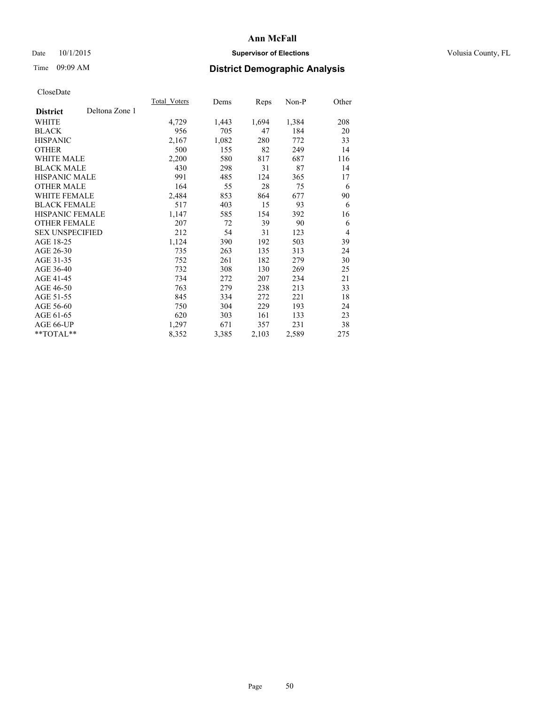## Date  $10/1/2015$  **Supervisor of Elections Supervisor of Elections** Volusia County, FL

## Time 09:09 AM **District Demographic Analysis**

|                                   | Total Voters | Dems  | Reps  | Non-P | Other          |
|-----------------------------------|--------------|-------|-------|-------|----------------|
| Deltona Zone 1<br><b>District</b> |              |       |       |       |                |
| WHITE                             | 4,729        | 1,443 | 1,694 | 1,384 | 208            |
| <b>BLACK</b>                      | 956          | 705   | 47    | 184   | 20             |
| <b>HISPANIC</b>                   | 2,167        | 1,082 | 280   | 772   | 33             |
| <b>OTHER</b>                      | 500          | 155   | 82    | 249   | 14             |
| WHITE MALE                        | 2,200        | 580   | 817   | 687   | 116            |
| <b>BLACK MALE</b>                 | 430          | 298   | 31    | 87    | 14             |
| <b>HISPANIC MALE</b>              | 991          | 485   | 124   | 365   | 17             |
| <b>OTHER MALE</b>                 | 164          | 55    | 28    | 75    | 6              |
| WHITE FEMALE                      | 2,484        | 853   | 864   | 677   | 90             |
| <b>BLACK FEMALE</b>               | 517          | 403   | 15    | 93    | 6              |
| <b>HISPANIC FEMALE</b>            | 1,147        | 585   | 154   | 392   | 16             |
| <b>OTHER FEMALE</b>               | 207          | 72    | 39    | 90    | 6              |
| <b>SEX UNSPECIFIED</b>            | 212          | 54    | 31    | 123   | $\overline{4}$ |
| AGE 18-25                         | 1,124        | 390   | 192   | 503   | 39             |
| AGE 26-30                         | 735          | 263   | 135   | 313   | 24             |
| AGE 31-35                         | 752          | 261   | 182   | 279   | 30             |
| AGE 36-40                         | 732          | 308   | 130   | 269   | 25             |
| AGE 41-45                         | 734          | 272   | 207   | 234   | 21             |
| AGE 46-50                         | 763          | 279   | 238   | 213   | 33             |
| AGE 51-55                         | 845          | 334   | 272   | 221   | 18             |
| AGE 56-60                         | 750          | 304   | 229   | 193   | 24             |
| AGE 61-65                         | 620          | 303   | 161   | 133   | 23             |
| AGE 66-UP                         | 1,297        | 671   | 357   | 231   | 38             |
| **TOTAL**                         | 8,352        | 3,385 | 2,103 | 2,589 | 275            |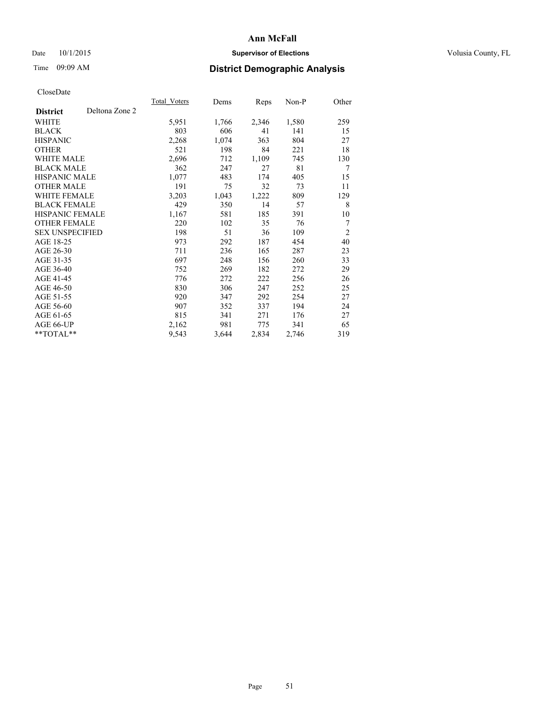## Date  $10/1/2015$  **Supervisor of Elections Supervisor of Elections** Volusia County, FL

## Time 09:09 AM **District Demographic Analysis**

|                        |                | Total Voters | Dems  | Reps  | Non-P | Other          |
|------------------------|----------------|--------------|-------|-------|-------|----------------|
| <b>District</b>        | Deltona Zone 2 |              |       |       |       |                |
| WHITE                  |                | 5,951        | 1,766 | 2,346 | 1,580 | 259            |
| <b>BLACK</b>           |                | 803          | 606   | 41    | 141   | 15             |
| <b>HISPANIC</b>        |                | 2,268        | 1,074 | 363   | 804   | 27             |
| <b>OTHER</b>           |                | 521          | 198   | 84    | 221   | 18             |
| WHITE MALE             |                | 2,696        | 712   | 1,109 | 745   | 130            |
| <b>BLACK MALE</b>      |                | 362          | 247   | 27    | 81    | 7              |
| <b>HISPANIC MALE</b>   |                | 1,077        | 483   | 174   | 405   | 15             |
| <b>OTHER MALE</b>      |                | 191          | 75    | 32    | 73    | 11             |
| WHITE FEMALE           |                | 3,203        | 1,043 | 1,222 | 809   | 129            |
| <b>BLACK FEMALE</b>    |                | 429          | 350   | 14    | 57    | 8              |
| <b>HISPANIC FEMALE</b> |                | 1,167        | 581   | 185   | 391   | 10             |
| <b>OTHER FEMALE</b>    |                | 220          | 102   | 35    | 76    | 7              |
| <b>SEX UNSPECIFIED</b> |                | 198          | 51    | 36    | 109   | $\overline{2}$ |
| AGE 18-25              |                | 973          | 292   | 187   | 454   | 40             |
| AGE 26-30              |                | 711          | 236   | 165   | 287   | 23             |
| AGE 31-35              |                | 697          | 248   | 156   | 260   | 33             |
| AGE 36-40              |                | 752          | 269   | 182   | 272   | 29             |
| AGE 41-45              |                | 776          | 272   | 222   | 256   | 26             |
| AGE 46-50              |                | 830          | 306   | 247   | 252   | 25             |
| AGE 51-55              |                | 920          | 347   | 292   | 254   | 27             |
| AGE 56-60              |                | 907          | 352   | 337   | 194   | 24             |
| AGE 61-65              |                | 815          | 341   | 271   | 176   | 27             |
| AGE 66-UP              |                | 2,162        | 981   | 775   | 341   | 65             |
| **TOTAL**              |                | 9,543        | 3,644 | 2,834 | 2,746 | 319            |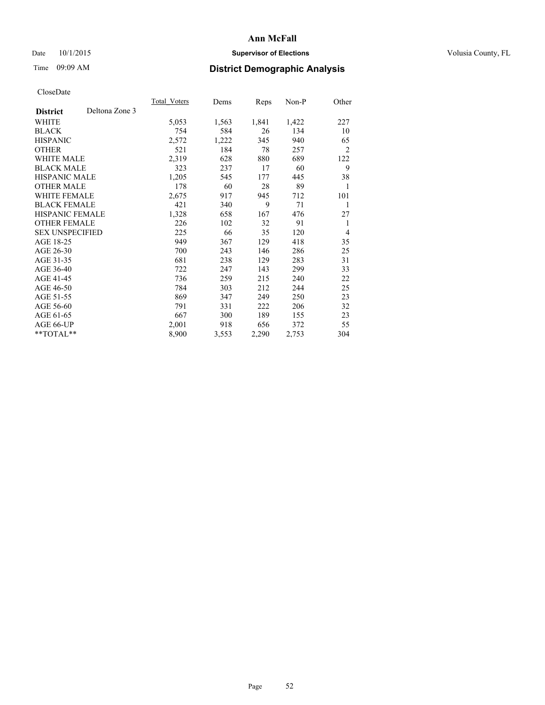## Date  $10/1/2015$  **Supervisor of Elections Supervisor of Elections** Volusia County, FL

## Time 09:09 AM **District Demographic Analysis**

|                        |                | Total Voters | Dems  | <b>Reps</b> | $Non-P$ | Other          |
|------------------------|----------------|--------------|-------|-------------|---------|----------------|
| <b>District</b>        | Deltona Zone 3 |              |       |             |         |                |
| WHITE                  |                | 5,053        | 1,563 | 1,841       | 1,422   | 227            |
| <b>BLACK</b>           |                | 754          | 584   | 26          | 134     | 10             |
| <b>HISPANIC</b>        |                | 2,572        | 1,222 | 345         | 940     | 65             |
| <b>OTHER</b>           |                | 521          | 184   | 78          | 257     | $\overline{2}$ |
| WHITE MALE             |                | 2,319        | 628   | 880         | 689     | 122            |
| <b>BLACK MALE</b>      |                | 323          | 237   | 17          | 60      | 9              |
| <b>HISPANIC MALE</b>   |                | 1,205        | 545   | 177         | 445     | 38             |
| <b>OTHER MALE</b>      |                | 178          | 60    | 28          | 89      | 1              |
| WHITE FEMALE           |                | 2,675        | 917   | 945         | 712     | 101            |
| <b>BLACK FEMALE</b>    |                | 421          | 340   | 9           | 71      | 1              |
| HISPANIC FEMALE        |                | 1,328        | 658   | 167         | 476     | 27             |
| <b>OTHER FEMALE</b>    |                | 226          | 102   | 32          | 91      | 1              |
| <b>SEX UNSPECIFIED</b> |                | 225          | 66    | 35          | 120     | $\overline{4}$ |
| AGE 18-25              |                | 949          | 367   | 129         | 418     | 35             |
| AGE 26-30              |                | 700          | 243   | 146         | 286     | 25             |
| AGE 31-35              |                | 681          | 238   | 129         | 283     | 31             |
| AGE 36-40              |                | 722          | 247   | 143         | 299     | 33             |
| AGE 41-45              |                | 736          | 259   | 215         | 240     | 22             |
| AGE 46-50              |                | 784          | 303   | 212         | 244     | 25             |
| AGE 51-55              |                | 869          | 347   | 249         | 250     | 23             |
| AGE 56-60              |                | 791          | 331   | 222         | 206     | 32             |
| AGE 61-65              |                | 667          | 300   | 189         | 155     | 23             |
| AGE 66-UP              |                | 2,001        | 918   | 656         | 372     | 55             |
| **TOTAL**              |                | 8,900        | 3,553 | 2,290       | 2,753   | 304            |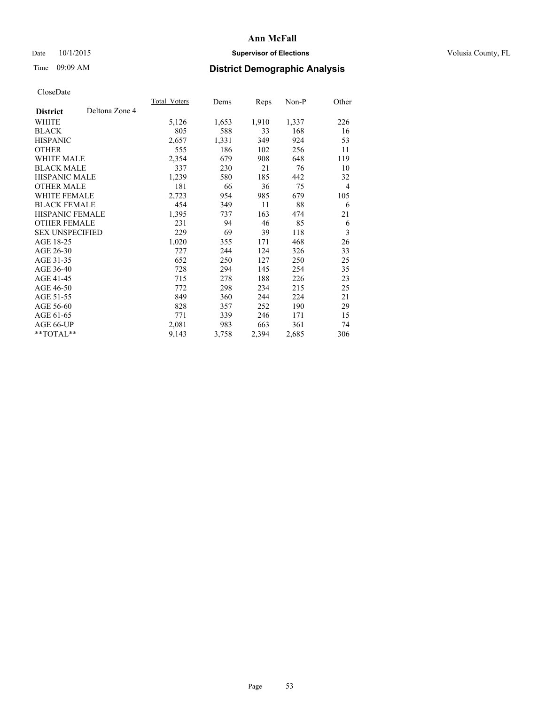## Date  $10/1/2015$  **Supervisor of Elections Supervisor of Elections** Volusia County, FL

## Time 09:09 AM **District Demographic Analysis**

|                        |                | Total Voters | Dems  | Reps  | Non-P | Other          |
|------------------------|----------------|--------------|-------|-------|-------|----------------|
| <b>District</b>        | Deltona Zone 4 |              |       |       |       |                |
| WHITE                  |                | 5,126        | 1,653 | 1,910 | 1,337 | 226            |
| <b>BLACK</b>           |                | 805          | 588   | 33    | 168   | 16             |
| <b>HISPANIC</b>        |                | 2,657        | 1,331 | 349   | 924   | 53             |
| <b>OTHER</b>           |                | 555          | 186   | 102   | 256   | 11             |
| WHITE MALE             |                | 2,354        | 679   | 908   | 648   | 119            |
| <b>BLACK MALE</b>      |                | 337          | 230   | 21    | 76    | 10             |
| <b>HISPANIC MALE</b>   |                | 1,239        | 580   | 185   | 442   | 32             |
| <b>OTHER MALE</b>      |                | 181          | 66    | 36    | 75    | $\overline{4}$ |
| WHITE FEMALE           |                | 2,723        | 954   | 985   | 679   | 105            |
| <b>BLACK FEMALE</b>    |                | 454          | 349   | 11    | 88    | 6              |
| HISPANIC FEMALE        |                | 1,395        | 737   | 163   | 474   | 21             |
| <b>OTHER FEMALE</b>    |                | 231          | 94    | 46    | 85    | 6              |
| <b>SEX UNSPECIFIED</b> |                | 229          | 69    | 39    | 118   | $\mathfrak{Z}$ |
| AGE 18-25              |                | 1,020        | 355   | 171   | 468   | 26             |
| AGE 26-30              |                | 727          | 244   | 124   | 326   | 33             |
| AGE 31-35              |                | 652          | 250   | 127   | 250   | 25             |
| AGE 36-40              |                | 728          | 294   | 145   | 254   | 35             |
| AGE 41-45              |                | 715          | 278   | 188   | 226   | 23             |
| AGE 46-50              |                | 772          | 298   | 234   | 215   | 25             |
| AGE 51-55              |                | 849          | 360   | 244   | 224   | 21             |
| AGE 56-60              |                | 828          | 357   | 252   | 190   | 29             |
| AGE 61-65              |                | 771          | 339   | 246   | 171   | 15             |
| AGE 66-UP              |                | 2,081        | 983   | 663   | 361   | 74             |
| **TOTAL**              |                | 9,143        | 3,758 | 2,394 | 2,685 | 306            |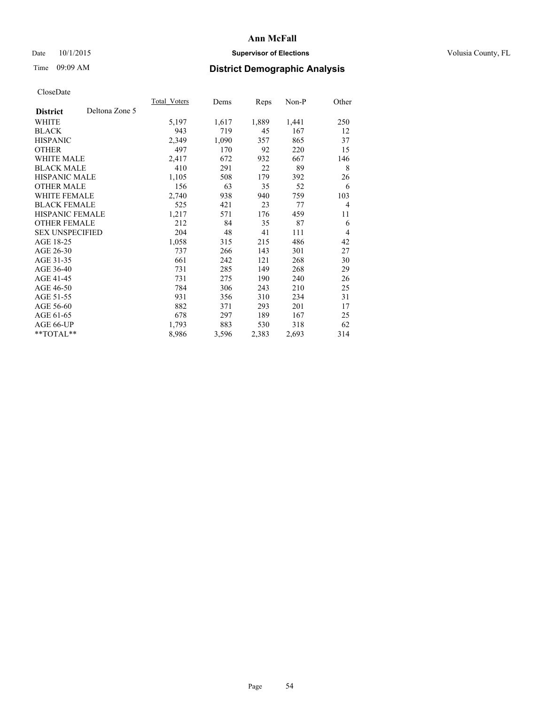## Date  $10/1/2015$  **Supervisor of Elections Supervisor of Elections** Volusia County, FL

## Time 09:09 AM **District Demographic Analysis**

|                                   | Total Voters | Dems  | <b>Reps</b> | Non-P | Other          |
|-----------------------------------|--------------|-------|-------------|-------|----------------|
| Deltona Zone 5<br><b>District</b> |              |       |             |       |                |
| WHITE                             | 5,197        | 1,617 | 1,889       | 1,441 | 250            |
| <b>BLACK</b>                      | 943          | 719   | 45          | 167   | 12             |
| <b>HISPANIC</b>                   | 2,349        | 1,090 | 357         | 865   | 37             |
| <b>OTHER</b>                      | 497          | 170   | 92          | 220   | 15             |
| <b>WHITE MALE</b>                 | 2,417        | 672   | 932         | 667   | 146            |
| <b>BLACK MALE</b>                 | 410          | 291   | 22          | 89    | 8              |
| <b>HISPANIC MALE</b>              | 1,105        | 508   | 179         | 392   | 26             |
| <b>OTHER MALE</b>                 | 156          | 63    | 35          | 52    | 6              |
| WHITE FEMALE                      | 2,740        | 938   | 940         | 759   | 103            |
| <b>BLACK FEMALE</b>               | 525          | 421   | 23          | 77    | $\overline{4}$ |
| <b>HISPANIC FEMALE</b>            | 1,217        | 571   | 176         | 459   | 11             |
| <b>OTHER FEMALE</b>               | 212          | 84    | 35          | 87    | 6              |
| <b>SEX UNSPECIFIED</b>            | 204          | 48    | 41          | 111   | $\overline{4}$ |
| AGE 18-25                         | 1,058        | 315   | 215         | 486   | 42             |
| AGE 26-30                         | 737          | 266   | 143         | 301   | 27             |
| AGE 31-35                         | 661          | 242   | 121         | 268   | 30             |
| AGE 36-40                         | 731          | 285   | 149         | 268   | 29             |
| AGE 41-45                         | 731          | 275   | 190         | 240   | 26             |
| AGE 46-50                         | 784          | 306   | 243         | 210   | 25             |
| AGE 51-55                         | 931          | 356   | 310         | 234   | 31             |
| AGE 56-60                         | 882          | 371   | 293         | 201   | 17             |
| AGE 61-65                         | 678          | 297   | 189         | 167   | 25             |
| AGE 66-UP                         | 1,793        | 883   | 530         | 318   | 62             |
| **TOTAL**                         | 8,986        | 3,596 | 2,383       | 2,693 | 314            |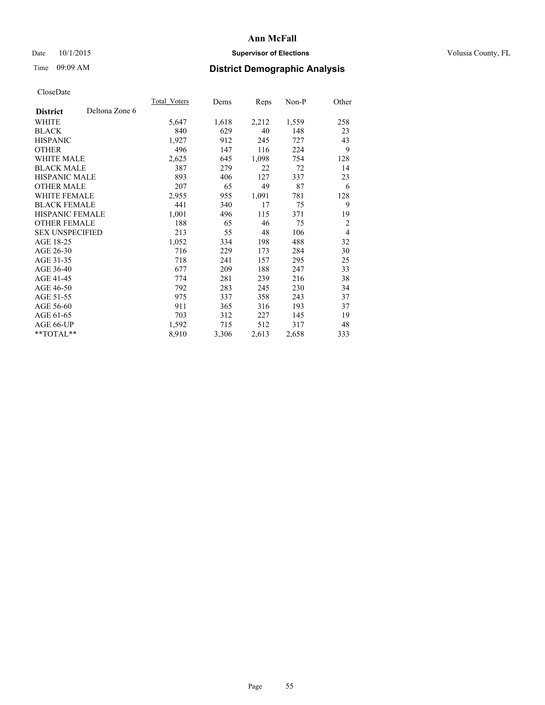## Date  $10/1/2015$  **Supervisor of Elections Supervisor of Elections** Volusia County, FL

## Time 09:09 AM **District Demographic Analysis**

|                                   | Total Voters | Dems  | <b>Reps</b> | Non-P | Other          |
|-----------------------------------|--------------|-------|-------------|-------|----------------|
| Deltona Zone 6<br><b>District</b> |              |       |             |       |                |
| WHITE                             | 5,647        | 1,618 | 2,212       | 1,559 | 258            |
| <b>BLACK</b>                      | 840          | 629   | 40          | 148   | 23             |
| <b>HISPANIC</b>                   | 1,927        | 912   | 245         | 727   | 43             |
| <b>OTHER</b>                      | 496          | 147   | 116         | 224   | 9              |
| <b>WHITE MALE</b>                 | 2,625        | 645   | 1,098       | 754   | 128            |
| <b>BLACK MALE</b>                 | 387          | 279   | 22          | 72    | 14             |
| <b>HISPANIC MALE</b>              | 893          | 406   | 127         | 337   | 23             |
| <b>OTHER MALE</b>                 | 207          | 65    | 49          | 87    | 6              |
| WHITE FEMALE                      | 2,955        | 955   | 1,091       | 781   | 128            |
| <b>BLACK FEMALE</b>               | 441          | 340   | 17          | 75    | 9              |
| <b>HISPANIC FEMALE</b>            | 1,001        | 496   | 115         | 371   | 19             |
| <b>OTHER FEMALE</b>               | 188          | 65    | 46          | 75    | $\overline{2}$ |
| <b>SEX UNSPECIFIED</b>            | 213          | 55    | 48          | 106   | $\overline{4}$ |
| AGE 18-25                         | 1,052        | 334   | 198         | 488   | 32             |
| AGE 26-30                         | 716          | 229   | 173         | 284   | 30             |
| AGE 31-35                         | 718          | 241   | 157         | 295   | 25             |
| AGE 36-40                         | 677          | 209   | 188         | 247   | 33             |
| AGE 41-45                         | 774          | 281   | 239         | 216   | 38             |
| AGE 46-50                         | 792          | 283   | 245         | 230   | 34             |
| AGE 51-55                         | 975          | 337   | 358         | 243   | 37             |
| AGE 56-60                         | 911          | 365   | 316         | 193   | 37             |
| AGE 61-65                         | 703          | 312   | 227         | 145   | 19             |
| AGE 66-UP                         | 1,592        | 715   | 512         | 317   | 48             |
| **TOTAL**                         | 8,910        | 3,306 | 2,613       | 2,658 | 333            |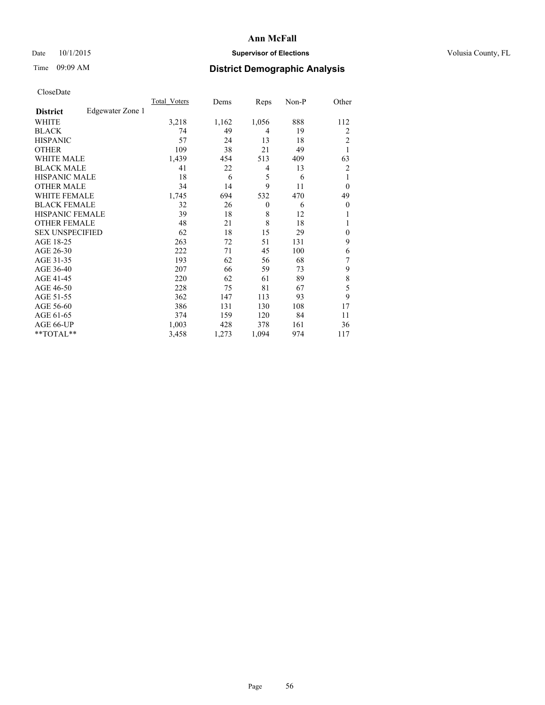## Date 10/1/2015 **Supervisor of Elections Supervisor of Elections** Volusia County, FL

## Time 09:09 AM **District Demographic Analysis**

| <b>UIUSUDUI</b> U      |                  |              |       |                |       |                |
|------------------------|------------------|--------------|-------|----------------|-------|----------------|
|                        |                  | Total Voters | Dems  | Reps           | Non-P | Other          |
| <b>District</b>        | Edgewater Zone 1 |              |       |                |       |                |
| WHITE                  |                  | 3,218        | 1,162 | 1,056          | 888   | 112            |
| <b>BLACK</b>           |                  | 74           | 49    | $\overline{4}$ | 19    | 2              |
| <b>HISPANIC</b>        |                  | 57           | 24    | 13             | 18    | $\overline{c}$ |
| <b>OTHER</b>           |                  | 109          | 38    | 21             | 49    |                |
| WHITE MALE             |                  | 1,439        | 454   | 513            | 409   | 63             |
| <b>BLACK MALE</b>      |                  | 41           | 22    | $\overline{4}$ | 13    | $\overline{2}$ |
| <b>HISPANIC MALE</b>   |                  | 18           | 6     | 5              | 6     | 1              |
| <b>OTHER MALE</b>      |                  | 34           | 14    | 9              | 11    | $\theta$       |
| WHITE FEMALE           |                  | 1,745        | 694   | 532            | 470   | 49             |
| <b>BLACK FEMALE</b>    |                  | 32           | 26    | $\theta$       | 6     | $\theta$       |
| HISPANIC FEMALE        |                  | 39           | 18    | 8              | 12    |                |
| <b>OTHER FEMALE</b>    |                  | 48           | 21    | 8              | 18    | 1              |
| <b>SEX UNSPECIFIED</b> |                  | 62           | 18    | 15             | 29    | $\mathbf{0}$   |
| AGE 18-25              |                  | 263          | 72    | 51             | 131   | 9              |
| AGE 26-30              |                  | 222          | 71    | 45             | 100   | 6              |
| AGE 31-35              |                  | 193          | 62    | 56             | 68    | 7              |
| AGE 36-40              |                  | 207          | 66    | 59             | 73    | 9              |
| AGE 41-45              |                  | 220          | 62    | 61             | 89    | 8              |
| AGE 46-50              |                  | 228          | 75    | 81             | 67    | 5              |
| AGE 51-55              |                  | 362          | 147   | 113            | 93    | 9              |
| AGE 56-60              |                  | 386          | 131   | 130            | 108   | 17             |
| AGE 61-65              |                  | 374          | 159   | 120            | 84    | 11             |
| AGE 66-UP              |                  | 1,003        | 428   | 378            | 161   | 36             |
| $*$ TOTAL $**$         |                  | 3,458        | 1,273 | 1,094          | 974   | 117            |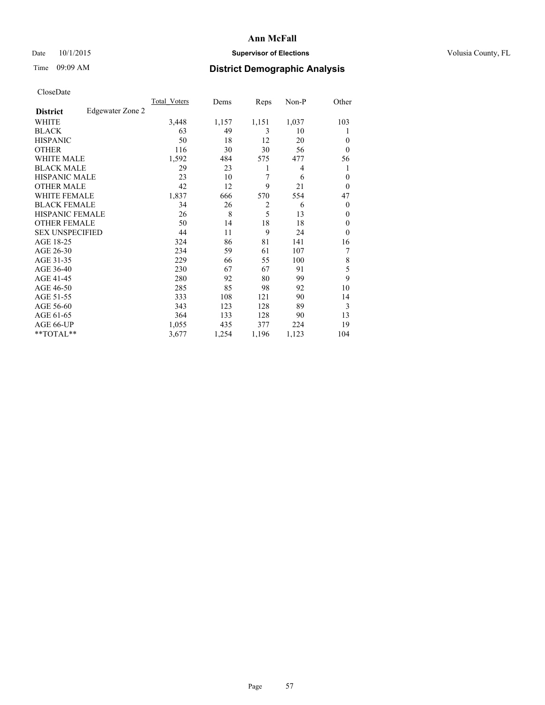## Date  $10/1/2015$  **Supervisor of Elections Supervisor of Elections** Volusia County, FL

## Time 09:09 AM **District Demographic Analysis**

|                        |                  | <b>Total Voters</b> | Dems  | Reps           | Non-P          | Other        |
|------------------------|------------------|---------------------|-------|----------------|----------------|--------------|
| <b>District</b>        | Edgewater Zone 2 |                     |       |                |                |              |
| WHITE                  |                  | 3,448               | 1,157 | 1,151          | 1,037          | 103          |
| <b>BLACK</b>           |                  | 63                  | 49    | 3              | 10             |              |
| <b>HISPANIC</b>        |                  | 50                  | 18    | 12             | 20             | $\theta$     |
| <b>OTHER</b>           |                  | 116                 | 30    | 30             | 56             | $\theta$     |
| WHITE MALE             |                  | 1,592               | 484   | 575            | 477            | 56           |
| <b>BLACK MALE</b>      |                  | 29                  | 23    | 1              | $\overline{4}$ | 1            |
| <b>HISPANIC MALE</b>   |                  | 23                  | 10    | 7              | 6              | $\mathbf{0}$ |
| <b>OTHER MALE</b>      |                  | 42                  | 12    | 9              | 21             | $\theta$     |
| WHITE FEMALE           |                  | 1,837               | 666   | 570            | 554            | 47           |
| <b>BLACK FEMALE</b>    |                  | 34                  | 26    | $\overline{2}$ | 6              | $\theta$     |
| <b>HISPANIC FEMALE</b> |                  | 26                  | 8     | 5              | 13             | $\Omega$     |
| <b>OTHER FEMALE</b>    |                  | 50                  | 14    | 18             | 18             | $\Omega$     |
| <b>SEX UNSPECIFIED</b> |                  | 44                  | 11    | 9              | 24             | $\theta$     |
| AGE 18-25              |                  | 324                 | 86    | 81             | 141            | 16           |
| AGE 26-30              |                  | 234                 | 59    | 61             | 107            | 7            |
| AGE 31-35              |                  | 229                 | 66    | 55             | 100            | 8            |
| AGE 36-40              |                  | 230                 | 67    | 67             | 91             | 5            |
| AGE 41-45              |                  | 280                 | 92    | 80             | 99             | 9            |
| AGE 46-50              |                  | 285                 | 85    | 98             | 92             | 10           |
| AGE 51-55              |                  | 333                 | 108   | 121            | 90             | 14           |
| AGE 56-60              |                  | 343                 | 123   | 128            | 89             | 3            |
| AGE 61-65              |                  | 364                 | 133   | 128            | 90             | 13           |
| AGE 66-UP              |                  | 1,055               | 435   | 377            | 224            | 19           |
| **TOTAL**              |                  | 3,677               | 1,254 | 1,196          | 1,123          | 104          |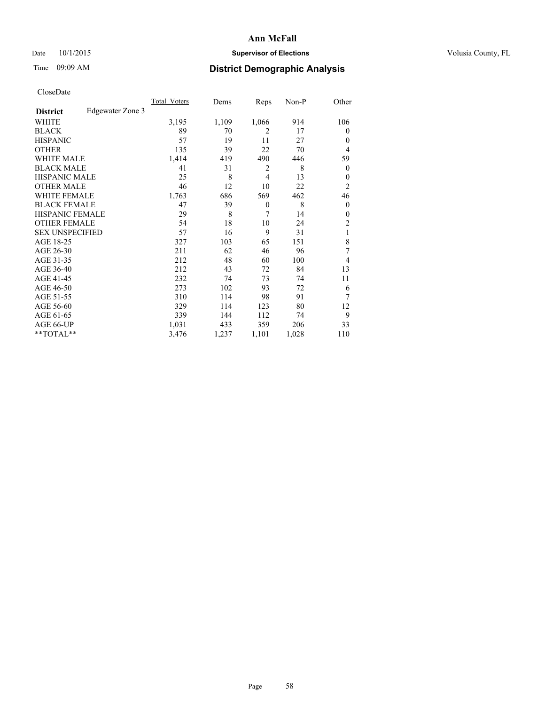## Date  $10/1/2015$  **Supervisor of Elections Supervisor of Elections** Volusia County, FL

## Time 09:09 AM **District Demographic Analysis**

|                        |                  | <b>Total Voters</b> | Dems  | Reps           | Non-P | Other          |
|------------------------|------------------|---------------------|-------|----------------|-------|----------------|
| <b>District</b>        | Edgewater Zone 3 |                     |       |                |       |                |
| WHITE                  |                  | 3,195               | 1,109 | 1,066          | 914   | 106            |
| <b>BLACK</b>           |                  | 89                  | 70    | $\overline{2}$ | 17    | $\theta$       |
| <b>HISPANIC</b>        |                  | 57                  | 19    | 11             | 27    | $\theta$       |
| <b>OTHER</b>           |                  | 135                 | 39    | 22             | 70    | 4              |
| WHITE MALE             |                  | 1,414               | 419   | 490            | 446   | 59             |
| <b>BLACK MALE</b>      |                  | 41                  | 31    | $\overline{2}$ | 8     | $\overline{0}$ |
| <b>HISPANIC MALE</b>   |                  | 25                  | 8     | $\overline{4}$ | 13    | $\theta$       |
| <b>OTHER MALE</b>      |                  | 46                  | 12    | 10             | 22    | 2              |
| WHITE FEMALE           |                  | 1,763               | 686   | 569            | 462   | 46             |
| <b>BLACK FEMALE</b>    |                  | 47                  | 39    | $\theta$       | 8     | $\theta$       |
| <b>HISPANIC FEMALE</b> |                  | 29                  | 8     | 7              | 14    | $\theta$       |
| <b>OTHER FEMALE</b>    |                  | 54                  | 18    | 10             | 24    | 2              |
| <b>SEX UNSPECIFIED</b> |                  | 57                  | 16    | 9              | 31    | 1              |
| AGE 18-25              |                  | 327                 | 103   | 65             | 151   | 8              |
| AGE 26-30              |                  | 211                 | 62    | 46             | 96    | 7              |
| AGE 31-35              |                  | 212                 | 48    | 60             | 100   | 4              |
| AGE 36-40              |                  | 212                 | 43    | 72             | 84    | 13             |
| AGE 41-45              |                  | 232                 | 74    | 73             | 74    | 11             |
| AGE 46-50              |                  | 273                 | 102   | 93             | 72    | 6              |
| AGE 51-55              |                  | 310                 | 114   | 98             | 91    | 7              |
| AGE 56-60              |                  | 329                 | 114   | 123            | 80    | 12             |
| AGE 61-65              |                  | 339                 | 144   | 112            | 74    | 9              |
| AGE 66-UP              |                  | 1,031               | 433   | 359            | 206   | 33             |
| **TOTAL**              |                  | 3,476               | 1,237 | 1,101          | 1,028 | 110            |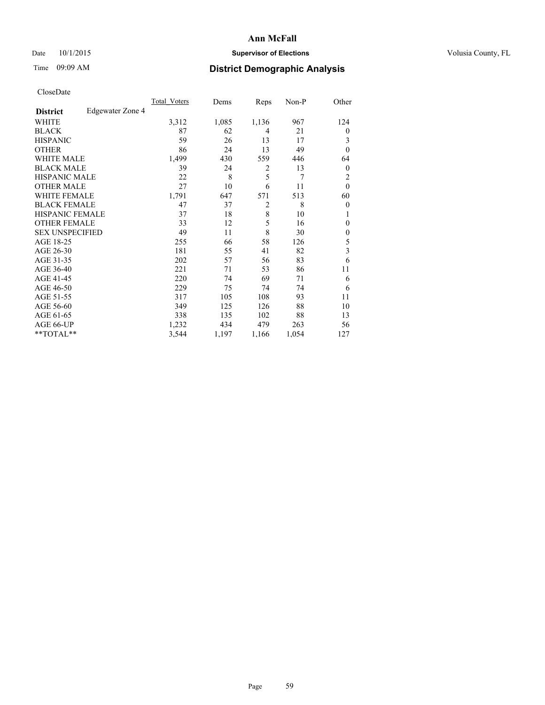## Date  $10/1/2015$  **Supervisor of Elections Supervisor of Elections** Volusia County, FL

## Time 09:09 AM **District Demographic Analysis**

|                        |                  | Total Voters | Dems  | Reps           | Non-P | Other            |
|------------------------|------------------|--------------|-------|----------------|-------|------------------|
| <b>District</b>        | Edgewater Zone 4 |              |       |                |       |                  |
| WHITE                  |                  | 3,312        | 1,085 | 1,136          | 967   | 124              |
| <b>BLACK</b>           |                  | 87           | 62    | 4              | 21    | $\theta$         |
| <b>HISPANIC</b>        |                  | 59           | 26    | 13             | 17    | 3                |
| <b>OTHER</b>           |                  | 86           | 24    | 13             | 49    | $\theta$         |
| WHITE MALE             |                  | 1,499        | 430   | 559            | 446   | 64               |
| <b>BLACK MALE</b>      |                  | 39           | 24    | 2              | 13    | $\boldsymbol{0}$ |
| <b>HISPANIC MALE</b>   |                  | 22           | 8     | 5              | 7     | 2                |
| <b>OTHER MALE</b>      |                  | 27           | 10    | 6              | 11    | $\mathbf{0}$     |
| <b>WHITE FEMALE</b>    |                  | 1,791        | 647   | 571            | 513   | 60               |
| <b>BLACK FEMALE</b>    |                  | 47           | 37    | $\overline{2}$ | 8     | $\theta$         |
| <b>HISPANIC FEMALE</b> |                  | 37           | 18    | 8              | 10    | 1                |
| <b>OTHER FEMALE</b>    |                  | 33           | 12    | 5              | 16    | $\theta$         |
| <b>SEX UNSPECIFIED</b> |                  | 49           | 11    | 8              | 30    | $\mathbf{0}$     |
| AGE 18-25              |                  | 255          | 66    | 58             | 126   | 5                |
| AGE 26-30              |                  | 181          | 55    | 41             | 82    | 3                |
| AGE 31-35              |                  | 202          | 57    | 56             | 83    | 6                |
| AGE 36-40              |                  | 221          | 71    | 53             | 86    | 11               |
| AGE 41-45              |                  | 220          | 74    | 69             | 71    | 6                |
| AGE 46-50              |                  | 229          | 75    | 74             | 74    | 6                |
| AGE 51-55              |                  | 317          | 105   | 108            | 93    | 11               |
| AGE 56-60              |                  | 349          | 125   | 126            | 88    | 10               |
| AGE 61-65              |                  | 338          | 135   | 102            | 88    | 13               |
| AGE 66-UP              |                  | 1,232        | 434   | 479            | 263   | 56               |
| **TOTAL**              |                  | 3,544        | 1,197 | 1,166          | 1,054 | 127              |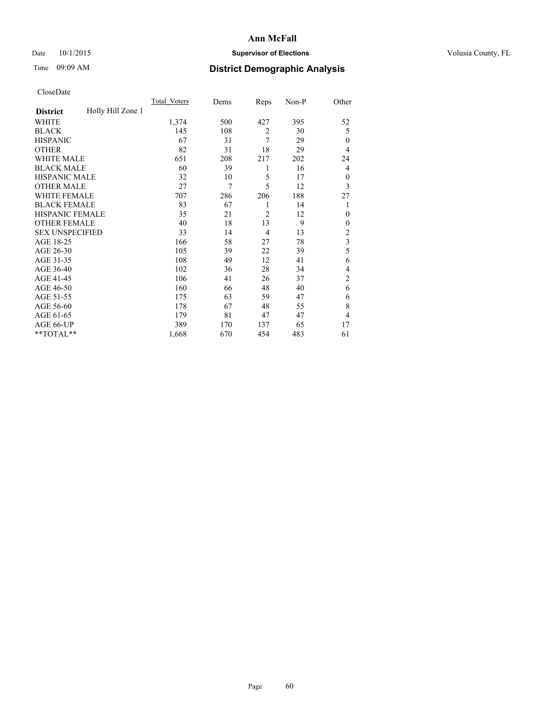## Date  $10/1/2015$  **Supervisor of Elections Supervisor of Elections** Volusia County, FL

## Time 09:09 AM **District Demographic Analysis**

|                        |                   | <b>Total Voters</b> | Dems | Reps           | Non-P | Other                   |
|------------------------|-------------------|---------------------|------|----------------|-------|-------------------------|
| <b>District</b>        | Holly Hill Zone 1 |                     |      |                |       |                         |
| WHITE                  |                   | 1,374               | 500  | 427            | 395   | 52                      |
| <b>BLACK</b>           |                   | 145                 | 108  | $\overline{2}$ | 30    | 5                       |
| <b>HISPANIC</b>        |                   | 67                  | 31   | 7              | 29    | $\Omega$                |
| <b>OTHER</b>           |                   | 82                  | 31   | 18             | 29    | 4                       |
| WHITE MALE             |                   | 651                 | 208  | 217            | 202   | 24                      |
| <b>BLACK MALE</b>      |                   | 60                  | 39   | 1              | 16    | 4                       |
| <b>HISPANIC MALE</b>   |                   | 32                  | 10   | 5              | 17    | $\mathbf{0}$            |
| <b>OTHER MALE</b>      |                   | 27                  | 7    | 5              | 12    | 3                       |
| WHITE FEMALE           |                   | 707                 | 286  | 206            | 188   | 27                      |
| <b>BLACK FEMALE</b>    |                   | 83                  | 67   | 1              | 14    | 1                       |
| <b>HISPANIC FEMALE</b> |                   | 35                  | 21   | $\overline{2}$ | 12    | $\Omega$                |
| <b>OTHER FEMALE</b>    |                   | 40                  | 18   | 13             | 9     | $\Omega$                |
| <b>SEX UNSPECIFIED</b> |                   | 33                  | 14   | 4              | 13    | $\overline{c}$          |
| AGE 18-25              |                   | 166                 | 58   | 27             | 78    | $\overline{\mathbf{3}}$ |
| AGE 26-30              |                   | 105                 | 39   | 22             | 39    | 5                       |
| AGE 31-35              |                   | 108                 | 49   | 12             | 41    | 6                       |
| AGE 36-40              |                   | 102                 | 36   | 28             | 34    | 4                       |
| AGE 41-45              |                   | 106                 | 41   | 26             | 37    | $\overline{c}$          |
| AGE 46-50              |                   | 160                 | 66   | 48             | 40    | 6                       |
| AGE 51-55              |                   | 175                 | 63   | 59             | 47    | 6                       |
| AGE 56-60              |                   | 178                 | 67   | 48             | 55    | 8                       |
| AGE 61-65              |                   | 179                 | 81   | 47             | 47    | 4                       |
| AGE 66-UP              |                   | 389                 | 170  | 137            | 65    | 17                      |
| **TOTAL**              |                   | 1,668               | 670  | 454            | 483   | 61                      |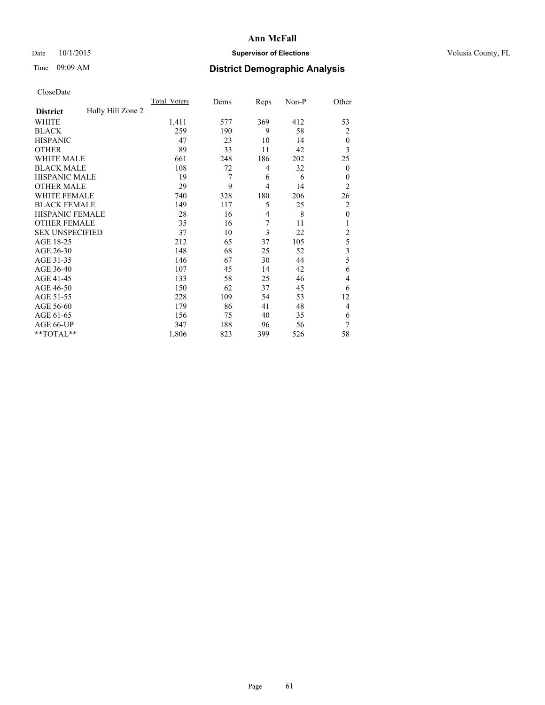## Date  $10/1/2015$  **Supervisor of Elections Supervisor of Elections** Volusia County, FL

## Time 09:09 AM **District Demographic Analysis**

|                        |                   | <b>Total Voters</b> | Dems | Reps           | Non-P | Other            |
|------------------------|-------------------|---------------------|------|----------------|-------|------------------|
| <b>District</b>        | Holly Hill Zone 2 |                     |      |                |       |                  |
| WHITE                  |                   | 1,411               | 577  | 369            | 412   | 53               |
| <b>BLACK</b>           |                   | 259                 | 190  | 9              | 58    | $\overline{c}$   |
| <b>HISPANIC</b>        |                   | 47                  | 23   | 10             | 14    | $\theta$         |
| <b>OTHER</b>           |                   | 89                  | 33   | 11             | 42    | 3                |
| <b>WHITE MALE</b>      |                   | 661                 | 248  | 186            | 202   | 25               |
| <b>BLACK MALE</b>      |                   | 108                 | 72   | 4              | 32    | $\boldsymbol{0}$ |
| <b>HISPANIC MALE</b>   |                   | 19                  | 7    | 6              | 6     | $\mathbf{0}$     |
| <b>OTHER MALE</b>      |                   | 29                  | 9    | $\overline{4}$ | 14    | $\overline{2}$   |
| WHITE FEMALE           |                   | 740                 | 328  | 180            | 206   | 26               |
| <b>BLACK FEMALE</b>    |                   | 149                 | 117  | 5              | 25    | 2                |
| <b>HISPANIC FEMALE</b> |                   | 28                  | 16   | $\overline{4}$ | 8     | $\mathbf{0}$     |
| <b>OTHER FEMALE</b>    |                   | 35                  | 16   | 7              | 11    | 1                |
| <b>SEX UNSPECIFIED</b> |                   | 37                  | 10   | 3              | 22    | $\overline{c}$   |
| AGE 18-25              |                   | 212                 | 65   | 37             | 105   | 5                |
| AGE 26-30              |                   | 148                 | 68   | 25             | 52    | 3                |
| AGE 31-35              |                   | 146                 | 67   | 30             | 44    | 5                |
| AGE 36-40              |                   | 107                 | 45   | 14             | 42    | 6                |
| AGE 41-45              |                   | 133                 | 58   | 25             | 46    | 4                |
| AGE 46-50              |                   | 150                 | 62   | 37             | 45    | 6                |
| AGE 51-55              |                   | 228                 | 109  | 54             | 53    | 12               |
| AGE 56-60              |                   | 179                 | 86   | 41             | 48    | 4                |
| AGE 61-65              |                   | 156                 | 75   | 40             | 35    | 6                |
| AGE 66-UP              |                   | 347                 | 188  | 96             | 56    | 7                |
| **TOTAL**              |                   | 1,806               | 823  | 399            | 526   | 58               |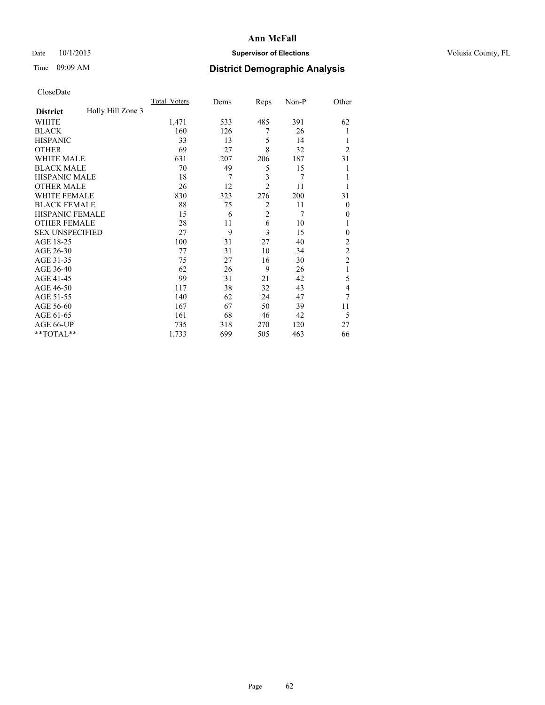## Date  $10/1/2015$  **Supervisor of Elections Supervisor of Elections** Volusia County, FL

## Time 09:09 AM **District Demographic Analysis**

|                        |                   | <b>Total Voters</b> | Dems | Reps           | Non-P | Other          |
|------------------------|-------------------|---------------------|------|----------------|-------|----------------|
| <b>District</b>        | Holly Hill Zone 3 |                     |      |                |       |                |
| WHITE                  |                   | 1,471               | 533  | 485            | 391   | 62             |
| <b>BLACK</b>           |                   | 160                 | 126  | 7              | 26    |                |
| <b>HISPANIC</b>        |                   | 33                  | 13   | 5              | 14    | 1              |
| <b>OTHER</b>           |                   | 69                  | 27   | 8              | 32    | $\overline{2}$ |
| WHITE MALE             |                   | 631                 | 207  | 206            | 187   | 31             |
| <b>BLACK MALE</b>      |                   | 70                  | 49   | 5              | 15    |                |
| <b>HISPANIC MALE</b>   |                   | 18                  | 7    | 3              | 7     |                |
| <b>OTHER MALE</b>      |                   | 26                  | 12   | $\overline{2}$ | 11    |                |
| <b>WHITE FEMALE</b>    |                   | 830                 | 323  | 276            | 200   | 31             |
| <b>BLACK FEMALE</b>    |                   | 88                  | 75   | $\overline{2}$ | 11    | $\theta$       |
| <b>HISPANIC FEMALE</b> |                   | 15                  | 6    | $\overline{2}$ | 7     | $\theta$       |
| <b>OTHER FEMALE</b>    |                   | 28                  | 11   | 6              | 10    |                |
| <b>SEX UNSPECIFIED</b> |                   | 27                  | 9    | 3              | 15    | $\mathbf{0}$   |
| AGE 18-25              |                   | 100                 | 31   | 27             | 40    | $\overline{c}$ |
| AGE 26-30              |                   | 77                  | 31   | 10             | 34    | $\overline{c}$ |
| AGE 31-35              |                   | 75                  | 27   | 16             | 30    | $\overline{c}$ |
| AGE 36-40              |                   | 62                  | 26   | 9              | 26    | 1              |
| AGE 41-45              |                   | 99                  | 31   | 21             | 42    | 5              |
| AGE 46-50              |                   | 117                 | 38   | 32             | 43    | 4              |
| AGE 51-55              |                   | 140                 | 62   | 24             | 47    | 7              |
| AGE 56-60              |                   | 167                 | 67   | 50             | 39    | 11             |
| AGE 61-65              |                   | 161                 | 68   | 46             | 42    | 5              |
| AGE 66-UP              |                   | 735                 | 318  | 270            | 120   | 27             |
| **TOTAL**              |                   | 1,733               | 699  | 505            | 463   | 66             |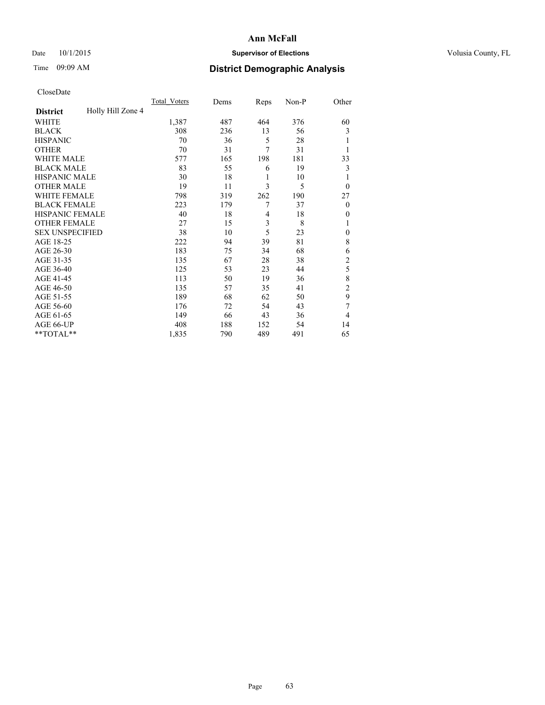## Date  $10/1/2015$  **Supervisor of Elections Supervisor of Elections** Volusia County, FL

## Time 09:09 AM **District Demographic Analysis**

|                        |                   | Total Voters | Dems | Reps           | Non-P | Other          |
|------------------------|-------------------|--------------|------|----------------|-------|----------------|
| <b>District</b>        | Holly Hill Zone 4 |              |      |                |       |                |
| WHITE                  |                   | 1,387        | 487  | 464            | 376   | 60             |
| <b>BLACK</b>           |                   | 308          | 236  | 13             | 56    | 3              |
| <b>HISPANIC</b>        |                   | 70           | 36   | 5              | 28    |                |
| <b>OTHER</b>           |                   | 70           | 31   | 7              | 31    |                |
| <b>WHITE MALE</b>      |                   | 577          | 165  | 198            | 181   | 33             |
| <b>BLACK MALE</b>      |                   | 83           | 55   | 6              | 19    | 3              |
| <b>HISPANIC MALE</b>   |                   | 30           | 18   | 1              | 10    | 1              |
| <b>OTHER MALE</b>      |                   | 19           | 11   | 3              | 5     | $\overline{0}$ |
| <b>WHITE FEMALE</b>    |                   | 798          | 319  | 262            | 190   | 27             |
| <b>BLACK FEMALE</b>    |                   | 223          | 179  | 7              | 37    | $\overline{0}$ |
| <b>HISPANIC FEMALE</b> |                   | 40           | 18   | $\overline{4}$ | 18    | $\Omega$       |
| <b>OTHER FEMALE</b>    |                   | 27           | 15   | 3              | 8     |                |
| <b>SEX UNSPECIFIED</b> |                   | 38           | 10   | 5              | 23    | $\theta$       |
| AGE 18-25              |                   | 222          | 94   | 39             | 81    | 8              |
| AGE 26-30              |                   | 183          | 75   | 34             | 68    | 6              |
| AGE 31-35              |                   | 135          | 67   | 28             | 38    | $\overline{c}$ |
| AGE 36-40              |                   | 125          | 53   | 23             | 44    | 5              |
| AGE 41-45              |                   | 113          | 50   | 19             | 36    | 8              |
| AGE 46-50              |                   | 135          | 57   | 35             | 41    | 2              |
| AGE 51-55              |                   | 189          | 68   | 62             | 50    | 9              |
| AGE 56-60              |                   | 176          | 72   | 54             | 43    | 7              |
| AGE 61-65              |                   | 149          | 66   | 43             | 36    | $\overline{4}$ |
| AGE 66-UP              |                   | 408          | 188  | 152            | 54    | 14             |
| **TOTAL**              |                   | 1,835        | 790  | 489            | 491   | 65             |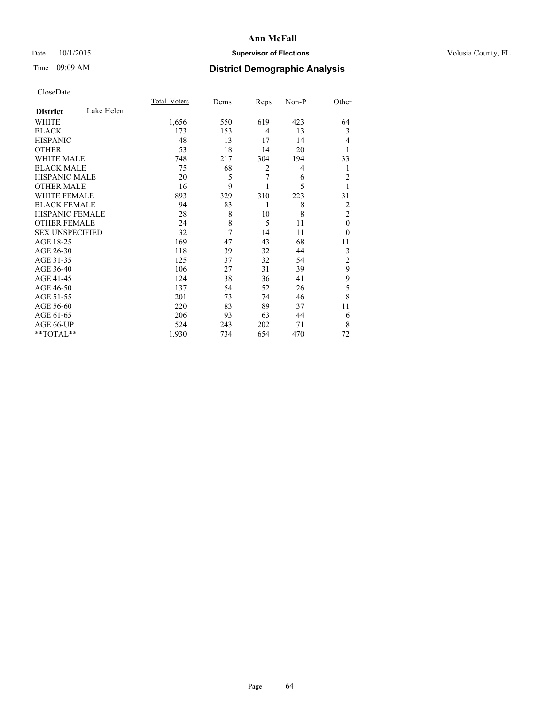## Date  $10/1/2015$  **Supervisor of Elections Supervisor of Elections** Volusia County, FL

# Time 09:09 AM **District Demographic Analysis**

|                        |            | <b>Total Voters</b> | Dems | Reps           | Non-P | Other          |
|------------------------|------------|---------------------|------|----------------|-------|----------------|
| <b>District</b>        | Lake Helen |                     |      |                |       |                |
| WHITE                  |            | 1,656               | 550  | 619            | 423   | 64             |
| <b>BLACK</b>           |            | 173                 | 153  | $\overline{4}$ | 13    | 3              |
| <b>HISPANIC</b>        |            | 48                  | 13   | 17             | 14    | 4              |
| <b>OTHER</b>           |            | 53                  | 18   | 14             | 20    | 1              |
| WHITE MALE             |            | 748                 | 217  | 304            | 194   | 33             |
| <b>BLACK MALE</b>      |            | 75                  | 68   | $\overline{2}$ | 4     | 1              |
| <b>HISPANIC MALE</b>   |            | 20                  | 5    | 7              | 6     | $\overline{2}$ |
| <b>OTHER MALE</b>      |            | 16                  | 9    |                | 5     | 1              |
| WHITE FEMALE           |            | 893                 | 329  | 310            | 223   | 31             |
| <b>BLACK FEMALE</b>    |            | 94                  | 83   | 1              | 8     | 2              |
| <b>HISPANIC FEMALE</b> |            | 28                  | 8    | 10             | 8     | $\overline{2}$ |
| <b>OTHER FEMALE</b>    |            | 24                  | 8    | 5              | 11    | $\theta$       |
| <b>SEX UNSPECIFIED</b> |            | 32                  | 7    | 14             | 11    | $\theta$       |
| AGE 18-25              |            | 169                 | 47   | 43             | 68    | 11             |
| AGE 26-30              |            | 118                 | 39   | 32             | 44    | 3              |
| AGE 31-35              |            | 125                 | 37   | 32             | 54    | $\overline{c}$ |
| AGE 36-40              |            | 106                 | 27   | 31             | 39    | 9              |
| AGE 41-45              |            | 124                 | 38   | 36             | 41    | 9              |
| AGE 46-50              |            | 137                 | 54   | 52             | 26    | 5              |
| AGE 51-55              |            | 201                 | 73   | 74             | 46    | 8              |
| AGE 56-60              |            | 220                 | 83   | 89             | 37    | 11             |
| AGE 61-65              |            | 206                 | 93   | 63             | 44    | 6              |
| AGE 66-UP              |            | 524                 | 243  | 202            | 71    | 8              |
| **TOTAL**              |            | 1,930               | 734  | 654            | 470   | 72             |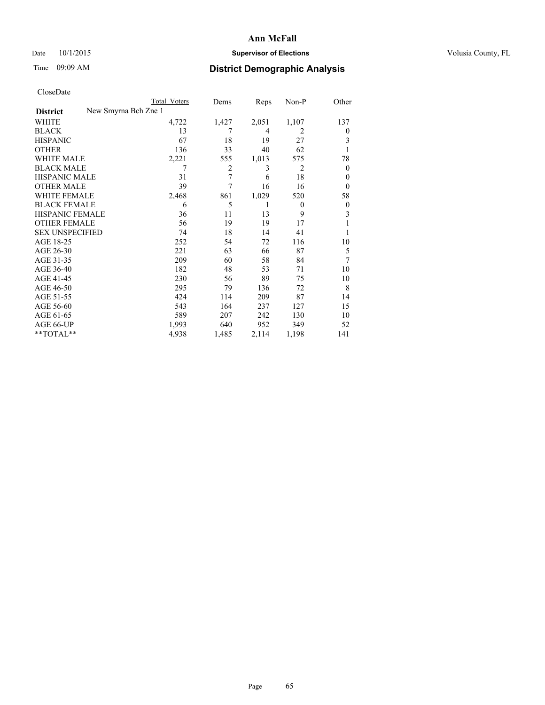## Date  $10/1/2015$  **Supervisor of Elections Supervisor of Elections** Volusia County, FL

|                                         | <b>Total Voters</b> | Dems  | Reps           | Non-P          | Other            |
|-----------------------------------------|---------------------|-------|----------------|----------------|------------------|
| New Smyrna Bch Zne 1<br><b>District</b> |                     |       |                |                |                  |
| WHITE                                   | 4,722               | 1,427 | 2,051          | 1,107          | 137              |
| <b>BLACK</b>                            | 13                  | 7     | $\overline{4}$ | $\overline{2}$ | 0                |
| <b>HISPANIC</b>                         | 67                  | 18    | 19             | 27             | 3                |
| <b>OTHER</b>                            | 136                 | 33    | 40             | 62             |                  |
| WHITE MALE                              | 2,221               | 555   | 1,013          | 575            | 78               |
| <b>BLACK MALE</b>                       | 7                   | 2     | 3              | $\overline{2}$ | $\boldsymbol{0}$ |
| <b>HISPANIC MALE</b>                    | 31                  | 7     | 6              | 18             | $\theta$         |
| <b>OTHER MALE</b>                       | 39                  | 7     | 16             | 16             | $\overline{0}$   |
| <b>WHITE FEMALE</b>                     | 2,468               | 861   | 1,029          | 520            | 58               |
| <b>BLACK FEMALE</b>                     | 6                   | 5     | 1              | $\theta$       | $\overline{0}$   |
| <b>HISPANIC FEMALE</b>                  | 36                  | 11    | 13             | 9              | 3                |
| <b>OTHER FEMALE</b>                     | 56                  | 19    | 19             | 17             |                  |
| <b>SEX UNSPECIFIED</b>                  | 74                  | 18    | 14             | 41             |                  |
| AGE 18-25                               | 252                 | 54    | 72             | 116            | 10               |
| AGE 26-30                               | 221                 | 63    | 66             | 87             | 5                |
| AGE 31-35                               | 209                 | 60    | 58             | 84             | 7                |
| AGE 36-40                               | 182                 | 48    | 53             | 71             | 10               |
| AGE 41-45                               | 230                 | 56    | 89             | 75             | 10               |
| AGE 46-50                               | 295                 | 79    | 136            | 72             | 8                |
| AGE 51-55                               | 424                 | 114   | 209            | 87             | 14               |
| AGE 56-60                               | 543                 | 164   | 237            | 127            | 15               |
| AGE 61-65                               | 589                 | 207   | 242            | 130            | 10               |
| AGE 66-UP                               | 1,993               | 640   | 952            | 349            | 52               |
| **TOTAL**                               | 4,938               | 1,485 | 2,114          | 1,198          | 141              |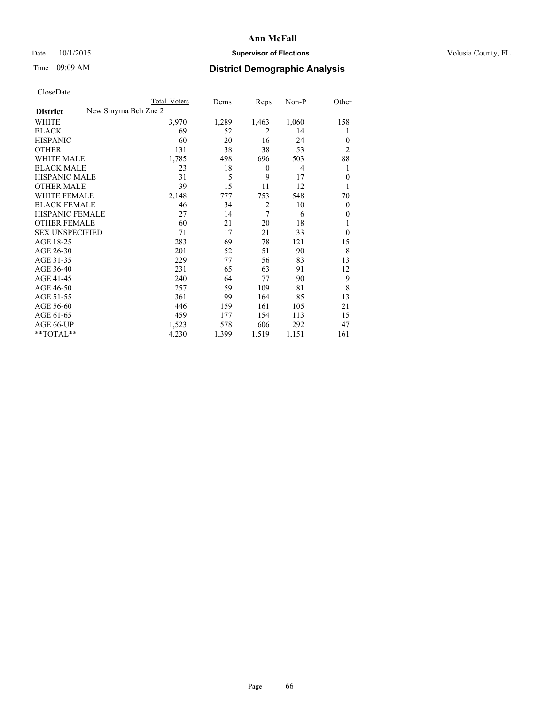## Date  $10/1/2015$  **Supervisor of Elections Supervisor of Elections** Volusia County, FL

| CloseDate |
|-----------|
|-----------|

|                        | <b>Total Voters</b>  | Dems  | Reps             | Non-P | Other          |
|------------------------|----------------------|-------|------------------|-------|----------------|
| <b>District</b>        | New Smyrna Bch Zne 2 |       |                  |       |                |
| WHITE                  | 3,970                | 1,289 | 1,463            | 1,060 | 158            |
| <b>BLACK</b>           | 69                   | 52    | 2                | 14    | l              |
| <b>HISPANIC</b>        | 60                   | 20    | 16               | 24    | $\Omega$       |
| <b>OTHER</b>           | 131                  | 38    | 38               | 53    | $\overline{2}$ |
| <b>WHITE MALE</b>      | 1,785                | 498   | 696              | 503   | 88             |
| <b>BLACK MALE</b>      | 23                   | 18    | $\boldsymbol{0}$ | 4     | 1              |
| <b>HISPANIC MALE</b>   | 31                   | 5     | 9                | 17    | $\theta$       |
| <b>OTHER MALE</b>      | 39                   | 15    | 11               | 12    | 1              |
| <b>WHITE FEMALE</b>    | 2,148                | 777   | 753              | 548   | 70             |
| <b>BLACK FEMALE</b>    | 46                   | 34    | $\overline{2}$   | 10    | $\overline{0}$ |
| <b>HISPANIC FEMALE</b> | 27                   | 14    | 7                | 6     | $\Omega$       |
| <b>OTHER FEMALE</b>    | 60                   | 21    | 20               | 18    |                |
| <b>SEX UNSPECIFIED</b> | 71                   | 17    | 21               | 33    | $\theta$       |
| AGE 18-25              | 283                  | 69    | 78               | 121   | 15             |
| AGE 26-30              | 201                  | 52    | 51               | 90    | 8              |
| AGE 31-35              | 229                  | 77    | 56               | 83    | 13             |
| AGE 36-40              | 231                  | 65    | 63               | 91    | 12             |
| AGE 41-45              | 240                  | 64    | 77               | 90    | 9              |
| AGE 46-50              | 257                  | 59    | 109              | 81    | 8              |
| AGE 51-55              | 361                  | 99    | 164              | 85    | 13             |
| AGE 56-60              | 446                  | 159   | 161              | 105   | 21             |
| AGE 61-65              | 459                  | 177   | 154              | 113   | 15             |
| AGE 66-UP              | 1,523                | 578   | 606              | 292   | 47             |
| $*$ TOTAL $**$         | 4,230                | 1,399 | 1,519            | 1,151 | 161            |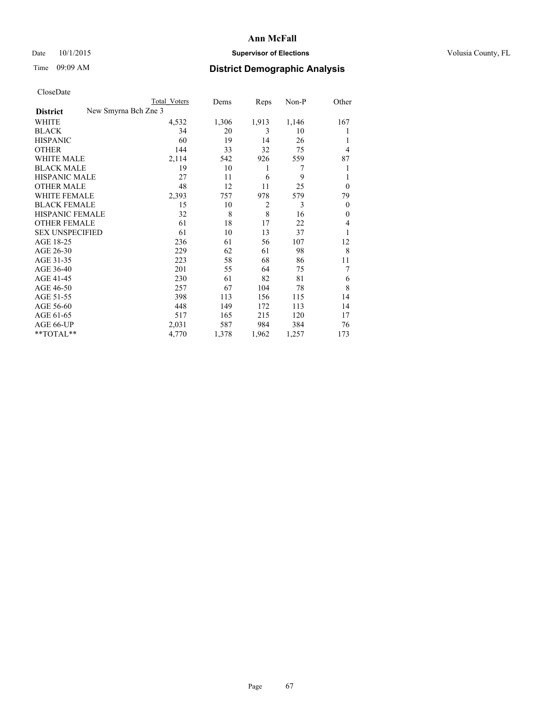## Date 10/1/2015 **Supervisor of Elections Supervisor of Elections** Volusia County, FL

|                        | <b>Total Voters</b>  | Dems  | Reps           | Non-P | Other          |
|------------------------|----------------------|-------|----------------|-------|----------------|
| <b>District</b>        | New Smyrna Bch Zne 3 |       |                |       |                |
| WHITE                  | 4,532                | 1,306 | 1,913          | 1,146 | 167            |
| <b>BLACK</b>           | 34                   | 20    | 3              | 10    |                |
| <b>HISPANIC</b>        | 60                   | 19    | 14             | 26    |                |
| <b>OTHER</b>           | 144                  | 33    | 32             | 75    | 4              |
| <b>WHITE MALE</b>      | 2,114                | 542   | 926            | 559   | 87             |
| <b>BLACK MALE</b>      | 19                   | 10    | 1              | 7     |                |
| <b>HISPANIC MALE</b>   | 27                   | 11    | 6              | 9     |                |
| <b>OTHER MALE</b>      | 48                   | 12    | 11             | 25    | $\overline{0}$ |
| <b>WHITE FEMALE</b>    | 2,393                | 757   | 978            | 579   | 79             |
| <b>BLACK FEMALE</b>    | 15                   | 10    | $\overline{2}$ | 3     | $\overline{0}$ |
| <b>HISPANIC FEMALE</b> | 32                   | 8     | 8              | 16    | $\theta$       |
| <b>OTHER FEMALE</b>    | 61                   | 18    | 17             | 22    | 4              |
| <b>SEX UNSPECIFIED</b> | 61                   | 10    | 13             | 37    |                |
| AGE 18-25              | 236                  | 61    | 56             | 107   | 12             |
| AGE 26-30              | 229                  | 62    | 61             | 98    | 8              |
| AGE 31-35              | 223                  | 58    | 68             | 86    | 11             |
| AGE 36-40              | 201                  | 55    | 64             | 75    | 7              |
| AGE 41-45              | 230                  | 61    | 82             | 81    | 6              |
| AGE 46-50              | 257                  | 67    | 104            | 78    | 8              |
| AGE 51-55              | 398                  | 113   | 156            | 115   | 14             |
| AGE 56-60              | 448                  | 149   | 172            | 113   | 14             |
| AGE 61-65              | 517                  | 165   | 215            | 120   | 17             |
| AGE 66-UP              | 2,031                | 587   | 984            | 384   | 76             |
| $*$ TOTAL $**$         | 4,770                | 1,378 | 1,962          | 1,257 | 173            |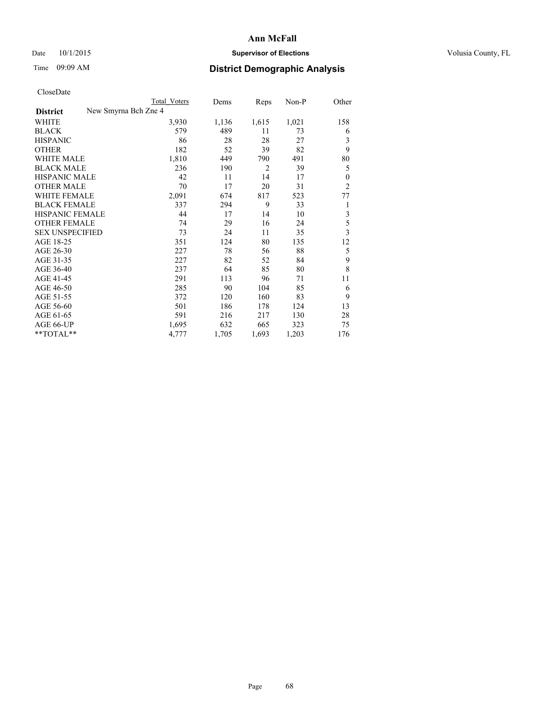## Date 10/1/2015 **Supervisor of Elections Supervisor of Elections** Volusia County, FL

| Cioscivate             |                      |              |       |                |       |                |
|------------------------|----------------------|--------------|-------|----------------|-------|----------------|
|                        |                      | Total Voters | Dems  | Reps           | Non-P | Other          |
| <b>District</b>        | New Smyrna Bch Zne 4 |              |       |                |       |                |
| <b>WHITE</b>           |                      | 3,930        | 1,136 | 1,615          | 1,021 | 158            |
| <b>BLACK</b>           |                      | 579          | 489   | 11             | 73    | 6              |
| <b>HISPANIC</b>        |                      | 86           | 28    | 28             | 27    | 3              |
| <b>OTHER</b>           |                      | 182          | 52    | 39             | 82    | 9              |
| WHITE MALE             |                      | 1,810        | 449   | 790            | 491   | 80             |
| <b>BLACK MALE</b>      |                      | 236          | 190   | $\overline{2}$ | 39    | 5              |
| <b>HISPANIC MALE</b>   |                      | 42           | 11    | 14             | 17    | 0              |
| <b>OTHER MALE</b>      |                      | 70           | 17    | 20             | 31    | $\overline{2}$ |
| <b>WHITE FEMALE</b>    |                      | 2,091        | 674   | 817            | 523   | 77             |
| <b>BLACK FEMALE</b>    |                      | 337          | 294   | 9              | 33    | 1              |
| <b>HISPANIC FEMALE</b> |                      | 44           | 17    | 14             | 10    | 3              |
| <b>OTHER FEMALE</b>    |                      | 74           | 29    | 16             | 24    | 5              |
| <b>SEX UNSPECIFIED</b> |                      | 73           | 24    | 11             | 35    | 3              |
| AGE 18-25              |                      | 351          | 124   | 80             | 135   | 12             |
| AGE 26-30              |                      | 227          | 78    | 56             | 88    | 5              |
| AGE 31-35              |                      | 227          | 82    | 52             | 84    | 9              |
| AGE 36-40              |                      | 237          | 64    | 85             | 80    | 8              |
| AGE 41-45              |                      | 291          | 113   | 96             | 71    | 11             |
| AGE 46-50              |                      | 285          | 90    | 104            | 85    | 6              |
| AGE 51-55              |                      | 372          | 120   | 160            | 83    | 9              |
| AGE 56-60              |                      | 501          | 186   | 178            | 124   | 13             |
| AGE 61-65              |                      | 591          | 216   | 217            | 130   | 28             |
| AGE 66-UP              |                      | 1,695        | 632   | 665            | 323   | 75             |
| **TOTAL**              |                      | 4,777        | 1,705 | 1,693          | 1,203 | 176            |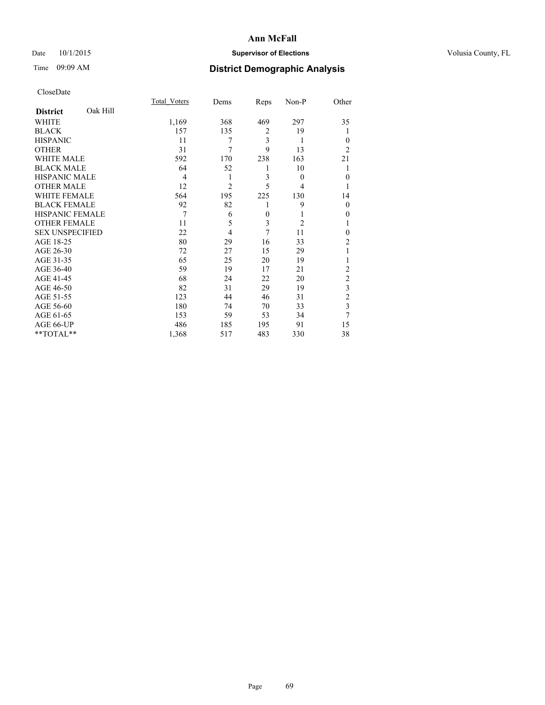## Date  $10/1/2015$  **Supervisor of Elections Supervisor of Elections** Volusia County, FL

# Time 09:09 AM **District Demographic Analysis**

|                        |          | Total Voters | Dems           | Reps     | Non-P          | Other                   |
|------------------------|----------|--------------|----------------|----------|----------------|-------------------------|
| <b>District</b>        | Oak Hill |              |                |          |                |                         |
| WHITE                  |          | 1,169        | 368            | 469      | 297            | 35                      |
| <b>BLACK</b>           |          | 157          | 135            | 2        | 19             | 1                       |
| <b>HISPANIC</b>        |          | 11           | 7              | 3        | 1              | $\Omega$                |
| <b>OTHER</b>           |          | 31           | 7              | 9        | 13             | $\overline{c}$          |
| <b>WHITE MALE</b>      |          | 592          | 170            | 238      | 163            | 21                      |
| <b>BLACK MALE</b>      |          | 64           | 52             | 1        | 10             | 1                       |
| <b>HISPANIC MALE</b>   |          | 4            | 1              | 3        | $\theta$       | $\Omega$                |
| <b>OTHER MALE</b>      |          | 12           | $\overline{2}$ | 5        | 4              | 1                       |
| <b>WHITE FEMALE</b>    |          | 564          | 195            | 225      | 130            | 14                      |
| <b>BLACK FEMALE</b>    |          | 92           | 82             | 1        | 9              | $\Omega$                |
| <b>HISPANIC FEMALE</b> |          | 7            | 6              | $\theta$ | 1              | $\Omega$                |
| <b>OTHER FEMALE</b>    |          | 11           | 5              | 3        | $\overline{2}$ | 1                       |
| <b>SEX UNSPECIFIED</b> |          | 22           | $\overline{4}$ | 7        | 11             | $\Omega$                |
| AGE 18-25              |          | 80           | 29             | 16       | 33             | $\overline{2}$          |
| AGE 26-30              |          | 72           | 27             | 15       | 29             | 1                       |
| AGE 31-35              |          | 65           | 25             | 20       | 19             | 1                       |
| AGE 36-40              |          | 59           | 19             | 17       | 21             | $\overline{2}$          |
| AGE 41-45              |          | 68           | 24             | 22       | 20             | $\overline{c}$          |
| AGE 46-50              |          | 82           | 31             | 29       | 19             | $\overline{\mathbf{3}}$ |
| AGE 51-55              |          | 123          | 44             | 46       | 31             | $\overline{2}$          |
| AGE 56-60              |          | 180          | 74             | 70       | 33             | 3                       |
| AGE 61-65              |          | 153          | 59             | 53       | 34             | 7                       |
| AGE 66-UP              |          | 486          | 185            | 195      | 91             | 15                      |
| **TOTAL**              |          | 1,368        | 517            | 483      | 330            | 38                      |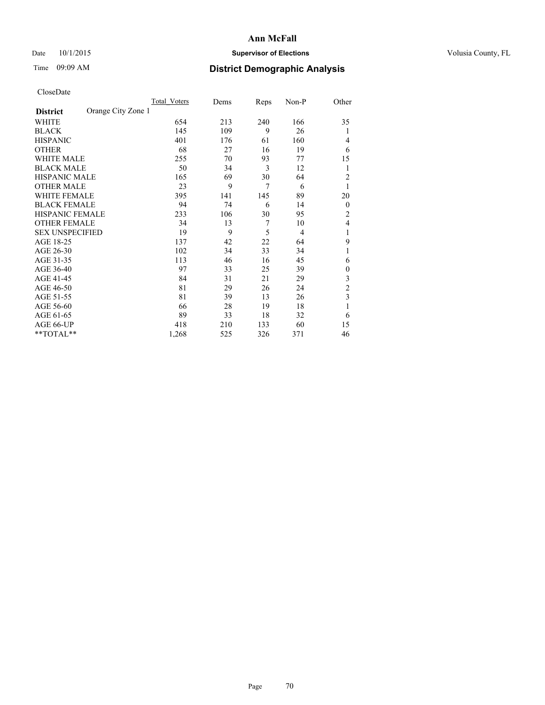## Date  $10/1/2015$  **Supervisor of Elections Supervisor of Elections** Volusia County, FL

## Time 09:09 AM **District Demographic Analysis**

|                        |                    | <b>Total Voters</b> | Dems | Reps | Non-P          | Other          |
|------------------------|--------------------|---------------------|------|------|----------------|----------------|
| <b>District</b>        | Orange City Zone 1 |                     |      |      |                |                |
| WHITE                  |                    | 654                 | 213  | 240  | 166            | 35             |
| <b>BLACK</b>           |                    | 145                 | 109  | 9    | 26             | 1              |
| <b>HISPANIC</b>        |                    | 401                 | 176  | 61   | 160            | 4              |
| <b>OTHER</b>           |                    | 68                  | 27   | 16   | 19             | 6              |
| WHITE MALE             |                    | 255                 | 70   | 93   | 77             | 15             |
| <b>BLACK MALE</b>      |                    | 50                  | 34   | 3    | 12             | 1              |
| <b>HISPANIC MALE</b>   |                    | 165                 | 69   | 30   | 64             | 2              |
| <b>OTHER MALE</b>      |                    | 23                  | 9    | 7    | 6              | 1              |
| WHITE FEMALE           |                    | 395                 | 141  | 145  | 89             | 20             |
| <b>BLACK FEMALE</b>    |                    | 94                  | 74   | 6    | 14             | $\overline{0}$ |
| <b>HISPANIC FEMALE</b> |                    | 233                 | 106  | 30   | 95             | $\overline{2}$ |
| <b>OTHER FEMALE</b>    |                    | 34                  | 13   | 7    | 10             | 4              |
| <b>SEX UNSPECIFIED</b> |                    | 19                  | 9    | 5    | $\overline{4}$ | 1              |
| AGE 18-25              |                    | 137                 | 42   | 22   | 64             | 9              |
| AGE 26-30              |                    | 102                 | 34   | 33   | 34             | 1              |
| AGE 31-35              |                    | 113                 | 46   | 16   | 45             | 6              |
| AGE 36-40              |                    | 97                  | 33   | 25   | 39             | $\mathbf{0}$   |
| AGE 41-45              |                    | 84                  | 31   | 21   | 29             | 3              |
| AGE 46-50              |                    | 81                  | 29   | 26   | 24             | $\overline{2}$ |
| AGE 51-55              |                    | 81                  | 39   | 13   | 26             | 3              |
| AGE 56-60              |                    | 66                  | 28   | 19   | 18             |                |
| AGE 61-65              |                    | 89                  | 33   | 18   | 32             | 6              |
| AGE 66-UP              |                    | 418                 | 210  | 133  | 60             | 15             |
| **TOTAL**              |                    | 1,268               | 525  | 326  | 371            | 46             |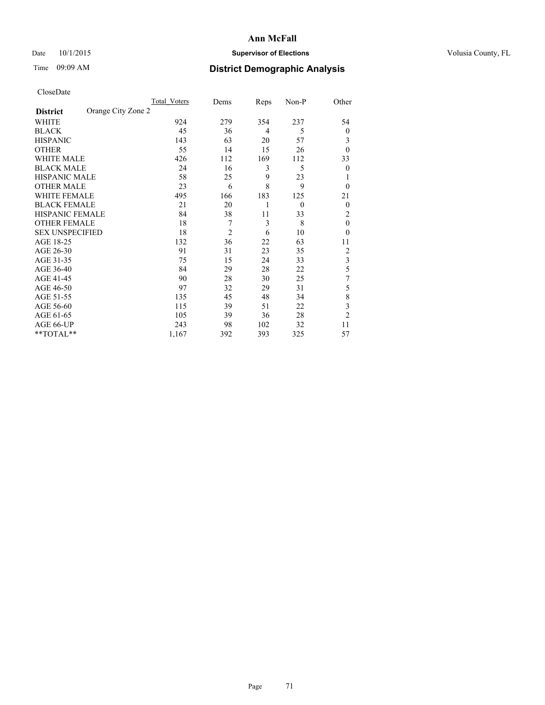## Date  $10/1/2015$  **Supervisor of Elections Supervisor of Elections** Volusia County, FL

## Time 09:09 AM **District Demographic Analysis**

|                        |                    | <b>Total Voters</b> | Dems           | Reps | Non-P    | Other          |
|------------------------|--------------------|---------------------|----------------|------|----------|----------------|
| <b>District</b>        | Orange City Zone 2 |                     |                |      |          |                |
| WHITE                  |                    | 924                 | 279            | 354  | 237      | 54             |
| <b>BLACK</b>           |                    | 45                  | 36             | 4    | 5        | $\overline{0}$ |
| <b>HISPANIC</b>        |                    | 143                 | 63             | 20   | 57       | 3              |
| <b>OTHER</b>           |                    | 55                  | 14             | 15   | 26       | $\theta$       |
| WHITE MALE             |                    | 426                 | 112            | 169  | 112      | 33             |
| <b>BLACK MALE</b>      |                    | 24                  | 16             | 3    | 5        | $\theta$       |
| <b>HISPANIC MALE</b>   |                    | 58                  | 25             | 9    | 23       | 1              |
| <b>OTHER MALE</b>      |                    | 23                  | 6              | 8    | 9        | $\theta$       |
| <b>WHITE FEMALE</b>    |                    | 495                 | 166            | 183  | 125      | 21             |
| <b>BLACK FEMALE</b>    |                    | 21                  | 20             | 1    | $\theta$ | $\theta$       |
| <b>HISPANIC FEMALE</b> |                    | 84                  | 38             | 11   | 33       | 2              |
| <b>OTHER FEMALE</b>    |                    | 18                  | 7              | 3    | 8        | $\theta$       |
| <b>SEX UNSPECIFIED</b> |                    | 18                  | $\overline{c}$ | 6    | 10       | $\theta$       |
| AGE 18-25              |                    | 132                 | 36             | 22   | 63       | 11             |
| AGE 26-30              |                    | 91                  | 31             | 23   | 35       | $\overline{2}$ |
| AGE 31-35              |                    | 75                  | 15             | 24   | 33       | 3              |
| AGE 36-40              |                    | 84                  | 29             | 28   | 22       | 5              |
| AGE 41-45              |                    | 90                  | 28             | 30   | 25       | 7              |
| AGE 46-50              |                    | 97                  | 32             | 29   | 31       | 5              |
| AGE 51-55              |                    | 135                 | 45             | 48   | 34       | 8              |
| AGE 56-60              |                    | 115                 | 39             | 51   | 22       | 3              |
| AGE 61-65              |                    | 105                 | 39             | 36   | 28       | $\overline{2}$ |
| AGE 66-UP              |                    | 243                 | 98             | 102  | 32       | 11             |
| **TOTAL**              |                    | 1,167               | 392            | 393  | 325      | 57             |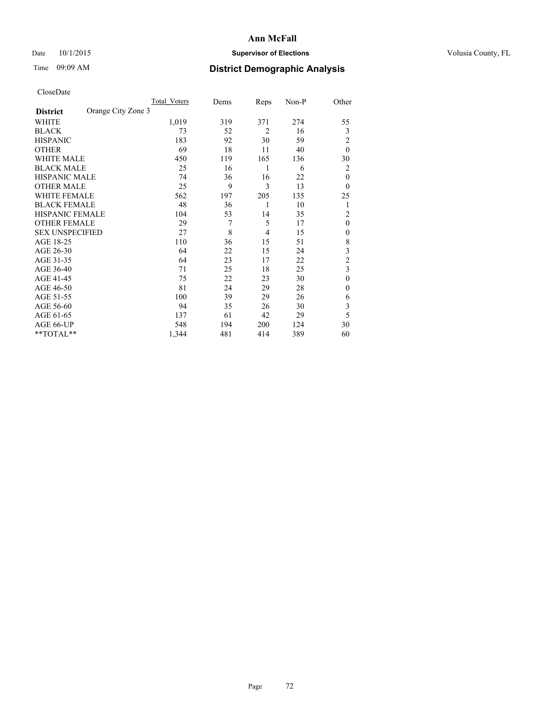## Date  $10/1/2015$  **Supervisor of Elections Supervisor of Elections** Volusia County, FL

## Time 09:09 AM **District Demographic Analysis**

|                        |                    | Total Voters | Dems | Reps           | Non-P | Other          |
|------------------------|--------------------|--------------|------|----------------|-------|----------------|
| <b>District</b>        | Orange City Zone 3 |              |      |                |       |                |
| WHITE                  |                    | 1,019        | 319  | 371            | 274   | 55             |
| <b>BLACK</b>           |                    | 73           | 52   | $\overline{2}$ | 16    | 3              |
| <b>HISPANIC</b>        |                    | 183          | 92   | 30             | 59    | $\overline{2}$ |
| <b>OTHER</b>           |                    | 69           | 18   | 11             | 40    | $\theta$       |
| WHITE MALE             |                    | 450          | 119  | 165            | 136   | 30             |
| <b>BLACK MALE</b>      |                    | 25           | 16   | 1              | 6     | 2              |
| <b>HISPANIC MALE</b>   |                    | 74           | 36   | 16             | 22    | $\theta$       |
| <b>OTHER MALE</b>      |                    | 25           | 9    | 3              | 13    | $\theta$       |
| WHITE FEMALE           |                    | 562          | 197  | 205            | 135   | 25             |
| <b>BLACK FEMALE</b>    |                    | 48           | 36   | 1              | 10    | 1              |
| <b>HISPANIC FEMALE</b> |                    | 104          | 53   | 14             | 35    | $\overline{2}$ |
| <b>OTHER FEMALE</b>    |                    | 29           | 7    | 5              | 17    | $\theta$       |
| <b>SEX UNSPECIFIED</b> |                    | 27           | 8    | 4              | 15    | $\mathbf{0}$   |
| AGE 18-25              |                    | 110          | 36   | 15             | 51    | 8              |
| AGE 26-30              |                    | 64           | 22   | 15             | 24    | 3              |
| AGE 31-35              |                    | 64           | 23   | 17             | 22    | $\overline{c}$ |
| AGE 36-40              |                    | 71           | 25   | 18             | 25    | 3              |
| AGE 41-45              |                    | 75           | 22   | 23             | 30    | $\theta$       |
| AGE 46-50              |                    | 81           | 24   | 29             | 28    | $\mathbf{0}$   |
| AGE 51-55              |                    | 100          | 39   | 29             | 26    | 6              |
| AGE 56-60              |                    | 94           | 35   | 26             | 30    | 3              |
| AGE 61-65              |                    | 137          | 61   | 42             | 29    | 5              |
| AGE 66-UP              |                    | 548          | 194  | 200            | 124   | 30             |
| $*$ TOTAL $**$         |                    | 1,344        | 481  | 414            | 389   | 60             |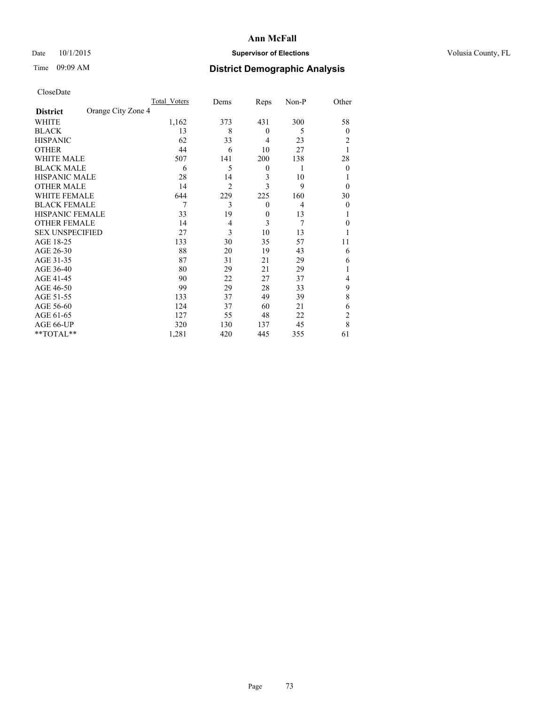## Date  $10/1/2015$  **Supervisor of Elections Supervisor of Elections** Volusia County, FL

## Time 09:09 AM **District Demographic Analysis**

|                        |                    | Total Voters | Dems           | Reps             | Non-P          | Other          |
|------------------------|--------------------|--------------|----------------|------------------|----------------|----------------|
| <b>District</b>        | Orange City Zone 4 |              |                |                  |                |                |
| WHITE                  |                    | 1,162        | 373            | 431              | 300            | 58             |
| <b>BLACK</b>           |                    | 13           | 8              | $\mathbf{0}$     | 5              | $\theta$       |
| <b>HISPANIC</b>        |                    | 62           | 33             | 4                | 23             | 2              |
| <b>OTHER</b>           |                    | 44           | 6              | 10               | 27             |                |
| WHITE MALE             |                    | 507          | 141            | 200              | 138            | 28             |
| <b>BLACK MALE</b>      |                    | 6            | 5              | $\boldsymbol{0}$ | 1              | $\theta$       |
| <b>HISPANIC MALE</b>   |                    | 28           | 14             | 3                | 10             |                |
| <b>OTHER MALE</b>      |                    | 14           | $\overline{2}$ | 3                | 9              | $\theta$       |
| <b>WHITE FEMALE</b>    |                    | 644          | 229            | 225              | 160            | 30             |
| <b>BLACK FEMALE</b>    |                    | 7            | 3              | $\mathbf{0}$     | $\overline{4}$ | $\theta$       |
| <b>HISPANIC FEMALE</b> |                    | 33           | 19             | $\mathbf{0}$     | 13             |                |
| <b>OTHER FEMALE</b>    |                    | 14           | 4              | 3                | 7              | $\theta$       |
| <b>SEX UNSPECIFIED</b> |                    | 27           | 3              | 10               | 13             |                |
| AGE 18-25              |                    | 133          | 30             | 35               | 57             | 11             |
| AGE 26-30              |                    | 88           | 20             | 19               | 43             | 6              |
| AGE 31-35              |                    | 87           | 31             | 21               | 29             | 6              |
| AGE 36-40              |                    | 80           | 29             | 21               | 29             |                |
| AGE 41-45              |                    | 90           | 22             | 27               | 37             | 4              |
| AGE 46-50              |                    | 99           | 29             | 28               | 33             | 9              |
| AGE 51-55              |                    | 133          | 37             | 49               | 39             | 8              |
| AGE 56-60              |                    | 124          | 37             | 60               | 21             | 6              |
| AGE 61-65              |                    | 127          | 55             | 48               | 22             | $\overline{c}$ |
| AGE 66-UP              |                    | 320          | 130            | 137              | 45             | 8              |
| **TOTAL**              |                    | 1,281        | 420            | 445              | 355            | 61             |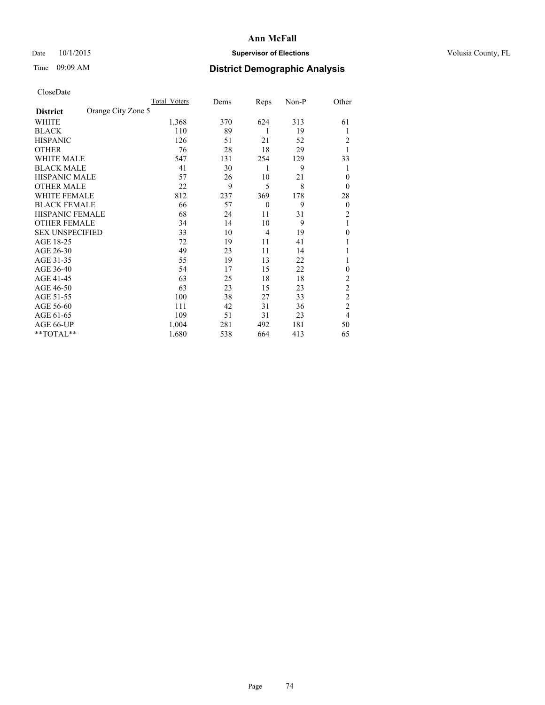## Date  $10/1/2015$  **Supervisor of Elections Supervisor of Elections** Volusia County, FL

## Time 09:09 AM **District Demographic Analysis**

|                        |                    | Total Voters | Dems | Reps           | Non-P | Other          |
|------------------------|--------------------|--------------|------|----------------|-------|----------------|
| <b>District</b>        | Orange City Zone 5 |              |      |                |       |                |
| WHITE                  |                    | 1,368        | 370  | 624            | 313   | 61             |
| <b>BLACK</b>           |                    | 110          | 89   | 1              | 19    | 1              |
| <b>HISPANIC</b>        |                    | 126          | 51   | 21             | 52    | 2              |
| <b>OTHER</b>           |                    | 76           | 28   | 18             | 29    | 1              |
| WHITE MALE             |                    | 547          | 131  | 254            | 129   | 33             |
| <b>BLACK MALE</b>      |                    | 41           | 30   | 1              | 9     | 1              |
| <b>HISPANIC MALE</b>   |                    | 57           | 26   | 10             | 21    | $\theta$       |
| <b>OTHER MALE</b>      |                    | 22           | 9    | 5              | 8     | $\theta$       |
| WHITE FEMALE           |                    | 812          | 237  | 369            | 178   | 28             |
| <b>BLACK FEMALE</b>    |                    | 66           | 57   | $\mathbf{0}$   | 9     | $\overline{0}$ |
| <b>HISPANIC FEMALE</b> |                    | 68           | 24   | 11             | 31    | 2              |
| <b>OTHER FEMALE</b>    |                    | 34           | 14   | 10             | 9     | 1              |
| <b>SEX UNSPECIFIED</b> |                    | 33           | 10   | $\overline{4}$ | 19    | $\mathbf{0}$   |
| AGE 18-25              |                    | 72           | 19   | 11             | 41    |                |
| AGE 26-30              |                    | 49           | 23   | 11             | 14    | 1              |
| AGE 31-35              |                    | 55           | 19   | 13             | 22    | 1              |
| AGE 36-40              |                    | 54           | 17   | 15             | 22    | $\mathbf{0}$   |
| AGE 41-45              |                    | 63           | 25   | 18             | 18    | 2              |
| AGE 46-50              |                    | 63           | 23   | 15             | 23    | $\overline{2}$ |
| AGE 51-55              |                    | 100          | 38   | 27             | 33    | $\overline{c}$ |
| AGE 56-60              |                    | 111          | 42   | 31             | 36    | $\overline{c}$ |
| AGE 61-65              |                    | 109          | 51   | 31             | 23    | $\overline{4}$ |
| AGE 66-UP              |                    | 1,004        | 281  | 492            | 181   | 50             |
| **TOTAL**              |                    | 1,680        | 538  | 664            | 413   | 65             |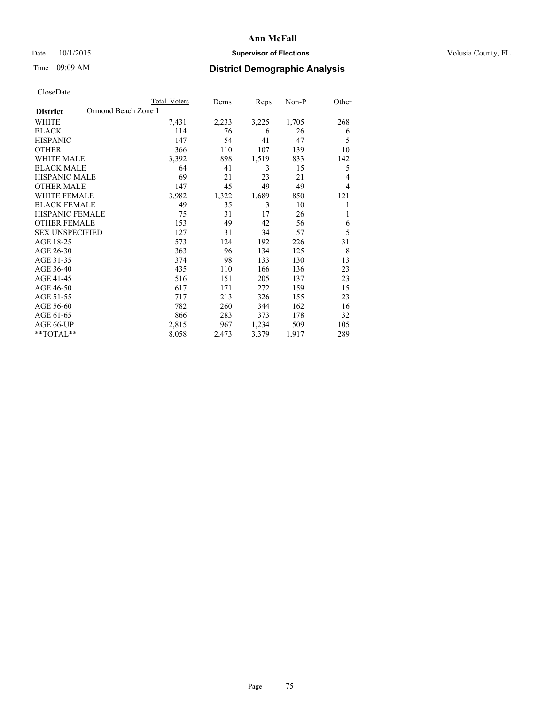## Date  $10/1/2015$  **Supervisor of Elections Supervisor of Elections** Volusia County, FL

## Time 09:09 AM **District Demographic Analysis**

|                                        | <b>Total Voters</b> | Dems  | Reps  | Non-P | Other |
|----------------------------------------|---------------------|-------|-------|-------|-------|
| Ormond Beach Zone 1<br><b>District</b> |                     |       |       |       |       |
| WHITE                                  | 7,431               | 2,233 | 3,225 | 1,705 | 268   |
| <b>BLACK</b>                           | 114                 | 76    | 6     | 26    | 6     |
| <b>HISPANIC</b>                        | 147                 | 54    | 41    | 47    | 5     |
| <b>OTHER</b>                           | 366                 | 110   | 107   | 139   | 10    |
| <b>WHITE MALE</b>                      | 3,392               | 898   | 1,519 | 833   | 142   |
| <b>BLACK MALE</b>                      | 64                  | 41    | 3     | 15    | 5     |
| <b>HISPANIC MALE</b>                   | 69                  | 21    | 23    | 21    | 4     |
| <b>OTHER MALE</b>                      | 147                 | 45    | 49    | 49    | 4     |
| <b>WHITE FEMALE</b>                    | 3,982               | 1,322 | 1,689 | 850   | 121   |
| <b>BLACK FEMALE</b>                    | 49                  | 35    | 3     | 10    | 1     |
| <b>HISPANIC FEMALE</b>                 | 75                  | 31    | 17    | 26    | 1     |
| <b>OTHER FEMALE</b>                    | 153                 | 49    | 42    | 56    | 6     |
| <b>SEX UNSPECIFIED</b>                 | 127                 | 31    | 34    | 57    | 5     |
| AGE 18-25                              | 573                 | 124   | 192   | 226   | 31    |
| AGE 26-30                              | 363                 | 96    | 134   | 125   | 8     |
| AGE 31-35                              | 374                 | 98    | 133   | 130   | 13    |
| AGE 36-40                              | 435                 | 110   | 166   | 136   | 23    |
| AGE 41-45                              | 516                 | 151   | 205   | 137   | 23    |
| AGE 46-50                              | 617                 | 171   | 272   | 159   | 15    |
| AGE 51-55                              | 717                 | 213   | 326   | 155   | 23    |
| AGE 56-60                              | 782                 | 260   | 344   | 162   | 16    |
| AGE 61-65                              | 866                 | 283   | 373   | 178   | 32    |
| AGE 66-UP                              | 2,815               | 967   | 1,234 | 509   | 105   |
| **TOTAL**                              | 8,058               | 2,473 | 3,379 | 1,917 | 289   |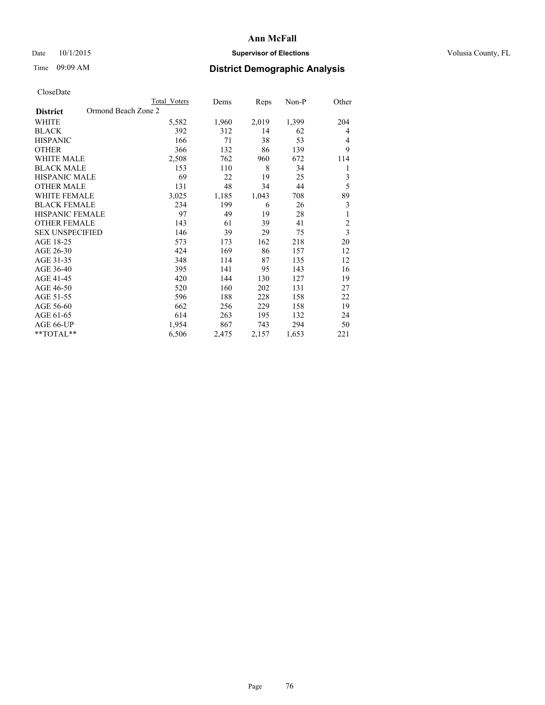## Date  $10/1/2015$  **Supervisor of Elections Supervisor of Elections** Volusia County, FL

## Time 09:09 AM **District Demographic Analysis**

|                                        | <b>Total Voters</b> | Dems  | Reps  | Non-P | Other                   |
|----------------------------------------|---------------------|-------|-------|-------|-------------------------|
| Ormond Beach Zone 2<br><b>District</b> |                     |       |       |       |                         |
| WHITE                                  | 5,582               | 1,960 | 2,019 | 1,399 | 204                     |
| <b>BLACK</b>                           | 392                 | 312   | 14    | 62    | 4                       |
| <b>HISPANIC</b>                        | 166                 | 71    | 38    | 53    | 4                       |
| <b>OTHER</b>                           | 366                 | 132   | 86    | 139   | 9                       |
| WHITE MALE                             | 2,508               | 762   | 960   | 672   | 114                     |
| <b>BLACK MALE</b>                      | 153                 | 110   | 8     | 34    | 1                       |
| HISPANIC MALE                          | 69                  | 22    | 19    | 25    | 3                       |
| <b>OTHER MALE</b>                      | 131                 | 48    | 34    | 44    | 5                       |
| WHITE FEMALE                           | 3,025               | 1,185 | 1,043 | 708   | 89                      |
| <b>BLACK FEMALE</b>                    | 234                 | 199   | 6     | 26    | 3                       |
| <b>HISPANIC FEMALE</b>                 | 97                  | 49    | 19    | 28    | 1                       |
| <b>OTHER FEMALE</b>                    | 143                 | 61    | 39    | 41    | $\overline{c}$          |
| <b>SEX UNSPECIFIED</b>                 | 146                 | 39    | 29    | 75    | $\overline{\mathbf{3}}$ |
| AGE 18-25                              | 573                 | 173   | 162   | 218   | 20                      |
| AGE 26-30                              | 424                 | 169   | 86    | 157   | 12                      |
| AGE 31-35                              | 348                 | 114   | 87    | 135   | 12                      |
| AGE 36-40                              | 395                 | 141   | 95    | 143   | 16                      |
| AGE 41-45                              | 420                 | 144   | 130   | 127   | 19                      |
| AGE 46-50                              | 520                 | 160   | 202   | 131   | 27                      |
| AGE 51-55                              | 596                 | 188   | 228   | 158   | 22                      |
| AGE 56-60                              | 662                 | 256   | 229   | 158   | 19                      |
| AGE 61-65                              | 614                 | 263   | 195   | 132   | 24                      |
| AGE 66-UP                              | 1,954               | 867   | 743   | 294   | 50                      |
| **TOTAL**                              | 6,506               | 2,475 | 2,157 | 1,653 | 221                     |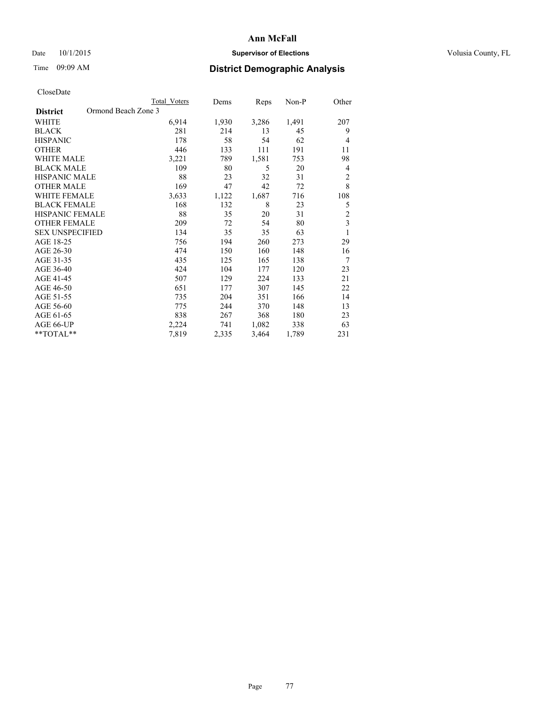## Date  $10/1/2015$  **Supervisor of Elections Supervisor of Elections** Volusia County, FL

# Time 09:09 AM **District Demographic Analysis**

|                                        | Total Voters | Dems  | Reps  | Non-P | Other                   |
|----------------------------------------|--------------|-------|-------|-------|-------------------------|
| Ormond Beach Zone 3<br><b>District</b> |              |       |       |       |                         |
| WHITE                                  | 6,914        | 1,930 | 3,286 | 1,491 | 207                     |
| <b>BLACK</b>                           | 281          | 214   | 13    | 45    | 9                       |
| <b>HISPANIC</b>                        | 178          | 58    | 54    | 62    | $\overline{4}$          |
| <b>OTHER</b>                           | 446          | 133   | 111   | 191   | 11                      |
| WHITE MALE                             | 3,221        | 789   | 1,581 | 753   | 98                      |
| <b>BLACK MALE</b>                      | 109          | 80    | 5     | 20    | 4                       |
| HISPANIC MALE                          | 88           | 23    | 32    | 31    | $\overline{c}$          |
| <b>OTHER MALE</b>                      | 169          | 47    | 42    | 72    | 8                       |
| WHITE FEMALE                           | 3,633        | 1,122 | 1,687 | 716   | 108                     |
| <b>BLACK FEMALE</b>                    | 168          | 132   | 8     | 23    | 5                       |
| <b>HISPANIC FEMALE</b>                 | 88           | 35    | 20    | 31    | $\overline{c}$          |
| <b>OTHER FEMALE</b>                    | 209          | 72    | 54    | 80    | $\overline{\mathbf{3}}$ |
| <b>SEX UNSPECIFIED</b>                 | 134          | 35    | 35    | 63    | $\mathbf{1}$            |
| AGE 18-25                              | 756          | 194   | 260   | 273   | 29                      |
| AGE 26-30                              | 474          | 150   | 160   | 148   | 16                      |
| AGE 31-35                              | 435          | 125   | 165   | 138   | 7                       |
| AGE 36-40                              | 424          | 104   | 177   | 120   | 23                      |
| AGE 41-45                              | 507          | 129   | 224   | 133   | 21                      |
| AGE 46-50                              | 651          | 177   | 307   | 145   | 22                      |
| AGE 51-55                              | 735          | 204   | 351   | 166   | 14                      |
| AGE 56-60                              | 775          | 244   | 370   | 148   | 13                      |
| AGE 61-65                              | 838          | 267   | 368   | 180   | 23                      |
| AGE 66-UP                              | 2,224        | 741   | 1,082 | 338   | 63                      |
| **TOTAL**                              | 7,819        | 2,335 | 3,464 | 1,789 | 231                     |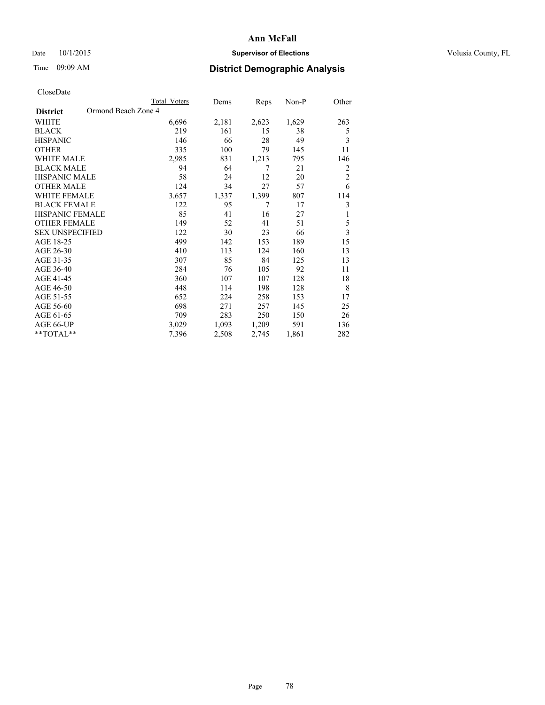## Date  $10/1/2015$  **Supervisor of Elections Supervisor of Elections** Volusia County, FL

## Time 09:09 AM **District Demographic Analysis**

|                                        | Total Voters | Dems  | Reps  | Non-P | Other          |
|----------------------------------------|--------------|-------|-------|-------|----------------|
| Ormond Beach Zone 4<br><b>District</b> |              |       |       |       |                |
| WHITE                                  | 6,696        | 2,181 | 2,623 | 1,629 | 263            |
| <b>BLACK</b>                           | 219          | 161   | 15    | 38    | 5              |
| <b>HISPANIC</b>                        | 146          | 66    | 28    | 49    | 3              |
| <b>OTHER</b>                           | 335          | 100   | 79    | 145   | 11             |
| WHITE MALE                             | 2,985        | 831   | 1,213 | 795   | 146            |
| <b>BLACK MALE</b>                      | 94           | 64    | 7     | 21    | 2              |
| HISPANIC MALE                          | 58           | 24    | 12    | 20    | $\overline{2}$ |
| <b>OTHER MALE</b>                      | 124          | 34    | 27    | 57    | 6              |
| WHITE FEMALE                           | 3,657        | 1,337 | 1,399 | 807   | 114            |
| <b>BLACK FEMALE</b>                    | 122          | 95    | 7     | 17    | 3              |
| <b>HISPANIC FEMALE</b>                 | 85           | 41    | 16    | 27    | 1              |
| <b>OTHER FEMALE</b>                    | 149          | 52    | 41    | 51    | 5              |
| <b>SEX UNSPECIFIED</b>                 | 122          | 30    | 23    | 66    | $\overline{3}$ |
| AGE 18-25                              | 499          | 142   | 153   | 189   | 15             |
| AGE 26-30                              | 410          | 113   | 124   | 160   | 13             |
| AGE 31-35                              | 307          | 85    | 84    | 125   | 13             |
| AGE 36-40                              | 284          | 76    | 105   | 92    | 11             |
| AGE 41-45                              | 360          | 107   | 107   | 128   | 18             |
| AGE 46-50                              | 448          | 114   | 198   | 128   | 8              |
| AGE 51-55                              | 652          | 224   | 258   | 153   | 17             |
| AGE 56-60                              | 698          | 271   | 257   | 145   | 25             |
| AGE 61-65                              | 709          | 283   | 250   | 150   | 26             |
| AGE 66-UP                              | 3,029        | 1,093 | 1,209 | 591   | 136            |
| **TOTAL**                              | 7,396        | 2,508 | 2,745 | 1,861 | 282            |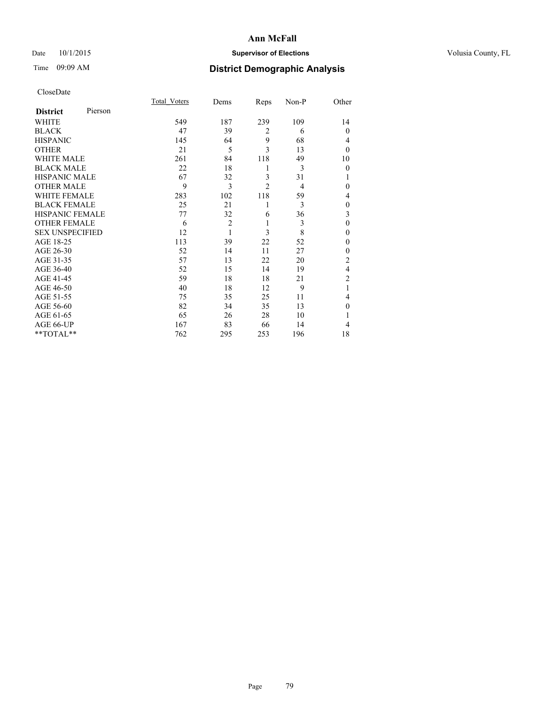## Date  $10/1/2015$  **Supervisor of Elections Supervisor of Elections** Volusia County, FL

# Time 09:09 AM **District Demographic Analysis**

| CloseDate |
|-----------|
|-----------|

|                        |         | Total Voters | Dems           | Reps           | Non-P          | Other          |
|------------------------|---------|--------------|----------------|----------------|----------------|----------------|
| <b>District</b>        | Pierson |              |                |                |                |                |
| WHITE                  |         | 549          | 187            | 239            | 109            | 14             |
| <b>BLACK</b>           |         | 47           | 39             | $\overline{2}$ | 6              | $\Omega$       |
| <b>HISPANIC</b>        |         | 145          | 64             | 9              | 68             | 4              |
| <b>OTHER</b>           |         | 21           | 5              | 3              | 13             | $\theta$       |
| WHITE MALE             |         | 261          | 84             | 118            | 49             | 10             |
| <b>BLACK MALE</b>      |         | 22           | 18             | 1              | 3              | $\theta$       |
| <b>HISPANIC MALE</b>   |         | 67           | 32             | 3              | 31             | 1              |
| <b>OTHER MALE</b>      |         | 9            | 3              | $\overline{c}$ | $\overline{4}$ | 0              |
| <b>WHITE FEMALE</b>    |         | 283          | 102            | 118            | 59             | 4              |
| <b>BLACK FEMALE</b>    |         | 25           | 21             | 1              | 3              | $\theta$       |
| <b>HISPANIC FEMALE</b> |         | 77           | 32             | 6              | 36             | 3              |
| <b>OTHER FEMALE</b>    |         | 6            | $\overline{c}$ | 1              | 3              | $\theta$       |
| <b>SEX UNSPECIFIED</b> |         | 12           | 1              | 3              | 8              | $\mathbf{0}$   |
| AGE 18-25              |         | 113          | 39             | 22             | 52             | $\theta$       |
| AGE 26-30              |         | 52           | 14             | 11             | 27             | $\mathbf{0}$   |
| AGE 31-35              |         | 57           | 13             | 22             | 20             | $\overline{c}$ |
| AGE 36-40              |         | 52           | 15             | 14             | 19             | 4              |
| AGE 41-45              |         | 59           | 18             | 18             | 21             | $\overline{c}$ |
| AGE 46-50              |         | 40           | 18             | 12             | 9              | 1              |
| AGE 51-55              |         | 75           | 35             | 25             | 11             | 4              |
| AGE 56-60              |         | 82           | 34             | 35             | 13             | $\theta$       |
| AGE 61-65              |         | 65           | 26             | 28             | 10             |                |
| AGE 66-UP              |         | 167          | 83             | 66             | 14             | 4              |
| **TOTAL**              |         | 762          | 295            | 253            | 196            | 18             |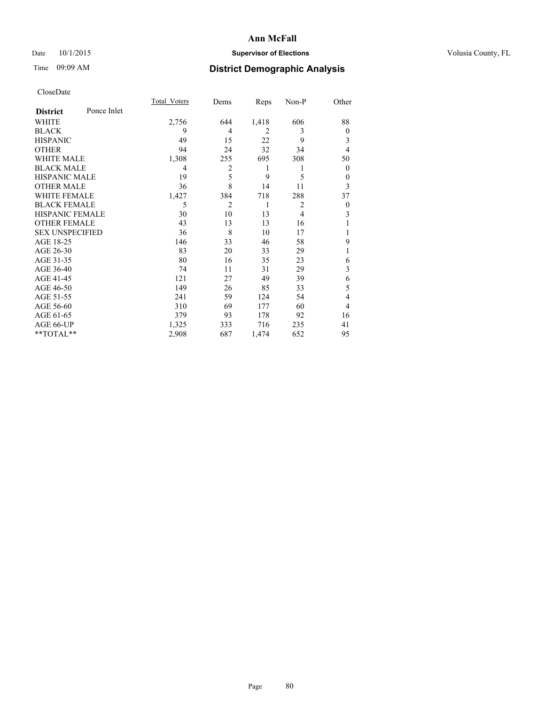## Date  $10/1/2015$  **Supervisor of Elections Supervisor of Elections** Volusia County, FL

## Time 09:09 AM **District Demographic Analysis**

|                        |             | Total Voters | Dems           | Reps  | Non-P          | Other        |
|------------------------|-------------|--------------|----------------|-------|----------------|--------------|
| <b>District</b>        | Ponce Inlet |              |                |       |                |              |
| WHITE                  |             | 2,756        | 644            | 1,418 | 606            | 88           |
| <b>BLACK</b>           |             | 9            | 4              | 2     | 3              | $\mathbf{0}$ |
| <b>HISPANIC</b>        |             | 49           | 15             | 22    | 9              | 3            |
| <b>OTHER</b>           |             | 94           | 24             | 32    | 34             | 4            |
| WHITE MALE             |             | 1,308        | 255            | 695   | 308            | 50           |
| <b>BLACK MALE</b>      |             | 4            | 2              | 1     | 1              | $\mathbf{0}$ |
| <b>HISPANIC MALE</b>   |             | 19           | 5              | 9     | 5              | $\theta$     |
| <b>OTHER MALE</b>      |             | 36           | 8              | 14    | 11             | 3            |
| WHITE FEMALE           |             | 1,427        | 384            | 718   | 288            | 37           |
| <b>BLACK FEMALE</b>    |             | 5            | $\overline{2}$ | 1     | $\overline{2}$ | $\theta$     |
| <b>HISPANIC FEMALE</b> |             | 30           | 10             | 13    | 4              | 3            |
| <b>OTHER FEMALE</b>    |             | 43           | 13             | 13    | 16             |              |
| <b>SEX UNSPECIFIED</b> |             | 36           | 8              | 10    | 17             |              |
| AGE 18-25              |             | 146          | 33             | 46    | 58             | 9            |
| AGE 26-30              |             | 83           | 20             | 33    | 29             |              |
| AGE 31-35              |             | 80           | 16             | 35    | 23             | 6            |
| AGE 36-40              |             | 74           | 11             | 31    | 29             | 3            |
| AGE 41-45              |             | 121          | 27             | 49    | 39             | 6            |
| AGE 46-50              |             | 149          | 26             | 85    | 33             | 5            |
| AGE 51-55              |             | 241          | 59             | 124   | 54             | 4            |
| AGE 56-60              |             | 310          | 69             | 177   | 60             | 4            |
| AGE 61-65              |             | 379          | 93             | 178   | 92             | 16           |
| AGE 66-UP              |             | 1,325        | 333            | 716   | 235            | 41           |
| $*$ TOTAL $**$         |             | 2,908        | 687            | 1,474 | 652            | 95           |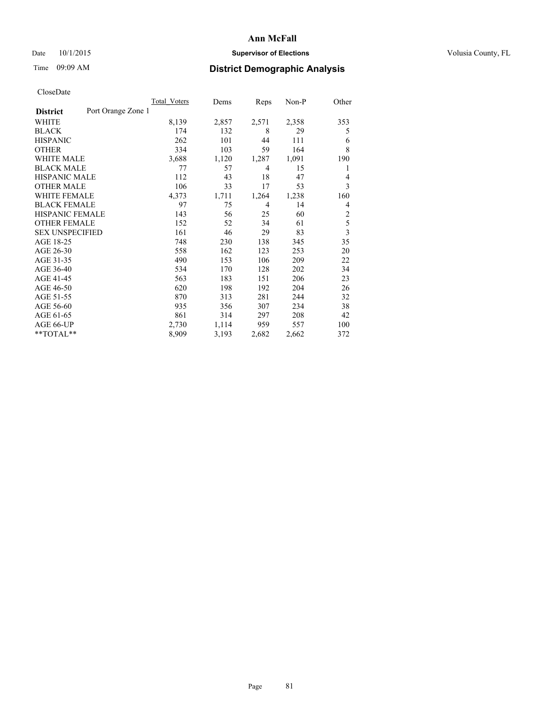## Date  $10/1/2015$  **Supervisor of Elections Supervisor of Elections** Volusia County, FL

## Time 09:09 AM **District Demographic Analysis**

|                        |                    | Total Voters | Dems  | Reps  | Non-P | Other          |
|------------------------|--------------------|--------------|-------|-------|-------|----------------|
| <b>District</b>        | Port Orange Zone 1 |              |       |       |       |                |
| WHITE                  |                    | 8,139        | 2,857 | 2,571 | 2,358 | 353            |
| <b>BLACK</b>           |                    | 174          | 132   | 8     | 29    | 5              |
| <b>HISPANIC</b>        |                    | 262          | 101   | 44    | 111   | 6              |
| <b>OTHER</b>           |                    | 334          | 103   | 59    | 164   | 8              |
| WHITE MALE             |                    | 3,688        | 1,120 | 1,287 | 1,091 | 190            |
| <b>BLACK MALE</b>      |                    | 77           | 57    | 4     | 15    | 1              |
| <b>HISPANIC MALE</b>   |                    | 112          | 43    | 18    | 47    | 4              |
| <b>OTHER MALE</b>      |                    | 106          | 33    | 17    | 53    | 3              |
| <b>WHITE FEMALE</b>    |                    | 4,373        | 1,711 | 1,264 | 1,238 | 160            |
| <b>BLACK FEMALE</b>    |                    | 97           | 75    | 4     | 14    | 4              |
| <b>HISPANIC FEMALE</b> |                    | 143          | 56    | 25    | 60    | $\overline{2}$ |
| <b>OTHER FEMALE</b>    |                    | 152          | 52    | 34    | 61    | 5              |
| <b>SEX UNSPECIFIED</b> |                    | 161          | 46    | 29    | 83    | 3              |
| AGE 18-25              |                    | 748          | 230   | 138   | 345   | 35             |
| AGE 26-30              |                    | 558          | 162   | 123   | 253   | 20             |
| AGE 31-35              |                    | 490          | 153   | 106   | 209   | 22             |
| AGE 36-40              |                    | 534          | 170   | 128   | 202   | 34             |
| AGE 41-45              |                    | 563          | 183   | 151   | 206   | 23             |
| AGE 46-50              |                    | 620          | 198   | 192   | 204   | 26             |
| AGE 51-55              |                    | 870          | 313   | 281   | 244   | 32             |
| AGE 56-60              |                    | 935          | 356   | 307   | 234   | 38             |
| AGE 61-65              |                    | 861          | 314   | 297   | 208   | 42             |
| AGE 66-UP              |                    | 2,730        | 1,114 | 959   | 557   | 100            |
| **TOTAL**              |                    | 8,909        | 3,193 | 2,682 | 2,662 | 372            |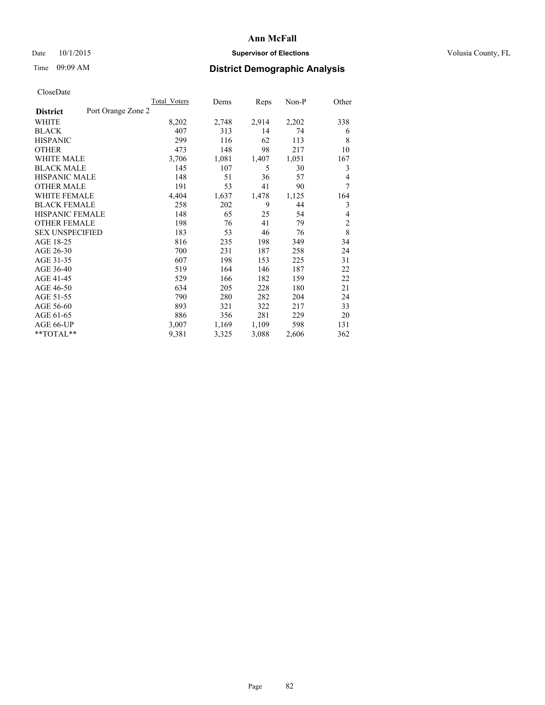## Date  $10/1/2015$  **Supervisor of Elections Supervisor of Elections** Volusia County, FL

## Time 09:09 AM **District Demographic Analysis**

|                        |                    | Total Voters | Dems  | Reps  | Non-P | Other          |
|------------------------|--------------------|--------------|-------|-------|-------|----------------|
| <b>District</b>        | Port Orange Zone 2 |              |       |       |       |                |
| WHITE                  |                    | 8,202        | 2,748 | 2,914 | 2,202 | 338            |
| <b>BLACK</b>           |                    | 407          | 313   | 14    | 74    | 6              |
| <b>HISPANIC</b>        |                    | 299          | 116   | 62    | 113   | 8              |
| <b>OTHER</b>           |                    | 473          | 148   | 98    | 217   | 10             |
| <b>WHITE MALE</b>      |                    | 3,706        | 1,081 | 1,407 | 1,051 | 167            |
| <b>BLACK MALE</b>      |                    | 145          | 107   | 5     | 30    | 3              |
| <b>HISPANIC MALE</b>   |                    | 148          | 51    | 36    | 57    | 4              |
| <b>OTHER MALE</b>      |                    | 191          | 53    | 41    | 90    | 7              |
| <b>WHITE FEMALE</b>    |                    | 4,404        | 1,637 | 1,478 | 1,125 | 164            |
| <b>BLACK FEMALE</b>    |                    | 258          | 202   | 9     | 44    | 3              |
| <b>HISPANIC FEMALE</b> |                    | 148          | 65    | 25    | 54    | 4              |
| <b>OTHER FEMALE</b>    |                    | 198          | 76    | 41    | 79    | $\overline{2}$ |
| <b>SEX UNSPECIFIED</b> |                    | 183          | 53    | 46    | 76    | 8              |
| AGE 18-25              |                    | 816          | 235   | 198   | 349   | 34             |
| AGE 26-30              |                    | 700          | 231   | 187   | 258   | 24             |
| AGE 31-35              |                    | 607          | 198   | 153   | 225   | 31             |
| AGE 36-40              |                    | 519          | 164   | 146   | 187   | 22             |
| AGE 41-45              |                    | 529          | 166   | 182   | 159   | 22             |
| AGE 46-50              |                    | 634          | 205   | 228   | 180   | 21             |
| AGE 51-55              |                    | 790          | 280   | 282   | 204   | 24             |
| AGE 56-60              |                    | 893          | 321   | 322   | 217   | 33             |
| AGE 61-65              |                    | 886          | 356   | 281   | 229   | 20             |
| AGE 66-UP              |                    | 3,007        | 1,169 | 1,109 | 598   | 131            |
| **TOTAL**              |                    | 9,381        | 3,325 | 3,088 | 2,606 | 362            |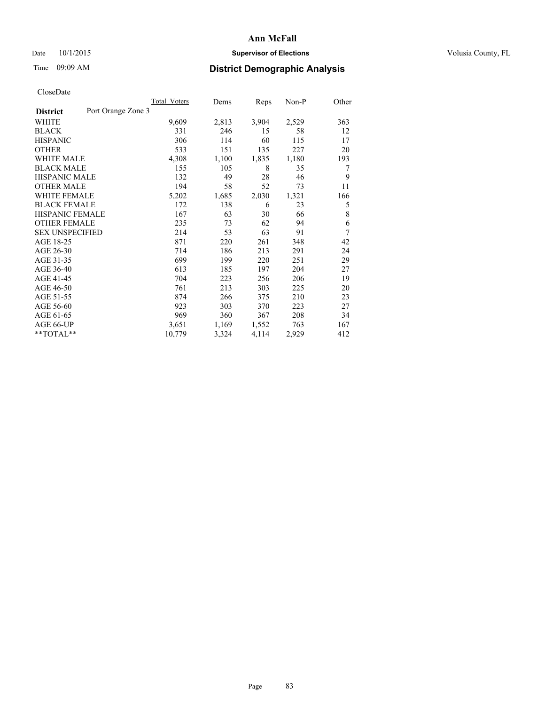## Date  $10/1/2015$  **Supervisor of Elections Supervisor of Elections** Volusia County, FL

## Time 09:09 AM **District Demographic Analysis**

|                        |                    | Total Voters | Dems  | Reps  | $Non-P$ | Other |
|------------------------|--------------------|--------------|-------|-------|---------|-------|
| <b>District</b>        | Port Orange Zone 3 |              |       |       |         |       |
| WHITE                  |                    | 9,609        | 2,813 | 3,904 | 2,529   | 363   |
| <b>BLACK</b>           |                    | 331          | 246   | 15    | 58      | 12    |
| <b>HISPANIC</b>        |                    | 306          | 114   | 60    | 115     | 17    |
| <b>OTHER</b>           |                    | 533          | 151   | 135   | 227     | 20    |
| <b>WHITE MALE</b>      |                    | 4,308        | 1,100 | 1,835 | 1,180   | 193   |
| <b>BLACK MALE</b>      |                    | 155          | 105   | 8     | 35      | 7     |
| <b>HISPANIC MALE</b>   |                    | 132          | 49    | 28    | 46      | 9     |
| <b>OTHER MALE</b>      |                    | 194          | 58    | 52    | 73      | 11    |
| <b>WHITE FEMALE</b>    |                    | 5,202        | 1,685 | 2,030 | 1,321   | 166   |
| <b>BLACK FEMALE</b>    |                    | 172          | 138   | 6     | 23      | 5     |
| <b>HISPANIC FEMALE</b> |                    | 167          | 63    | 30    | 66      | 8     |
| <b>OTHER FEMALE</b>    |                    | 235          | 73    | 62    | 94      | 6     |
| <b>SEX UNSPECIFIED</b> |                    | 214          | 53    | 63    | 91      | 7     |
| AGE 18-25              |                    | 871          | 220   | 261   | 348     | 42    |
| AGE 26-30              |                    | 714          | 186   | 213   | 291     | 24    |
| AGE 31-35              |                    | 699          | 199   | 220   | 251     | 29    |
| AGE 36-40              |                    | 613          | 185   | 197   | 204     | 27    |
| AGE 41-45              |                    | 704          | 223   | 256   | 206     | 19    |
| AGE 46-50              |                    | 761          | 213   | 303   | 225     | 20    |
| AGE 51-55              |                    | 874          | 266   | 375   | 210     | 23    |
| AGE 56-60              |                    | 923          | 303   | 370   | 223     | 27    |
| AGE 61-65              |                    | 969          | 360   | 367   | 208     | 34    |
| AGE 66-UP              |                    | 3,651        | 1,169 | 1,552 | 763     | 167   |
| **TOTAL**              |                    | 10,779       | 3,324 | 4,114 | 2,929   | 412   |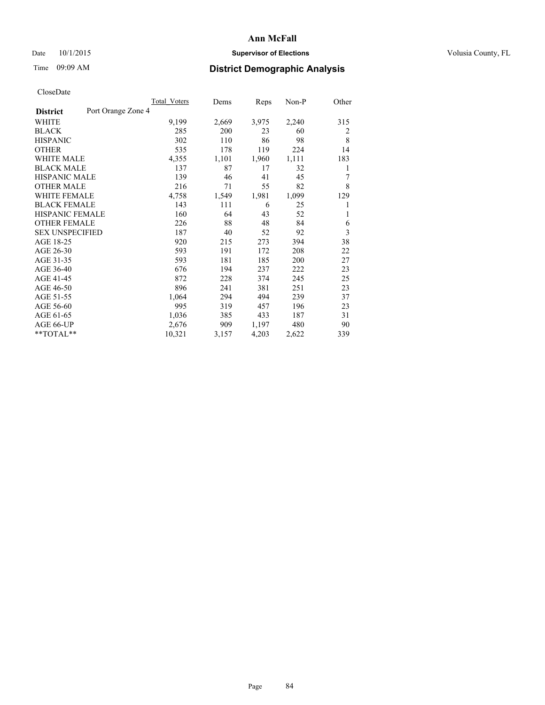## Date  $10/1/2015$  **Supervisor of Elections Supervisor of Elections** Volusia County, FL

# Time 09:09 AM **District Demographic Analysis**

|                        | Total Voters       | Dems  | Reps  | Non-P | Other |
|------------------------|--------------------|-------|-------|-------|-------|
| <b>District</b>        | Port Orange Zone 4 |       |       |       |       |
| WHITE                  | 9,199              | 2,669 | 3,975 | 2,240 | 315   |
| <b>BLACK</b>           | 285                | 200   | 23    | 60    | 2     |
| <b>HISPANIC</b>        | 302                | 110   | 86    | 98    | 8     |
| <b>OTHER</b>           | 535                | 178   | 119   | 224   | 14    |
| <b>WHITE MALE</b>      | 4,355              | 1,101 | 1,960 | 1,111 | 183   |
| <b>BLACK MALE</b>      | 137                | 87    | 17    | 32    | 1     |
| <b>HISPANIC MALE</b>   | 139                | 46    | 41    | 45    | 7     |
| <b>OTHER MALE</b>      | 216                | 71    | 55    | 82    | 8     |
| <b>WHITE FEMALE</b>    | 4,758              | 1,549 | 1,981 | 1,099 | 129   |
| <b>BLACK FEMALE</b>    | 143                | 111   | 6     | 25    | 1     |
| <b>HISPANIC FEMALE</b> | 160                | 64    | 43    | 52    | 1     |
| <b>OTHER FEMALE</b>    | 226                | 88    | 48    | 84    | 6     |
| <b>SEX UNSPECIFIED</b> | 187                | 40    | 52    | 92    | 3     |
| AGE 18-25              | 920                | 215   | 273   | 394   | 38    |
| AGE 26-30              | 593                | 191   | 172   | 208   | 22    |
| AGE 31-35              | 593                | 181   | 185   | 200   | 27    |
| AGE 36-40              | 676                | 194   | 237   | 222   | 23    |
| AGE 41-45              | 872                | 228   | 374   | 245   | 25    |
| AGE 46-50              | 896                | 241   | 381   | 251   | 23    |
| AGE 51-55              | 1,064              | 294   | 494   | 239   | 37    |
| AGE 56-60              | 995                | 319   | 457   | 196   | 23    |
| AGE 61-65              | 1,036              | 385   | 433   | 187   | 31    |
| AGE 66-UP              | 2,676              | 909   | 1,197 | 480   | 90    |
| **TOTAL**              | 10,321             | 3,157 | 4,203 | 2,622 | 339   |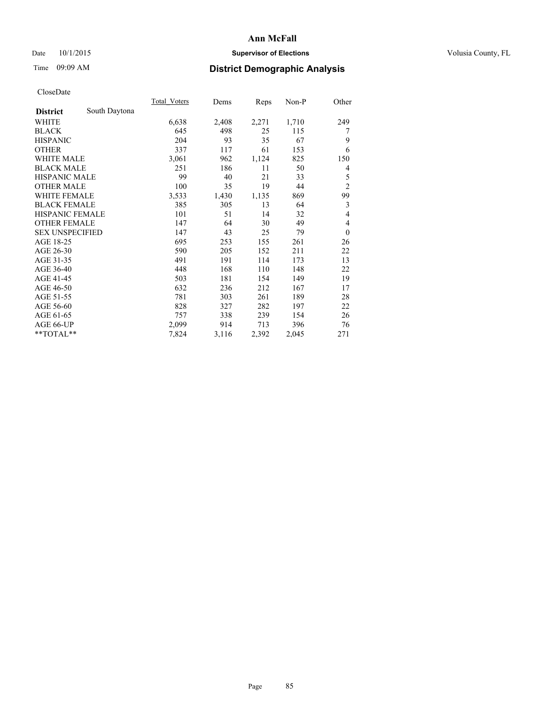## Date  $10/1/2015$  **Supervisor of Elections Supervisor of Elections** Volusia County, FL

# Time 09:09 AM **District Demographic Analysis**

|                        |               | Total Voters | Dems  | <b>Reps</b> | $Non-P$ | Other          |
|------------------------|---------------|--------------|-------|-------------|---------|----------------|
| <b>District</b>        | South Daytona |              |       |             |         |                |
| WHITE                  |               | 6,638        | 2,408 | 2,271       | 1,710   | 249            |
| <b>BLACK</b>           |               | 645          | 498   | 25          | 115     | 7              |
| <b>HISPANIC</b>        |               | 204          | 93    | 35          | 67      | 9              |
| <b>OTHER</b>           |               | 337          | 117   | 61          | 153     | 6              |
| WHITE MALE             |               | 3,061        | 962   | 1,124       | 825     | 150            |
| <b>BLACK MALE</b>      |               | 251          | 186   | 11          | 50      | 4              |
| <b>HISPANIC MALE</b>   |               | 99           | 40    | 21          | 33      | 5              |
| <b>OTHER MALE</b>      |               | 100          | 35    | 19          | 44      | $\overline{2}$ |
| WHITE FEMALE           |               | 3,533        | 1,430 | 1,135       | 869     | 99             |
| <b>BLACK FEMALE</b>    |               | 385          | 305   | 13          | 64      | $\mathfrak{Z}$ |
| <b>HISPANIC FEMALE</b> |               | 101          | 51    | 14          | 32      | 4              |
| <b>OTHER FEMALE</b>    |               | 147          | 64    | 30          | 49      | 4              |
| <b>SEX UNSPECIFIED</b> |               | 147          | 43    | 25          | 79      | $\mathbf{0}$   |
| AGE 18-25              |               | 695          | 253   | 155         | 261     | 26             |
| AGE 26-30              |               | 590          | 205   | 152         | 211     | 22             |
| AGE 31-35              |               | 491          | 191   | 114         | 173     | 13             |
| AGE 36-40              |               | 448          | 168   | 110         | 148     | 22             |
| AGE 41-45              |               | 503          | 181   | 154         | 149     | 19             |
| AGE 46-50              |               | 632          | 236   | 212         | 167     | 17             |
| AGE 51-55              |               | 781          | 303   | 261         | 189     | 28             |
| AGE 56-60              |               | 828          | 327   | 282         | 197     | 22             |
| AGE 61-65              |               | 757          | 338   | 239         | 154     | 26             |
| AGE 66-UP              |               | 2,099        | 914   | 713         | 396     | 76             |
| **TOTAL**              |               | 7,824        | 3,116 | 2,392       | 2,045   | 271            |